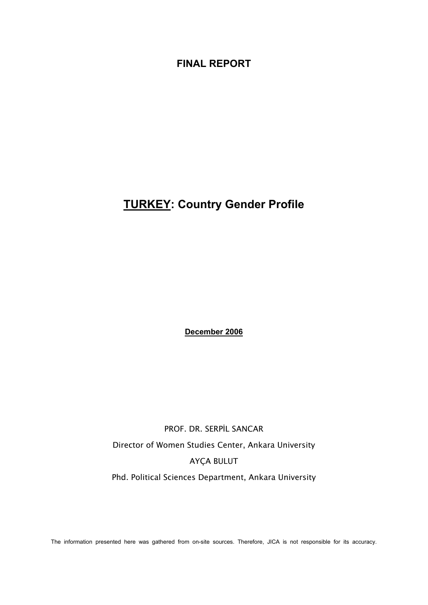# **FINAL REPORT**

# **TURKEY: Country Gender Profile**

**December 2006**

PROF. DR. SERPİL SANCAR Director of Women Studies Center, Ankara University AYÇA BULUT Phd. Political Sciences Department, Ankara University

The information presented here was gathered from on-site sources. Therefore, JICA is not responsible for its accuracy.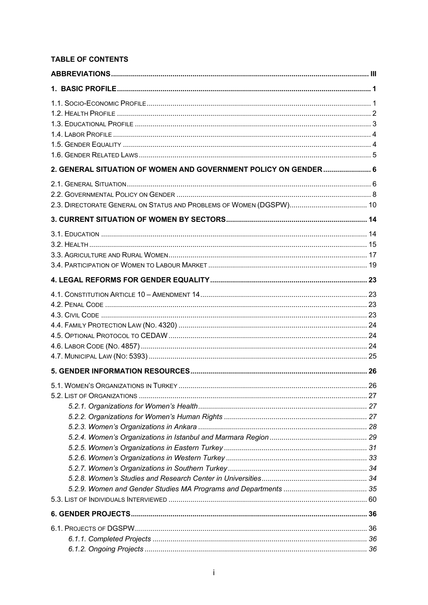#### **TABLE OF CONTENTS**

| 2. GENERAL SITUATION OF WOMEN AND GOVERNMENT POLICY ON GENDER 6 |  |
|-----------------------------------------------------------------|--|
|                                                                 |  |
|                                                                 |  |
|                                                                 |  |
|                                                                 |  |
|                                                                 |  |
|                                                                 |  |
|                                                                 |  |
|                                                                 |  |
|                                                                 |  |
|                                                                 |  |
|                                                                 |  |
|                                                                 |  |
|                                                                 |  |
|                                                                 |  |
|                                                                 |  |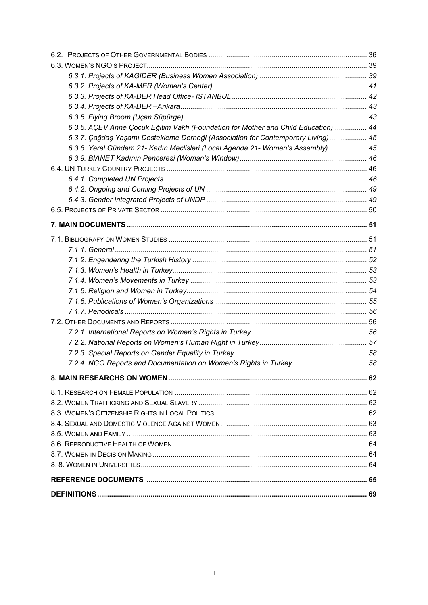| 6.3.6. AÇEV Anne Çocuk Eğitim Vakfı (Foundation for Mother and Child Education) 44 |  |
|------------------------------------------------------------------------------------|--|
| 6.3.7. Çağdaş Yaşamı Destekleme Derneği (Association for Contemporary Living) 45   |  |
| 6.3.8. Yerel Gündem 21- Kadın Meclisleri (Local Agenda 21- Women's Assembly)  45   |  |
|                                                                                    |  |
|                                                                                    |  |
|                                                                                    |  |
|                                                                                    |  |
|                                                                                    |  |
|                                                                                    |  |
|                                                                                    |  |
|                                                                                    |  |
|                                                                                    |  |
|                                                                                    |  |
|                                                                                    |  |
|                                                                                    |  |
|                                                                                    |  |
|                                                                                    |  |
|                                                                                    |  |
|                                                                                    |  |
|                                                                                    |  |
|                                                                                    |  |
|                                                                                    |  |
|                                                                                    |  |
| 7.2.4. NGO Reports and Documentation on Women's Rights in Turkey  58               |  |
|                                                                                    |  |
|                                                                                    |  |
|                                                                                    |  |
|                                                                                    |  |
|                                                                                    |  |
|                                                                                    |  |
|                                                                                    |  |
|                                                                                    |  |
|                                                                                    |  |
|                                                                                    |  |
|                                                                                    |  |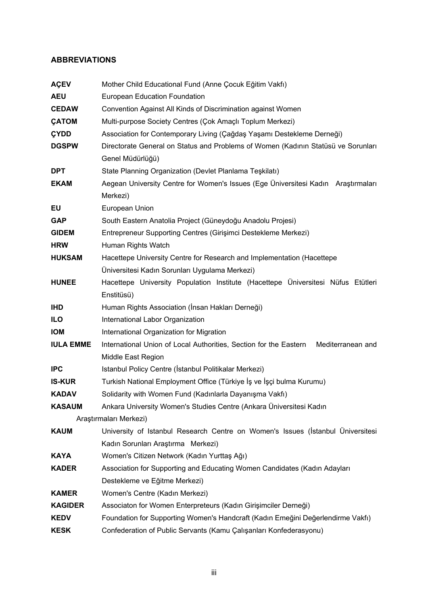## <span id="page-3-0"></span>**ABBREVIATIONS**

| <b>AÇEV</b>            | Mother Child Educational Fund (Anne Çocuk Eğitim Vakfı)                                |  |  |  |
|------------------------|----------------------------------------------------------------------------------------|--|--|--|
| <b>AEU</b>             | European Education Foundation                                                          |  |  |  |
| <b>CEDAW</b>           | Convention Against All Kinds of Discrimination against Women                           |  |  |  |
| ÇATOM                  | Multi-purpose Society Centres (Çok Amaçlı Toplum Merkezi)                              |  |  |  |
| ÇYDD                   | Association for Contemporary Living (Çağdaş Yaşamı Destekleme Derneği)                 |  |  |  |
| <b>DGSPW</b>           | Directorate General on Status and Problems of Women (Kadının Statüsü ve Sorunları      |  |  |  |
|                        | Genel Müdürlüğü)                                                                       |  |  |  |
| <b>DPT</b>             | State Planning Organization (Devlet Planlama Teskilatı)                                |  |  |  |
| <b>EKAM</b>            | Aegean University Centre for Women's Issues (Ege Üniversitesi Kadın Araştırmaları      |  |  |  |
|                        | Merkezi)                                                                               |  |  |  |
| EU                     | European Union                                                                         |  |  |  |
| <b>GAP</b>             | South Eastern Anatolia Project (Güneydoğu Anadolu Projesi)                             |  |  |  |
| <b>GIDEM</b>           | Entrepreneur Supporting Centres (Girişimci Destekleme Merkezi)                         |  |  |  |
| <b>HRW</b>             | Human Rights Watch                                                                     |  |  |  |
| <b>HUKSAM</b>          | Hacettepe University Centre for Research and Implementation (Hacettepe                 |  |  |  |
|                        | Üniversitesi Kadın Sorunları Uygulama Merkezi)                                         |  |  |  |
| <b>HUNEE</b>           | Hacettepe University Population Institute (Hacettepe Üniversitesi Nüfus Etütleri       |  |  |  |
|                        | Enstitüsü)                                                                             |  |  |  |
| <b>IHD</b>             | Human Rights Association (İnsan Hakları Derneği)                                       |  |  |  |
| ILO                    | International Labor Organization                                                       |  |  |  |
| <b>IOM</b>             | International Organization for Migration                                               |  |  |  |
| <b>IULA EMME</b>       | International Union of Local Authorities, Section for the Eastern<br>Mediterranean and |  |  |  |
|                        | Middle East Region                                                                     |  |  |  |
| <b>IPC</b>             | Istanbul Policy Centre (İstanbul Politikalar Merkezi)                                  |  |  |  |
| <b>IS-KUR</b>          | Turkish National Employment Office (Türkiye İş ve İşçi bulma Kurumu)                   |  |  |  |
| <b>KADAV</b>           | Solidarity with Women Fund (Kadınlarla Dayanışma Vakfı)                                |  |  |  |
| <b>KASAUM</b>          | Ankara University Women's Studies Centre (Ankara Üniversitesi Kadın                    |  |  |  |
| Araştırmaları Merkezi) |                                                                                        |  |  |  |
| <b>KAUM</b>            | University of Istanbul Research Centre on Women's Issues (Istanbul Universitesi        |  |  |  |
|                        | Kadın Sorunları Araştırma Merkezi)                                                     |  |  |  |
| <b>KAYA</b>            | Women's Citizen Network (Kadın Yurttaş Ağı)                                            |  |  |  |
| <b>KADER</b>           | Association for Supporting and Educating Women Candidates (Kadın Adayları              |  |  |  |
|                        | Destekleme ve Eğitme Merkezi)                                                          |  |  |  |
| <b>KAMER</b>           | Women's Centre (Kadın Merkezi)                                                         |  |  |  |
| <b>KAGIDER</b>         | Associaton for Women Enterpreteurs (Kadın Girişimciler Derneği)                        |  |  |  |
| <b>KEDV</b>            | Foundation for Supporting Women's Handcraft (Kadın Emeğini Değerlendirme Vakfı)        |  |  |  |
| <b>KESK</b>            | Confederation of Public Servants (Kamu Çalışanları Konfederasyonu)                     |  |  |  |
|                        |                                                                                        |  |  |  |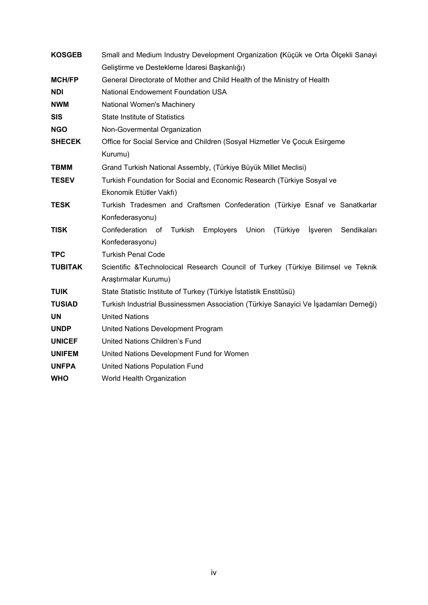| <b>KOSGEB</b>  | Small and Medium Industry Development Organization (Küçük ve Orta Ölçekli Sanayi     |  |  |
|----------------|--------------------------------------------------------------------------------------|--|--|
|                | Geliştirme ve Destekleme İdaresi Başkanlığı)                                         |  |  |
| <b>MCH/FP</b>  | General Directorate of Mother and Child Health of the Ministry of Health             |  |  |
| <b>NDI</b>     | <b>National Endowement Foundation USA</b>                                            |  |  |
| <b>NWM</b>     | National Women's Machinery                                                           |  |  |
| <b>SIS</b>     | <b>State Institute of Statistics</b>                                                 |  |  |
| <b>NGO</b>     | Non-Govermental Organization                                                         |  |  |
| <b>SHECEK</b>  | Office for Social Service and Children (Sosyal Hizmetler Ve Çocuk Esirgeme           |  |  |
|                | Kurumu)                                                                              |  |  |
| <b>TBMM</b>    | Grand Turkish National Assembly, (Türkiye Büyük Millet Meclisi)                      |  |  |
| <b>TESEV</b>   | Turkish Foundation for Social and Economic Research (Türkiye Sosyal ve               |  |  |
|                | Ekonomik Etütler Vakfı)                                                              |  |  |
| <b>TESK</b>    | Turkish Tradesmen and Craftsmen Confederation (Türkiye Esnaf ve Sanatkarlar          |  |  |
|                | Konfederasyonu)                                                                      |  |  |
| <b>TISK</b>    | Confederation of Turkish<br>Employers<br>Union<br>(Türkiye<br>İşveren<br>Sendikaları |  |  |
|                | Konfederasyonu)                                                                      |  |  |
| <b>TPC</b>     | <b>Turkish Penal Code</b>                                                            |  |  |
| <b>TUBITAK</b> | Scientific & Technolocical Research Council of Turkey (Türkiye Bilimsel ve Teknik    |  |  |
|                | Araştırmalar Kurumu)                                                                 |  |  |
| <b>TUIK</b>    | State Statistic Institute of Turkey (Türkiye İstatistik Enstitüsü)                   |  |  |
| <b>TUSIAD</b>  | Turkish Industrial Bussinessmen Association (Türkiye Sanayici Ve İşadamları Derneği) |  |  |
| <b>UN</b>      | <b>United Nations</b>                                                                |  |  |
| <b>UNDP</b>    | United Nations Development Program                                                   |  |  |
| <b>UNICEF</b>  | <b>United Nations Children's Fund</b>                                                |  |  |
| <b>UNIFEM</b>  | United Nations Development Fund for Women                                            |  |  |
| <b>UNFPA</b>   | United Nations Population Fund                                                       |  |  |
| <b>WHO</b>     | World Health Organization                                                            |  |  |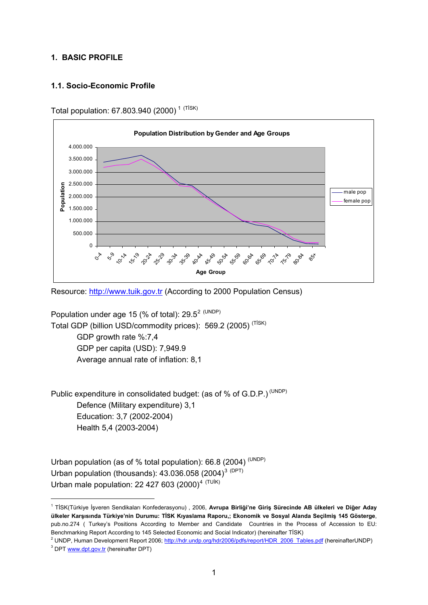#### <span id="page-5-0"></span>**1. BASIC PROFILE**

#### **1.1. Socio-Economic Profile**



Total population: 67.803.940 (2000)<sup>[1](#page-5-1) (TİSK)</sup>

Resource: [http://www.tuik.gov.tr](http://www.tuik.gov.tr/) (According to 2000 Population Census)

Population under age 15 (% of total):  $29.5^2$  $29.5^2$  (UNDP) Total GDP (billion USD/commodity prices): 569.2 (2005)<sup>(TİSK)</sup> GDP growth rate %:7,4 GDP per capita (USD): 7,949.9 Average annual rate of inflation: 8,1

Public expenditure in consolidated budget: (as of % of G.D.P.)<sup>(UNDP)</sup> Defence (Military expenditure) 3,1 Education: 3,7 (2002-2004) Health 5,4 (2003-2004)

<span id="page-5-4"></span>Urban population (as of % total population): 66.8 (2004)<sup>(UNDP)</sup> Urban population (thousands):  $43.036.058$  $43.036.058$  $43.036.058$  (2004)<sup>3 (DPT)</sup> Urban male population: 22 [4](#page-5-4)27 603 (2000)<sup>4 (TUİK)</sup>

<span id="page-5-1"></span><sup>1</sup> TİSK(Türkiye İşveren Sendikaları Konfederasyonu) , 2006, **Avrupa Birliği'ne Giriş Sürecinde AB ülkeleri ve Diğer Aday ülkeler Karşısında Türkiye'nin Durumu: TİSK Kıyaslama Raporu,; Ekonomik ve Sosyal Alanda Seçilmiş 145 Gösterge**, pub.no.274 ( Turkey's Positions According to Member and Candidate Countries in the Process of Accession to EU: Benchmarking Report According to 145 Selected Economic and Social Indicator) (hereinafter TİSK) 2

<span id="page-5-2"></span><sup>&</sup>lt;sup>2</sup> UNDP, Human Development Report 2006; [http://hdr.undp.org/hdr2006/pdfs/report/HDR\\_2006\\_Tables.pdf](http://hdr.undp.org/hdr2006/pdfs/report/HDR_2006_Tables.pdf) (hereinafterUNDP)

<span id="page-5-3"></span><sup>&</sup>lt;sup>3</sup> DPT [www.dpt.gov.tr](http://www.dpt.gov.tr/) (hereinafter DPT)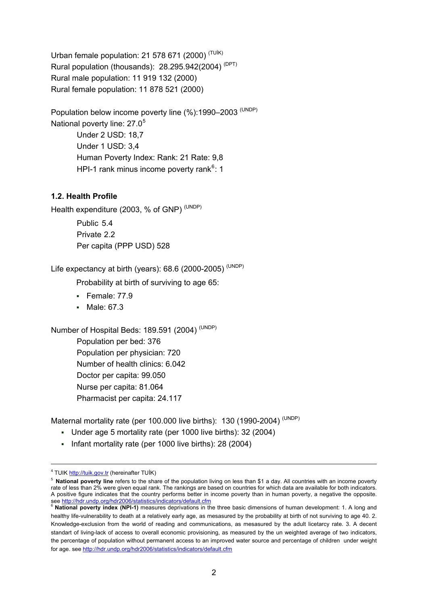<span id="page-6-0"></span>Urban female population: 21 578 671 (2000) (TUİK) Rural population (thousands): 28.295.942(2004)<sup>(DPT)</sup> Rural male population: 11 919 132 (2000) Rural female population: 11 878 521 (2000)

Population below income poverty line (%):1990–2003 (UNDP) National poverty line: 27.0<sup>[5](#page-6-1)</sup> Under 2 USD: 18,7 Under 1 USD: 3,4 Human Poverty Index: Rank: 21 Rate: 9,8 HPI-1 rank minus income poverty rank $6:1$  $6:1$ 

## **1.2. Health Profile**

Health expenditure (2003, % of GNP) (UNDP)

Public 5.4 Private 2.2 Per capita (PPP USD) 528

Life expectancy at birth (years): 68.6 (2000-2005)<sup>(UNDP)</sup>

Probability at birth of surviving to age 65:

- Female: 77.9
- Male: 67.3

Number of Hospital Beds: 189.591 (2004) (UNDP)

Population per bed: 376 Population per physician: 720 Number of health clinics: 6.042 Doctor per capita: 99.050 Nurse per capita: 81.064 Pharmacist per capita: 24.117

Maternal mortality rate (per 100.000 live births): 130 (1990-2004) (UNDP)

- Under age 5 mortality rate (per 1000 live births): 32 (2004)
- Infant mortality rate (per 1000 live births): 28 (2004)

<sup>&</sup>lt;sup>4</sup> TUIK http://tuik.gov.tr (hereinafter TUİK)

<span id="page-6-1"></span><sup>&</sup>lt;sup>5</sup> National poverty line refers to the share of the population living on less than \$1 a day. All countries with an income poverty rate of less than 2% were given equal rank. The rankings are based on countries for which data are available for both indicators. A positive figure indicates that the country performs better in income poverty than in human poverty, a negative the opposite. see http://hdr.undp.org/hdr2006/statistics/indicators/default.cfm<br><sup>6</sup> National poverty index (NPI-1) measures deprivations in the three basic dimensions of human development: 1. A long and

<span id="page-6-2"></span>healthy life-vulnerability to death at a relatively early age, as mesasured by the probability at birth of not surviving to age 40, 2. Knowledge-exclusion from the world of reading and communications, as mesasured by the adult licetarcy rate. 3. A decent standart of living-lack of access to overall economic provisioning, as measured by the un weighted average of two indicators, the percentage of population without permanent access to an improved water source and percentage of children under weight for age. see<http://hdr.undp.org/hdr2006/statistics/indicators/default.cfm>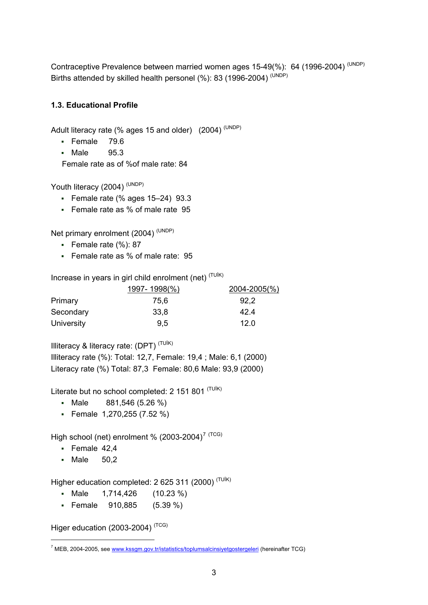<span id="page-7-0"></span>Contraceptive Prevalence between married women ages 15-49(%): 64 (1996-2004) (UNDP) Births attended by skilled health personel (%): 83 (1996-2004)<sup>(UNDP)</sup>

# **1.3. Educational Profile**

Adult literacy rate (% ages 15 and older) (2004) (UNDP)

- Female 79.6
- Male 95.3

Female rate as of %of male rate: 84

Youth literacy (2004)<sup>(UNDP)</sup>

- Female rate (% ages  $15-24$ )  $93.3$
- Female rate as % of male rate 95

Net primary enrolment (2004)<sup>(UNDP)</sup>

- Female rate (%): 87
- Female rate as % of male rate: 95

Increase in years in girl child enrolment (net)<sup>(TUİK)</sup>

|            | 1997-1998(%) | 2004-2005(%) |
|------------|--------------|--------------|
| Primary    | 75.6         | 92.2         |
| Secondary  | 33,8         | 42.4         |
| University | 9.5          | 12.0         |

Illiteracy & literacy rate:  $(DPT)^{(TUIK)}$ 

Illiteracy rate (%): Total: 12,7, Female: 19,4 ; Male: 6,1 (2000) Literacy rate (%) Total: 87,3 Female: 80,6 Male: 93,9 (2000)

Literate but no school completed: 2 151 801 <sup>(TUİK)</sup>

- Male 881,546 (5.26 %)
- Female 1,270,255 (7.52 %)

High school (net) enrolment % (2003-2004)<sup>[7](#page-7-1) (TCG)</sup>

- $\cdot$  Female 42,4
- Male 50,2

-

Higher education completed: 2 625 311 (2000) <sup>(TUİK)</sup>

- Male 1,714,426 (10.23 %)
- Female 910,885 (5.39 %)

Higer education (2003-2004)  $(TCG)$ 

<span id="page-7-1"></span><sup>&</sup>lt;sup>7</sup> MEB, 2004-2005, see [www.kssgm.gov.tr/istatistics/toplumsalcinsiyetgostergeleri](http://www.kssgm.gov.tr/istatistics/toplumsalcinsiyetgostergeleri) (hereinafter TCG)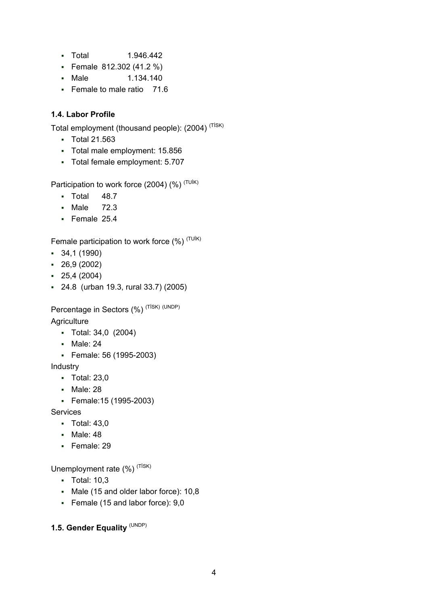- <span id="page-8-0"></span>Total 1.946.442
- Female 812.302 (41.2 %)
- Male 1.134.140
- **Female to male ratio 71.6**

#### **1.4. Labor Profile**

Total employment (thousand people): (2004) (TİSK)

- Total 21.563
- Total male employment: 15.856
- Total female employment: 5.707

Participation to work force (2004) (%) <sup>(TUİK)</sup>

- Total 48.7
- Male 72.3
- $\cdot$  Female 25.4

Female participation to work force  $(\%)$ <sup>(TUİK)</sup>

- 34,1 (1990)
- 26,9 (2002)
- $-25,4(2004)$
- 24.8 (urban 19.3, rural 33.7) (2005)

Percentage in Sectors (%) (TISK) (UNDP) **Agriculture** 

- Total: 34,0 (2004)
- Male: 24
- Female: 56 (1995-2003)

Industry

- Total: 23,0
- **Male: 28**
- Female:15 (1995-2003)

Services

- Total: 43,0
- Male: 48
- **Female: 29**

Unemployment rate  $(\%)$ <sup>(TİSK)</sup>

- Total: 10,3
- Male (15 and older labor force): 10.8
- Female (15 and labor force): 9,0

**1.5. Gender Equality** (UNDP)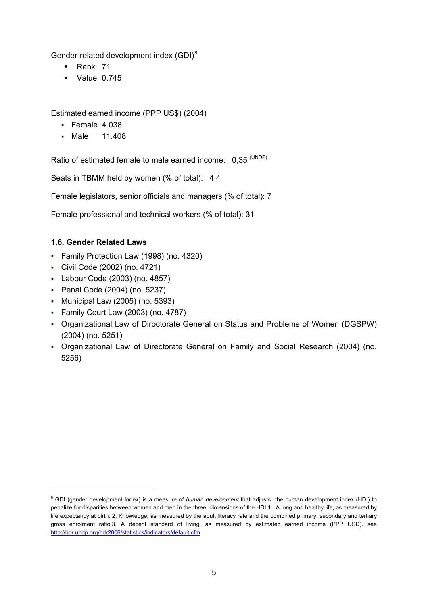<span id="page-9-0"></span>Gender-related development index  $(GDI)^8$  $(GDI)^8$ 

- **Rank 71**
- $\blacksquare$  Value 0.745

Estimated earned income (PPP US\$) (2004)

- **Female 4.038**
- Male 11.408

Ratio of estimated female to male earned income: 0,35<sup>(UNDP)</sup>

Seats in TBMM held by women (% of total): 4.4

Female legislators, senior officials and managers (% of total): 7

Female professional and technical workers (% of total): 31

# **1.6. Gender Related Laws**

- Family Protection Law (1998) (no. 4320)
- Civil Code (2002) (no. 4721)
- Labour Code (2003) (no. 4857)
- Penal Code (2004) (no. 5237)
- Municipal Law (2005) (no. 5393)
- Family Court Law (2003) (no. 4787)
- Organizational Law of Diroctorate General on Status and Problems of Women (DGSPW) (2004) (no. 5251)
- Organizational Law of Directorate General on Family and Social Research (2004) (no. 5256)

<span id="page-9-1"></span><sup>8</sup> GDI (gender development Index) is a measure of *human development* that adjusts the human development index (HDI) to penalize for disparities between women and men in the three dimensions of the HDI 1. A long and healthy life, as measured by life expectancy at birth. 2. Knowledge, as measured by the adult literacy rate and the combined primary, secondary and tertiary gross enrolment ratio.3. A decent standard of living, as measured by estimated earned income (PPP USD). see <http://hdr.undp.org/hdr2006/statistics/indicators/default.cfm>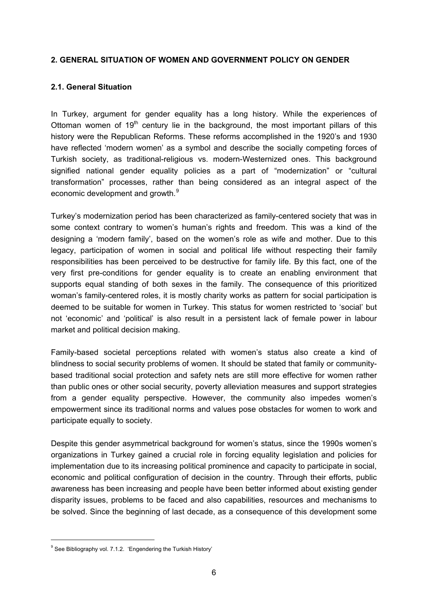#### <span id="page-10-0"></span>**2. GENERAL SITUATION OF WOMEN AND GOVERNMENT POLICY ON GENDER**

#### **2.1. General Situation**

In Turkey, argument for gender equality has a long history. While the experiences of Ottoman women of  $19<sup>th</sup>$  century lie in the background, the most important pillars of this history were the Republican Reforms. These reforms accomplished in the 1920's and 1930 have reflected 'modern women' as a symbol and describe the socially competing forces of Turkish society, as traditional-religious vs. modern-Westernized ones. This background signified national gender equality policies as a part of "modernization" or "cultural transformation" processes, rather than being considered as an integral aspect of the economic development and growth.<sup>[9](#page-10-1)</sup>

Turkey's modernization period has been characterized as family-centered society that was in some context contrary to women's human's rights and freedom. This was a kind of the designing a 'modern family', based on the women's role as wife and mother. Due to this legacy, participation of women in social and political life without respecting their family responsibilities has been perceived to be destructive for family life. By this fact, one of the very first pre-conditions for gender equality is to create an enabling environment that supports equal standing of both sexes in the family. The consequence of this prioritized woman's family-centered roles, it is mostly charity works as pattern for social participation is deemed to be suitable for women in Turkey. This status for women restricted to 'social' but not 'economic' and 'political' is also result in a persistent lack of female power in labour market and political decision making.

Family-based societal perceptions related with women's status also create a kind of blindness to social security problems of women. It should be stated that family or communitybased traditional social protection and safety nets are still more effective for women rather than public ones or other social security, poverty alleviation measures and support strategies from a gender equality perspective. However, the community also impedes women's empowerment since its traditional norms and values pose obstacles for women to work and participate equally to society.

Despite this gender asymmetrical background for women's status, since the 1990s women's organizations in Turkey gained a crucial role in forcing equality legislation and policies for implementation due to its increasing political prominence and capacity to participate in social, economic and political configuration of decision in the country. Through their efforts, public awareness has been increasing and people have been better informed about existing gender disparity issues, problems to be faced and also capabilities, resources and mechanisms to be solved. Since the beginning of last decade, as a consequence of this development some

<span id="page-10-1"></span><sup>&</sup>lt;sup>9</sup> See Bibliography vol. 7.1.2. 'Engendering the Turkish History'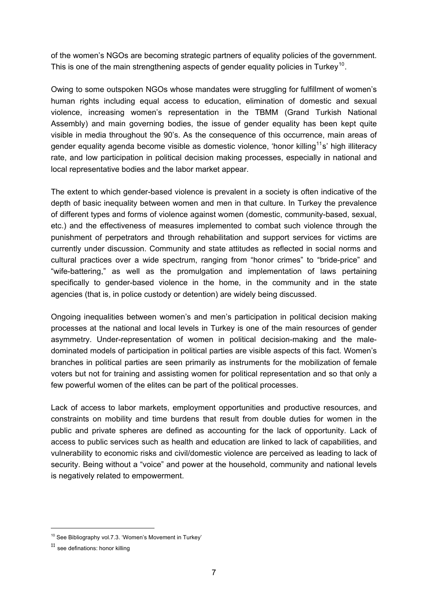of the women's NGOs are becoming strategic partners of equality policies of the government. This is one of the main strengthening aspects of gender equality policies in Turkey<sup>[10](#page-11-0)</sup>.

Owing to some outspoken NGOs whose mandates were struggling for fulfillment of women's human rights including equal access to education, elimination of domestic and sexual violence, increasing women's representation in the TBMM (Grand Turkish National Assembly) and main governing bodies, the issue of gender equality has been kept quite visible in media throughout the 90's. As the consequence of this occurrence, main areas of gender equality agenda become visible as domestic violence, 'honor killing<sup>[11](#page-11-1)</sup>s' high illiteracy rate, and low participation in political decision making processes, especially in national and local representative bodies and the labor market appear.

The extent to which gender-based violence is prevalent in a society is often indicative of the depth of basic inequality between women and men in that culture. In Turkey the prevalence of different types and forms of violence against women (domestic, community-based, sexual, etc.) and the effectiveness of measures implemented to combat such violence through the punishment of perpetrators and through rehabilitation and support services for victims are currently under discussion. Community and state attitudes as reflected in social norms and cultural practices over a wide spectrum, ranging from "honor crimes" to "bride-price" and "wife-battering," as well as the promulgation and implementation of laws pertaining specifically to gender-based violence in the home, in the community and in the state agencies (that is, in police custody or detention) are widely being discussed.

Ongoing inequalities between women's and men's participation in political decision making processes at the national and local levels in Turkey is one of the main resources of gender asymmetry. Under-representation of women in political decision-making and the maledominated models of participation in political parties are visible aspects of this fact. Women's branches in political parties are seen primarily as instruments for the mobilization of female voters but not for training and assisting women for political representation and so that only a few powerful women of the elites can be part of the political processes.

Lack of access to labor markets, employment opportunities and productive resources, and constraints on mobility and time burdens that result from double duties for women in the public and private spheres are defined as accounting for the lack of opportunity. Lack of access to public services such as health and education are linked to lack of capabilities, and vulnerability to economic risks and civil/domestic violence are perceived as leading to lack of security. Being without a "voice" and power at the household, community and national levels is negatively related to empowerment.

<span id="page-11-0"></span><sup>&</sup>lt;sup>10</sup> See Bibliography vol.7.3. 'Women's Movement in Turkey'

<span id="page-11-1"></span><sup>11</sup> see definations: honor killing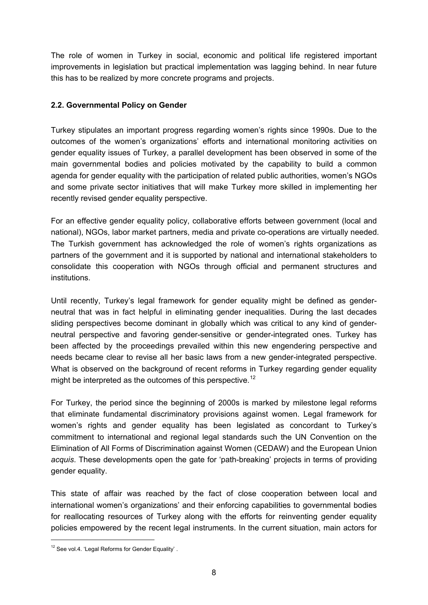<span id="page-12-0"></span>The role of women in Turkey in social, economic and political life registered important improvements in legislation but practical implementation was lagging behind. In near future this has to be realized by more concrete programs and projects.

# **2.2. Governmental Policy on Gender**

Turkey stipulates an important progress regarding women's rights since 1990s. Due to the outcomes of the women's organizations' efforts and international monitoring activities on gender equality issues of Turkey, a parallel development has been observed in some of the main governmental bodies and policies motivated by the capability to build a common agenda for gender equality with the participation of related public authorities, women's NGOs and some private sector initiatives that will make Turkey more skilled in implementing her recently revised gender equality perspective.

For an effective gender equality policy, collaborative efforts between government (local and national), NGOs, labor market partners, media and private co-operations are virtually needed. The Turkish government has acknowledged the role of women's rights organizations as partners of the government and it is supported by national and international stakeholders to consolidate this cooperation with NGOs through official and permanent structures and institutions.

Until recently, Turkey's legal framework for gender equality might be defined as genderneutral that was in fact helpful in eliminating gender inequalities. During the last decades sliding perspectives become dominant in globally which was critical to any kind of genderneutral perspective and favoring gender-sensitive or gender-integrated ones. Turkey has been affected by the proceedings prevailed within this new engendering perspective and needs became clear to revise all her basic laws from a new gender-integrated perspective. What is observed on the background of recent reforms in Turkey regarding gender equality might be interpreted as the outcomes of this perspective.<sup>[12](#page-12-1)</sup>

For Turkey, the period since the beginning of 2000s is marked by milestone legal reforms that eliminate fundamental discriminatory provisions against women. Legal framework for women's rights and gender equality has been legislated as concordant to Turkey's commitment to international and regional legal standards such the UN Convention on the Elimination of All Forms of Discrimination against Women (CEDAW) and the European Union *acquis*. These developments open the gate for 'path-breaking' projects in terms of providing gender equality.

This state of affair was reached by the fact of close cooperation between local and international women's organizations' and their enforcing capabilities to governmental bodies for reallocating resources of Turkey along with the efforts for reinventing gender equality policies empowered by the recent legal instruments. In the current situation, main actors for

<span id="page-12-1"></span><sup>&</sup>lt;sup>12</sup> See vol.4. 'Legal Reforms for Gender Equality'.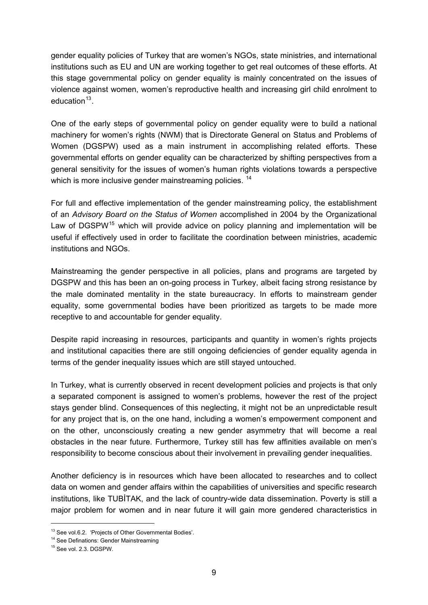gender equality policies of Turkey that are women's NGOs, state ministries, and international institutions such as EU and UN are working together to get real outcomes of these efforts. At this stage governmental policy on gender equality is mainly concentrated on the issues of violence against women, women's reproductive health and increasing girl child enrolment to education $13$ .

One of the early steps of governmental policy on gender equality were to build a national machinery for women's rights (NWM) that is Directorate General on Status and Problems of Women (DGSPW) used as a main instrument in accomplishing related efforts. These governmental efforts on gender equality can be characterized by shifting perspectives from a general sensitivity for the issues of women's human rights violations towards a perspective which is more inclusive gender mainstreaming policies.<sup>[14](#page-13-1)</sup>

For full and effective implementation of the gender mainstreaming policy, the establishment of an *Advisory Board on the Status of Women* accomplished in 2004 by the Organizational Law of DGSPW<sup>[15](#page-13-2)</sup> which will provide advice on policy planning and implementation will be useful if effectively used in order to facilitate the coordination between ministries, academic institutions and NGOs.

Mainstreaming the gender perspective in all policies, plans and programs are targeted by DGSPW and this has been an on-going process in Turkey, albeit facing strong resistance by the male dominated mentality in the state bureaucracy. In efforts to mainstream gender equality, some governmental bodies have been prioritized as targets to be made more receptive to and accountable for gender equality.

Despite rapid increasing in resources, participants and quantity in women's rights projects and institutional capacities there are still ongoing deficiencies of gender equality agenda in terms of the gender inequality issues which are still stayed untouched.

In Turkey, what is currently observed in recent development policies and projects is that only a separated component is assigned to women's problems, however the rest of the project stays gender blind. Consequences of this neglecting, it might not be an unpredictable result for any project that is, on the one hand, including a women's empowerment component and on the other, unconsciously creating a new gender asymmetry that will become a real obstacles in the near future. Furthermore, Turkey still has few affinities available on men's responsibility to become conscious about their involvement in prevailing gender inequalities.

Another deficiency is in resources which have been allocated to researches and to collect data on women and gender affairs within the capabilities of universities and specific research institutions, like TUBİTAK, and the lack of country-wide data dissemination. Poverty is still a major problem for women and in near future it will gain more gendered characteristics in

<sup>&</sup>lt;sup>13</sup> See vol.6.2. 'Projects of Other Governmental Bodies'.

<span id="page-13-1"></span><span id="page-13-0"></span><sup>&</sup>lt;sup>14</sup> See Definations: Gender Mainstreaming

<span id="page-13-2"></span><sup>&</sup>lt;sup>15</sup> See vol. 2.3. DGSPW.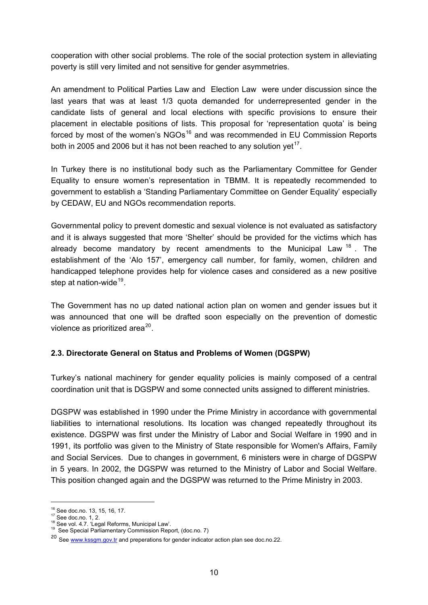<span id="page-14-0"></span>cooperation with other social problems. The role of the social protection system in alleviating poverty is still very limited and not sensitive for gender asymmetries.

An amendment to Political Parties Law and Election Law were under discussion since the last years that was at least 1/3 quota demanded for underrepresented gender in the candidate lists of general and local elections with specific provisions to ensure their placement in electable positions of lists. This proposal for 'representation quota' is being forced by most of the women's  $NGOs^{16}$  $NGOs^{16}$  $NGOs^{16}$  and was recommended in EU Commission Reports both in 2005 and 2006 but it has not been reached to any solution yet<sup>[17](#page-14-2)</sup>.

In Turkey there is no institutional body such as the Parliamentary Committee for Gender Equality to ensure women's representation in TBMM. It is repeatedly recommended to government to establish a 'Standing Parliamentary Committee on Gender Equality' especially by CEDAW, EU and NGOs recommendation reports.

Governmental policy to prevent domestic and sexual violence is not evaluated as satisfactory and it is always suggested that more 'Shelter' should be provided for the victims which has already become mandatory by recent amendments to the Municipal Law  $^{18}$  $^{18}$  $^{18}$ . The establishment of the 'Alo 157', emergency call number, for family, women, children and handicapped telephone provides help for violence cases and considered as a new positive step at nation-wide $19$ .

The Government has no up dated national action plan on women and gender issues but it was announced that one will be drafted soon especially on the prevention of domestic violence as prioritized area $^{20}$  $^{20}$  $^{20}$ .

## **2.3. Directorate General on Status and Problems of Women (DGSPW)**

Turkey's national machinery for gender equality policies is mainly composed of a central coordination unit that is DGSPW and some connected units assigned to different ministries.

DGSPW was established in 1990 under the Prime Ministry in accordance with governmental liabilities to international resolutions. Its location was changed repeatedly throughout its existence. DGSPW was first under the Ministry of Labor and Social Welfare in 1990 and in 1991, its portfolio was given to the Ministry of State responsible for Women's Affairs, Family and Social Services. Due to changes in government, 6 ministers were in charge of DGSPW in 5 years. In 2002, the DGSPW was returned to the Ministry of Labor and Social Welfare. This position changed again and the DGSPW was returned to the Prime Ministry in 2003.

<span id="page-14-2"></span>

<span id="page-14-3"></span>

<span id="page-14-1"></span><sup>&</sup>lt;sup>16</sup> See doc.no. 13, 15, 16, 17.<br><sup>17</sup> See doc.no. 1, 2.<br><sup>18</sup> See vol. 4.7. 'Legal Reforms, Municipal Law'.<br><sup>19</sup> See Special Parliamentary Commission Report, (doc.no. 7)

<span id="page-14-5"></span><span id="page-14-4"></span><sup>&</sup>lt;sup>20</sup> See [www.kssgm.gov.tr](http://www.kssgm.gov.tr/) and preperations for gender indicator action plan see doc.no.22.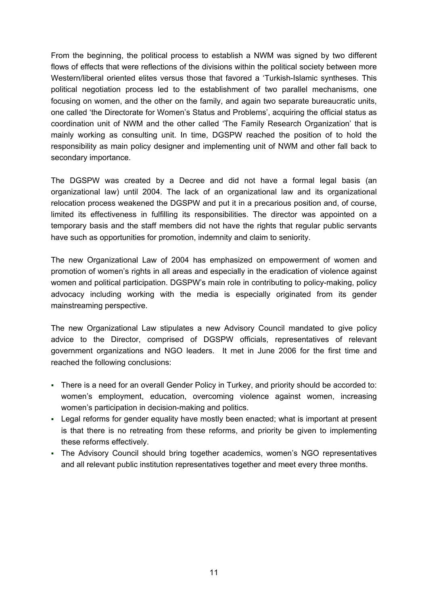From the beginning, the political process to establish a NWM was signed by two different flows of effects that were reflections of the divisions within the political society between more Western/liberal oriented elites versus those that favored a 'Turkish-Islamic syntheses. This political negotiation process led to the establishment of two parallel mechanisms, one focusing on women, and the other on the family, and again two separate bureaucratic units, one called 'the Directorate for Women's Status and Problems', acquiring the official status as coordination unit of NWM and the other called 'The Family Research Organization' that is mainly working as consulting unit. In time, DGSPW reached the position of to hold the responsibility as main policy designer and implementing unit of NWM and other fall back to secondary importance.

The DGSPW was created by a Decree and did not have a formal legal basis (an organizational law) until 2004. The lack of an organizational law and its organizational relocation process weakened the DGSPW and put it in a precarious position and, of course, limited its effectiveness in fulfilling its responsibilities. The director was appointed on a temporary basis and the staff members did not have the rights that regular public servants have such as opportunities for promotion, indemnity and claim to seniority.

The new Organizational Law of 2004 has emphasized on empowerment of women and promotion of women's rights in all areas and especially in the eradication of violence against women and political participation. DGSPW's main role in contributing to policy-making, policy advocacy including working with the media is especially originated from its gender mainstreaming perspective.

The new Organizational Law stipulates a new Advisory Council mandated to give policy advice to the Director, comprised of DGSPW officials, representatives of relevant government organizations and NGO leaders. It met in June 2006 for the first time and reached the following conclusions:

- There is a need for an overall Gender Policy in Turkey, and priority should be accorded to: women's employment, education, overcoming violence against women, increasing women's participation in decision-making and politics.
- Legal reforms for gender equality have mostly been enacted; what is important at present is that there is no retreating from these reforms, and priority be given to implementing these reforms effectively.
- The Advisory Council should bring together academics, women's NGO representatives and all relevant public institution representatives together and meet every three months.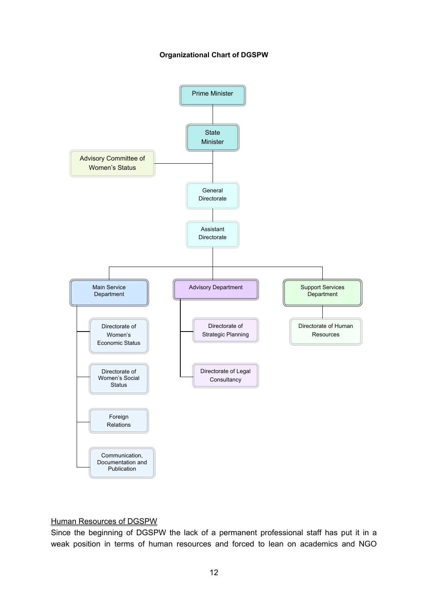#### **Organizational Chart of DGSPW**



#### Human Resources of DGSPW

Since the beginning of DGSPW the lack of a permanent professional staff has put it in a weak position in terms of human resources and forced to lean on academics and NGO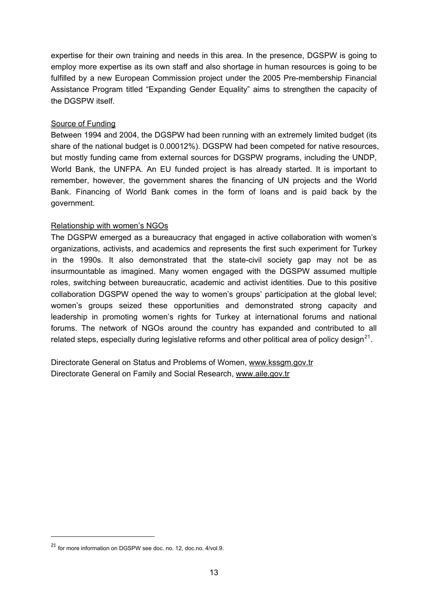expertise for their own training and needs in this area. In the presence, DGSPW is going to employ more expertise as its own staff and also shortage in human resources is going to be fulfilled by a new European Commission project under the 2005 Pre-membership Financial Assistance Program titled "Expanding Gender Equality" aims to strengthen the capacity of the DGSPW itself.

#### Source of Funding

Between 1994 and 2004, the DGSPW had been running with an extremely limited budget (its share of the national budget is 0.00012%). DGSPW had been competed for native resources, but mostly funding came from external sources for DGSPW programs, including the UNDP, World Bank, the UNFPA. An EU funded project is has already started. It is important to remember, however, the government shares the financing of UN projects and the World Bank. Financing of World Bank comes in the form of loans and is paid back by the government.

#### Relationship with women's NGOs

The DGSPW emerged as a bureaucracy that engaged in active collaboration with women's organizations, activists, and academics and represents the first such experiment for Turkey in the 1990s. It also demonstrated that the state-civil society gap may not be as insurmountable as imagined. Many women engaged with the DGSPW assumed multiple roles, switching between bureaucratic, academic and activist identities. Due to this positive collaboration DGSPW opened the way to women's groups' participation at the global level; women's groups seized these opportunities and demonstrated strong capacity and leadership in promoting women's rights for Turkey at international forums and national forums. The network of NGOs around the country has expanded and contributed to all related steps, especially during legislative reforms and other political area of policy design<sup>[21](#page-17-0)</sup>.

Directorate General on Status and Problems of Women, [www.kssgm.gov.tr](http://www.kssgm.gov.tr/) Directorate General on Family and Social Research, [www.aile.gov.tr](http://www.aile.gov.tr/)

 $\overline{a}$ 

<span id="page-17-0"></span><sup>21</sup> for more information on DGSPW see doc. no. 12, doc.no. 4/vol.9.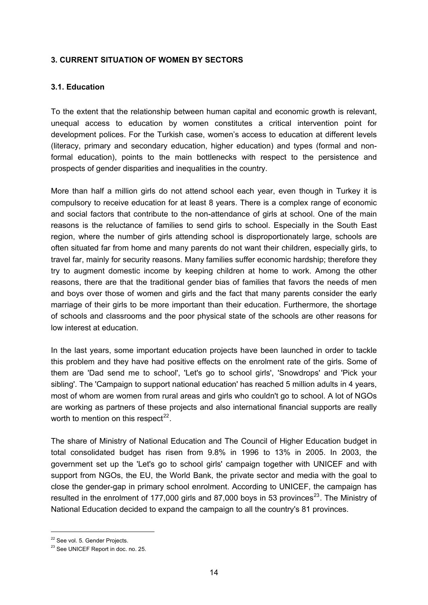#### <span id="page-18-0"></span>**3. CURRENT SITUATION OF WOMEN BY SECTORS**

#### **3.1. Education**

To the extent that the relationship between human capital and economic growth is relevant, unequal access to education by women constitutes a critical intervention point for development polices. For the Turkish case, women's access to education at different levels (literacy, primary and secondary education, higher education) and types (formal and nonformal education), points to the main bottlenecks with respect to the persistence and prospects of gender disparities and inequalities in the country.

More than half a million girls do not attend school each year, even though in Turkey it is compulsory to receive education for at least 8 years. There is a complex range of economic and social factors that contribute to the non-attendance of girls at school. One of the main reasons is the reluctance of families to send girls to school. Especially in the South East region, where the number of girls attending school is disproportionately large, schools are often situated far from home and many parents do not want their children, especially girls, to travel far, mainly for security reasons. Many families suffer economic hardship; therefore they try to augment domestic income by keeping children at home to work. Among the other reasons, there are that the traditional gender bias of families that favors the needs of men and boys over those of women and girls and the fact that many parents consider the early marriage of their girls to be more important than their education. Furthermore, the shortage of schools and classrooms and the poor physical state of the schools are other reasons for low interest at education.

In the last years, some important education projects have been launched in order to tackle this problem and they have had positive effects on the enrolment rate of the girls. Some of them are 'Dad send me to school', 'Let's go to school girls', 'Snowdrops' and 'Pick your sibling'. The 'Campaign to support national education' has reached 5 million adults in 4 years, most of whom are women from rural areas and girls who couldn't go to school. A lot of NGOs are working as partners of these projects and also international financial supports are really worth to mention on this respect<sup>[22](#page-18-1)</sup>.

The share of Ministry of National Education and The Council of Higher Education budget in total consolidated budget has risen from 9.8% in 1996 to 13% in 2005. In 2003, the government set up the 'Let's go to school girls' campaign together with UNICEF and with support from NGOs, the EU, the World Bank, the private sector and media with the goal to close the gender-gap in primary school enrolment. According to UNICEF, the campaign has resulted in the enrolment of 177,000 girls and 87,000 boys in 53 provinces<sup>[23](#page-18-2)</sup>. The Ministry of National Education decided to expand the campaign to all the country's 81 provinces.

<sup>&</sup>lt;sup>22</sup> See vol. 5. Gender Projects.

<span id="page-18-2"></span><span id="page-18-1"></span><sup>&</sup>lt;sup>23</sup> See UNICEF Report in doc. no. 25.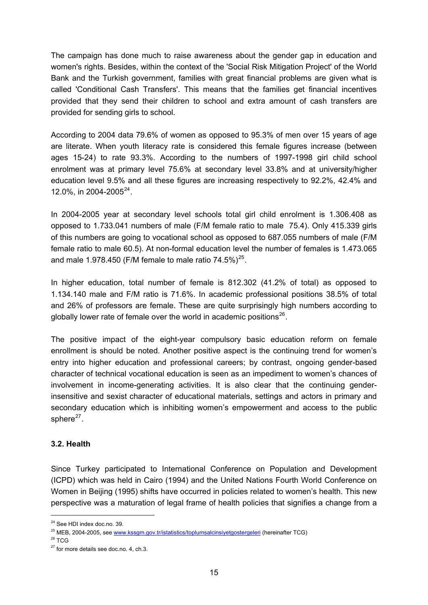<span id="page-19-0"></span>The campaign has done much to raise awareness about the gender gap in education and women's rights. Besides, within the context of the 'Social Risk Mitigation Project' of the World Bank and the Turkish government, families with great financial problems are given what is called 'Conditional Cash Transfers'. This means that the families get financial incentives provided that they send their children to school and extra amount of cash transfers are provided for sending girls to school.

According to 2004 data 79.6% of women as opposed to 95.3% of men over 15 years of age are literate. When youth literacy rate is considered this female figures increase (between ages 15-24) to rate 93.3%. According to the numbers of 1997-1998 girl child school enrolment was at primary level 75.6% at secondary level 33.8% and at university/higher education level 9.5% and all these figures are increasing respectively to 92.2%, 42.4% and 12.0%, in 2004-2005<sup>[24](#page-19-1)</sup>.

In 2004-2005 year at secondary level schools total girl child enrolment is 1.306.408 as opposed to 1.733.041 numbers of male (F/M female ratio to male 75.4). Only 415.339 girls of this numbers are going to vocational school as opposed to 687.055 numbers of male (F/M female ratio to male 60.5). At non-formal education level the number of females is 1.473.065 and male 1.978.450 (F/M female to male ratio  $74.5\%$ )<sup>[25](#page-19-2)</sup>.

In higher education, total number of female is 812.302 (41.2% of total) as opposed to 1.134.140 male and F/M ratio is 71.6%. In academic professional positions 38.5% of total and 26% of professors are female. These are quite surprisingly high numbers according to globally lower rate of female over the world in academic positions<sup>[26](#page-19-3)</sup>.

The positive impact of the eight-year compulsory basic education reform on female enrollment is should be noted. Another positive aspect is the continuing trend for women's entry into higher education and professional careers; by contrast, ongoing gender-based character of technical vocational education is seen as an impediment to women's chances of involvement in income-generating activities. It is also clear that the continuing genderinsensitive and sexist character of educational materials, settings and actors in primary and secondary education which is inhibiting women's empowerment and access to the public sphere $^{27}$  $^{27}$  $^{27}$ .

## **3.2. Health**

Since Turkey participated to International Conference on Population and Development (ICPD) which was held in Cairo (1994) and the United Nations Fourth World Conference on Women in Beijing (1995) shifts have occurred in policies related to women's health. This new perspective was a maturation of legal frame of health policies that signifies a change from a

<span id="page-19-1"></span><sup>24</sup> See HDI index doc.no. 39.

<span id="page-19-2"></span><sup>&</sup>lt;sup>25</sup> MEB, 2004-2005, see [www.kssgm.gov.tr/istatistics/toplumsalcinsiyetgostergeleri](http://www.kssgm.gov.tr/istatistics/toplumsalcinsiyetgostergeleri) (hereinafter TCG) <sup>26</sup> TCG

<span id="page-19-3"></span>

<span id="page-19-4"></span> $27$  for more details see doc.no. 4, ch.3.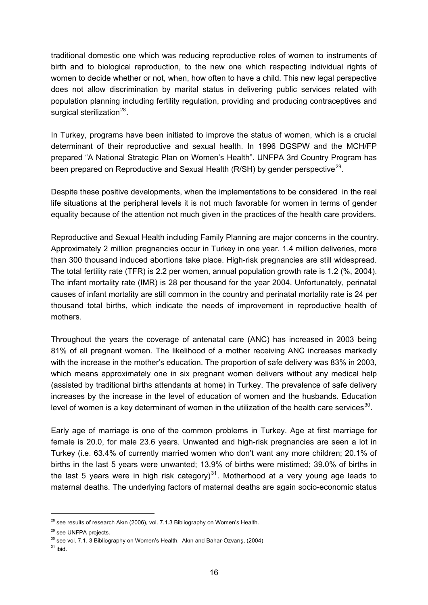traditional domestic one which was reducing reproductive roles of women to instruments of birth and to biological reproduction, to the new one which respecting individual rights of women to decide whether or not, when, how often to have a child. This new legal perspective does not allow discrimination by marital status in delivering public services related with population planning including fertility regulation, providing and producing contraceptives and surgical sterilization $^{28}$  $^{28}$  $^{28}$ .

In Turkey, programs have been initiated to improve the status of women, which is a crucial determinant of their reproductive and sexual health. In 1996 DGSPW and the MCH/FP prepared "A National Strategic Plan on Women's Health". UNFPA 3rd Country Program has been prepared on Reproductive and Sexual Health (R/SH) by gender perspective<sup>[29](#page-20-1)</sup>.

Despite these positive developments, when the implementations to be considered in the real life situations at the peripheral levels it is not much favorable for women in terms of gender equality because of the attention not much given in the practices of the health care providers.

Reproductive and Sexual Health including Family Planning are major concerns in the country. Approximately 2 million pregnancies occur in Turkey in one year. 1.4 million deliveries, more than 300 thousand induced abortions take place. High-risk pregnancies are still widespread. The total fertility rate (TFR) is 2.2 per women, annual population growth rate is 1.2 (%, 2004). The infant mortality rate (IMR) is 28 per thousand for the year 2004. Unfortunately, perinatal causes of infant mortality are still common in the country and perinatal mortality rate is 24 per thousand total births, which indicate the needs of improvement in reproductive health of mothers.

Throughout the years the coverage of antenatal care (ANC) has increased in 2003 being 81% of all pregnant women. The likelihood of a mother receiving ANC increases markedly with the increase in the mother's education. The proportion of safe delivery was 83% in 2003, which means approximately one in six pregnant women delivers without any medical help (assisted by traditional births attendants at home) in Turkey. The prevalence of safe delivery increases by the increase in the level of education of women and the husbands. Education level of women is a key determinant of women in the utilization of the health care services $30$ .

Early age of marriage is one of the common problems in Turkey. Age at first marriage for female is 20.0, for male 23.6 years. Unwanted and high-risk pregnancies are seen a lot in Turkey (i.e. 63.4% of currently married women who don't want any more children; 20.1% of births in the last 5 years were unwanted; 13.9% of births were mistimed; 39.0% of births in the last 5 years were in high risk category)<sup>[31](#page-20-3)</sup>. Motherhood at a very young age leads to maternal deaths. The underlying factors of maternal deaths are again socio-economic status

<span id="page-20-0"></span><sup>&</sup>lt;sup>28</sup> see results of research Akin (2006), vol. 7.1.3 Bibliography on Women's Health.

<sup>29</sup> see UNFPA projects.

<span id="page-20-2"></span><span id="page-20-1"></span> $30$  see vol. 7.1. 3 Bibliography on Women's Health, Akın and Bahar-Ozvarış, (2004)  $31$  ibid.

<span id="page-20-3"></span>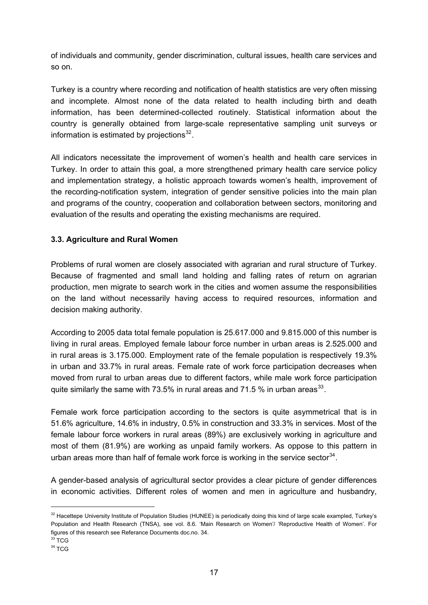<span id="page-21-0"></span>of individuals and community, gender discrimination, cultural issues, health care services and so on.

Turkey is a country where recording and notification of health statistics are very often missing and incomplete. Almost none of the data related to health including birth and death information, has been determined-collected routinely. Statistical information about the country is generally obtained from large-scale representative sampling unit surveys or information is estimated by projections $32$ .

All indicators necessitate the improvement of women's health and health care services in Turkey. In order to attain this goal, a more strengthened primary health care service policy and implementation strategy, a holistic approach towards women's health, improvement of the recording-notification system, integration of gender sensitive policies into the main plan and programs of the country, cooperation and collaboration between sectors, monitoring and evaluation of the results and operating the existing mechanisms are required.

# **3.3. Agriculture and Rural Women**

Problems of rural women are closely associated with agrarian and rural structure of Turkey. Because of fragmented and small land holding and falling rates of return on agrarian production, men migrate to search work in the cities and women assume the responsibilities on the land without necessarily having access to required resources, information and decision making authority.

According to 2005 data total female population is 25.617.000 and 9.815.000 of this number is living in rural areas. Employed female labour force number in urban areas is 2.525.000 and in rural areas is 3.175.000. Employment rate of the female population is respectively 19.3% in urban and 33.7% in rural areas. Female rate of work force participation decreases when moved from rural to urban areas due to different factors, while male work force participation quite similarly the same with 73.5% in rural areas and 71.5 % in urban areas<sup>[33](#page-21-2)</sup>.

Female work force participation according to the sectors is quite asymmetrical that is in 51.6% agriculture, 14.6% in industry, 0.5% in construction and 33.3% in services. Most of the female labour force workers in rural areas (89%) are exclusively working in agriculture and most of them (81.9%) are working as unpaid family workers. As oppose to this pattern in urban areas more than half of female work force is working in the service sector  $34$ .

A gender-based analysis of agricultural sector provides a clear picture of gender differences in economic activities. Different roles of women and men in agriculture and husbandry,

<span id="page-21-1"></span><sup>&</sup>lt;sup>32</sup> Hacettepe University Institute of Population Studies (HUNEE) is periodically doing this kind of large scale exampled. Turkey's Population and Health Research (TNSA), see vol. 8.6. 'Main Research on Women'/ 'Reproductive Health of Women'. For figures of this research see Referance Documents doc.no. 34. 33 TCG

<span id="page-21-3"></span><span id="page-21-2"></span><sup>&</sup>lt;sup>34</sup> TCG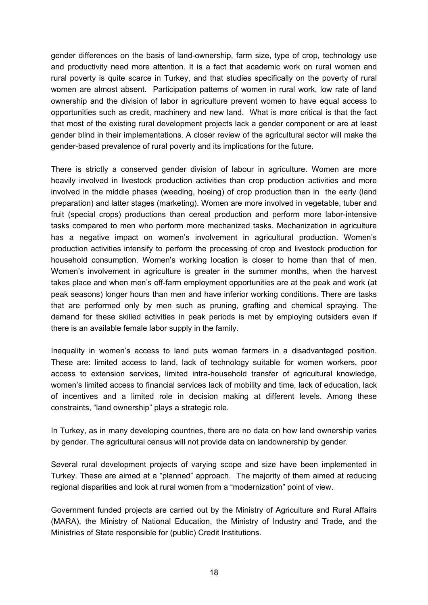gender differences on the basis of land-ownership, farm size, type of crop, technology use and productivity need more attention. It is a fact that academic work on rural women and rural poverty is quite scarce in Turkey, and that studies specifically on the poverty of rural women are almost absent. Participation patterns of women in rural work, low rate of land ownership and the division of labor in agriculture prevent women to have equal access to opportunities such as credit, machinery and new land. What is more critical is that the fact that most of the existing rural development projects lack a gender component or are at least gender blind in their implementations. A closer review of the agricultural sector will make the gender-based prevalence of rural poverty and its implications for the future.

There is strictly a conserved gender division of labour in agriculture. Women are more heavily involved in livestock production activities than crop production activities and more involved in the middle phases (weeding, hoeing) of crop production than in the early (land preparation) and latter stages (marketing). Women are more involved in vegetable, tuber and fruit (special crops) productions than cereal production and perform more labor-intensive tasks compared to men who perform more mechanized tasks. Mechanization in agriculture has a negative impact on women's involvement in agricultural production. Women's production activities intensify to perform the processing of crop and livestock production for household consumption. Women's working location is closer to home than that of men. Women's involvement in agriculture is greater in the summer months, when the harvest takes place and when men's off-farm employment opportunities are at the peak and work (at peak seasons) longer hours than men and have inferior working conditions. There are tasks that are performed only by men such as pruning, grafting and chemical spraying. The demand for these skilled activities in peak periods is met by employing outsiders even if there is an available female labor supply in the family.

Inequality in women's access to land puts woman farmers in a disadvantaged position. These are: limited access to land, lack of technology suitable for women workers, poor access to extension services, limited intra-household transfer of agricultural knowledge, women's limited access to financial services lack of mobility and time, lack of education, lack of incentives and a limited role in decision making at different levels. Among these constraints, "land ownership" plays a strategic role.

In Turkey, as in many developing countries, there are no data on how land ownership varies by gender. The agricultural census will not provide data on landownership by gender.

Several rural development projects of varying scope and size have been implemented in Turkey. These are aimed at a "planned" approach. The majority of them aimed at reducing regional disparities and look at rural women from a "modernization" point of view.

Government funded projects are carried out by the Ministry of Agriculture and Rural Affairs (MARA), the Ministry of National Education, the Ministry of Industry and Trade, and the Ministries of State responsible for (public) Credit Institutions.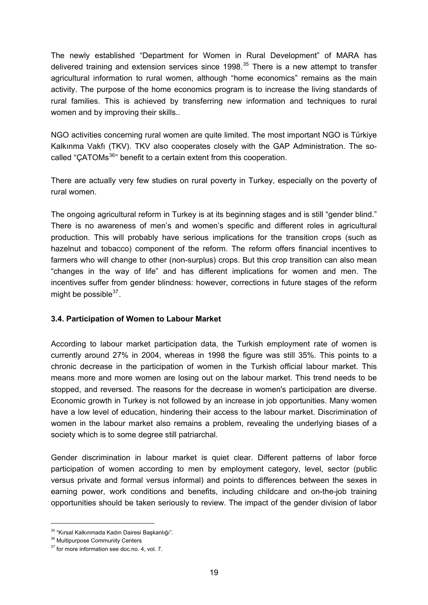<span id="page-23-0"></span>The newly established "Department for Women in Rural Development" of MARA has delivered training and extension services since  $1998$ <sup>[35](#page-23-1)</sup> There is a new attempt to transfer agricultural information to rural women, although "home economics" remains as the main activity. The purpose of the home economics program is to increase the living standards of rural families. This is achieved by transferring new information and techniques to rural women and by improving their skills..

NGO activities concerning rural women are quite limited. The most important NGO is Türkiye Kalkınma Vakfı (TKV). TKV also cooperates closely with the GAP Administration. The so-called "CATOMs<sup>[36](#page-23-2)</sup>" benefit to a certain extent from this cooperation.

There are actually very few studies on rural poverty in Turkey, especially on the poverty of rural women.

The ongoing agricultural reform in Turkey is at its beginning stages and is still "gender blind." There is no awareness of men's and women's specific and different roles in agricultural production. This will probably have serious implications for the transition crops (such as hazelnut and tobacco) component of the reform. The reform offers financial incentives to farmers who will change to other (non-surplus) crops. But this crop transition can also mean "changes in the way of life" and has different implications for women and men. The incentives suffer from gender blindness: however, corrections in future stages of the reform might be possible  $37$ .

## **3.4. Participation of Women to Labour Market**

According to labour market participation data, the Turkish employment rate of women is currently around 27% in 2004, whereas in 1998 the figure was still 35%. This points to a chronic decrease in the participation of women in the Turkish official labour market. This means more and more women are losing out on the labour market. This trend needs to be stopped, and reversed. The reasons for the decrease in women's participation are diverse. Economic growth in Turkey is not followed by an increase in job opportunities. Many women have a low level of education, hindering their access to the labour market. Discrimination of women in the labour market also remains a problem, revealing the underlying biases of a society which is to some degree still patriarchal.

Gender discrimination in labour market is quiet clear. Different patterns of labor force participation of women according to men by employment category, level, sector (public versus private and formal versus informal) and points to differences between the sexes in earning power, work conditions and benefits, including childcare and on-the-job training opportunities should be taken seriously to review. The impact of the gender division of labor

<span id="page-23-1"></span><sup>&</sup>lt;sup>35</sup> "Kırsal Kalkınmada Kadın Dairesi Başkanlığı".<br><sup>36</sup> Multipurpose Community Centers

<span id="page-23-3"></span><span id="page-23-2"></span><sup>&</sup>lt;sup>37</sup> for more information see doc.no. 4, vol. 7.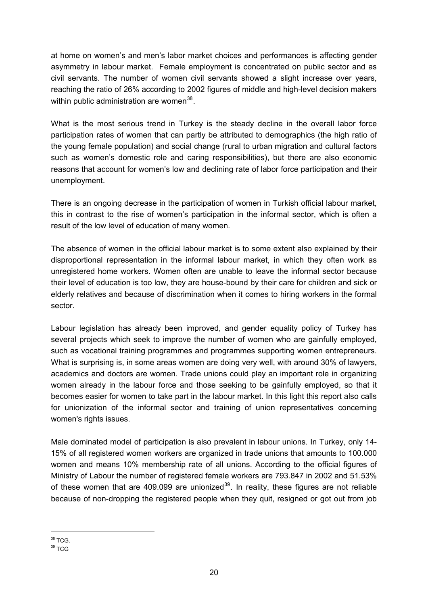at home on women's and men's labor market choices and performances is affecting gender asymmetry in labour market. Female employment is concentrated on public sector and as civil servants. The number of women civil servants showed a slight increase over years, reaching the ratio of 26% according to 2002 figures of middle and high-level decision makers within public administration are women<sup>[38](#page-24-0)</sup>.

What is the most serious trend in Turkey is the steady decline in the overall labor force participation rates of women that can partly be attributed to demographics (the high ratio of the young female population) and social change (rural to urban migration and cultural factors such as women's domestic role and caring responsibilities), but there are also economic reasons that account for women's low and declining rate of labor force participation and their unemployment.

There is an ongoing decrease in the participation of women in Turkish official labour market, this in contrast to the rise of women's participation in the informal sector, which is often a result of the low level of education of many women.

The absence of women in the official labour market is to some extent also explained by their disproportional representation in the informal labour market, in which they often work as unregistered home workers. Women often are unable to leave the informal sector because their level of education is too low, they are house-bound by their care for children and sick or elderly relatives and because of discrimination when it comes to hiring workers in the formal sector.

Labour legislation has already been improved, and gender equality policy of Turkey has several projects which seek to improve the number of women who are gainfully employed, such as vocational training programmes and programmes supporting women entrepreneurs. What is surprising is, in some areas women are doing very well, with around 30% of lawyers, academics and doctors are women. Trade unions could play an important role in organizing women already in the labour force and those seeking to be gainfully employed, so that it becomes easier for women to take part in the labour market. In this light this report also calls for unionization of the informal sector and training of union representatives concerning women's rights issues.

Male dominated model of participation is also prevalent in labour unions. In Turkey, only 14- 15% of all registered women workers are organized in trade unions that amounts to 100.000 women and means 10% membership rate of all unions. According to the official figures of Ministry of Labour the number of registered female workers are 793.847 in 2002 and 51.53% of these women that are 409.099 are unionized<sup>[39](#page-24-1)</sup>. In reality, these figures are not reliable because of non-dropping the registered people when they quit, resigned or got out from job

<sup>-</sup> $38$  TCG.

<span id="page-24-1"></span><span id="page-24-0"></span><sup>39</sup> TCG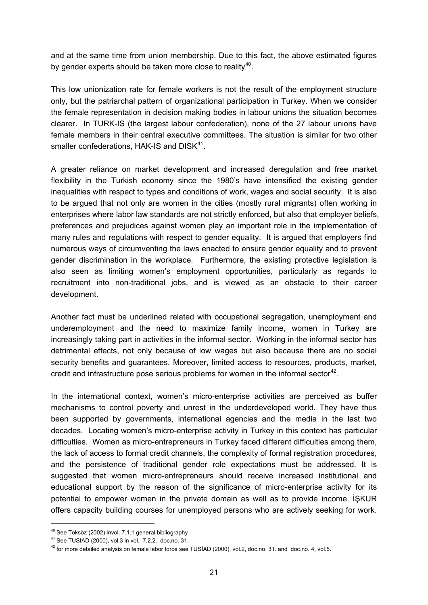and at the same time from union membership. Due to this fact, the above estimated figures by gender experts should be taken more close to reality<sup>[40](#page-25-0)</sup>.

This low unionization rate for female workers is not the result of the employment structure only, but the patriarchal pattern of organizational participation in Turkey. When we consider the female representation in decision making bodies in labour unions the situation becomes clearer. In TURK-IS (the largest labour confederation), none of the 27 labour unions have female members in their central executive committees. The situation is similar for two other smaller confederations, HAK-IS and DISK<sup>[41](#page-25-1)</sup>.

A greater reliance on market development and increased deregulation and free market flexibility in the Turkish economy since the 1980's have intensified the existing gender inequalities with respect to types and conditions of work, wages and social security. It is also to be argued that not only are women in the cities (mostly rural migrants) often working in enterprises where labor law standards are not strictly enforced, but also that employer beliefs, preferences and prejudices against women play an important role in the implementation of many rules and regulations with respect to gender equality. It is argued that employers find numerous ways of circumventing the laws enacted to ensure gender equality and to prevent gender discrimination in the workplace. Furthermore, the existing protective legislation is also seen as limiting women's employment opportunities, particularly as regards to recruitment into non-traditional jobs, and is viewed as an obstacle to their career development.

Another fact must be underlined related with occupational segregation, unemployment and underemployment and the need to maximize family income, women in Turkey are increasingly taking part in activities in the informal sector. Working in the informal sector has detrimental effects, not only because of low wages but also because there are no social security benefits and guarantees. Moreover, limited access to resources, products, market, credit and infrastructure pose serious problems for women in the informal sector<sup>[42](#page-25-2)</sup>.

In the international context, women's micro-enterprise activities are perceived as buffer mechanisms to control poverty and unrest in the underdeveloped world. They have thus been supported by governments, international agencies and the media in the last two decades. Locating women's micro-enterprise activity in Turkey in this context has particular difficulties. Women as micro-entrepreneurs in Turkey faced different difficulties among them, the lack of access to formal credit channels, the complexity of formal registration procedures, and the persistence of traditional gender role expectations must be addressed. It is suggested that women micro-entrepreneurs should receive increased institutional and educational support by the reason of the significance of micro-enterprise activity for its potential to empower women in the private domain as well as to provide income. İŞKUR offers capacity building courses for unemployed persons who are actively seeking for work.

<sup>40</sup> See Toksöz (2002) invol. 7.1.1 general bibliography

<span id="page-25-1"></span><span id="page-25-0"></span><sup>41</sup> See TUSIAD (2000), vol.3 in vol. 7.2.2., doc.no. 31.

<span id="page-25-2"></span><sup>&</sup>lt;sup>42</sup> for more detailed analysis on female labor force see TUSIAD (2000), vol.2, doc.no. 31. and doc.no. 4, vol.5.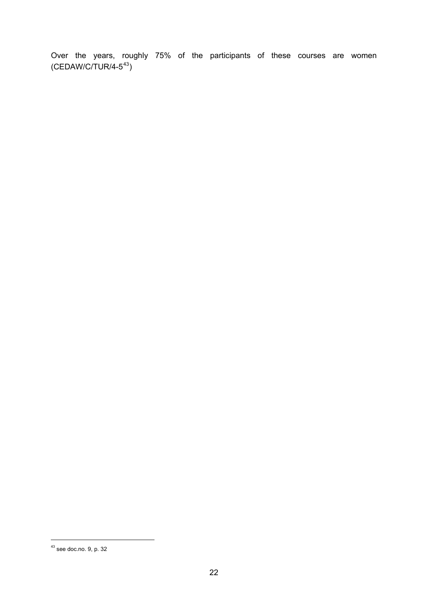Over the years, roughly 75% of the participants of these courses are women  $(CEDAW/C/TUR/4-5^{43})$  $(CEDAW/C/TUR/4-5^{43})$  $(CEDAW/C/TUR/4-5^{43})$ 

<span id="page-26-0"></span> $43$  see doc.no. 9, p. 32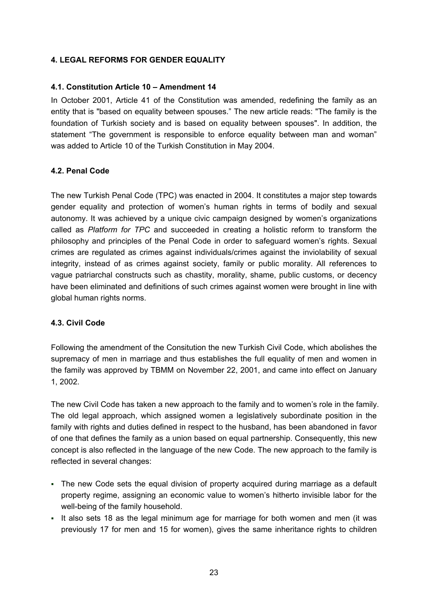## <span id="page-27-0"></span>**4. LEGAL REFORMS FOR GENDER EQUALITY**

#### **4.1. Constitution Article 10 – Amendment 14**

In October 2001, Article 41 of the Constitution was amended, redefining the family as an entity that is "based on equality between spouses." The new article reads: "The family is the foundation of Turkish society and is based on equality between spouses". In addition, the statement "The government is responsible to enforce equality between man and woman" was added to Article 10 of the Turkish Constitution in May 2004.

#### **4.2. Penal Code**

The new Turkish Penal Code (TPC) was enacted in 2004. It constitutes a major step towards gender equality and protection of women's human rights in terms of bodily and sexual autonomy. It was achieved by a unique civic campaign designed by women's organizations called as *Platform for TPC* and succeeded in creating a holistic reform to transform the philosophy and principles of the Penal Code in order to safeguard women's rights. Sexual crimes are regulated as crimes against individuals/crimes against the inviolability of sexual integrity, instead of as crimes against society, family or public morality. All references to vague patriarchal constructs such as chastity, morality, shame, public customs, or decency have been eliminated and definitions of such crimes against women were brought in line with global human rights norms.

#### **4.3. Civil Code**

Following the amendment of the Consitution the new Turkish Civil Code, which abolishes the supremacy of men in marriage and thus establishes the full equality of men and women in the family was approved by TBMM on November 22, 2001, and came into effect on January 1, 2002.

The new Civil Code has taken a new approach to the family and to women's role in the family. The old legal approach, which assigned women a legislatively subordinate position in the family with rights and duties defined in respect to the husband, has been abandoned in favor of one that defines the family as a union based on equal partnership. Consequently, this new concept is also reflected in the language of the new Code. The new approach to the family is reflected in several changes:

- The new Code sets the equal division of property acquired during marriage as a default property regime, assigning an economic value to women's hitherto invisible labor for the well-being of the family household.
- It also sets 18 as the legal minimum age for marriage for both women and men (it was previously 17 for men and 15 for women), gives the same inheritance rights to children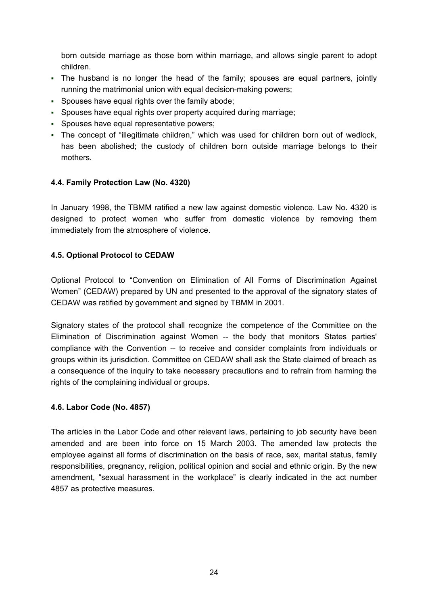<span id="page-28-0"></span>born outside marriage as those born within marriage, and allows single parent to adopt children.

- The husband is no longer the head of the family; spouses are equal partners, jointly running the matrimonial union with equal decision-making powers;
- Spouses have equal rights over the family abode;
- Spouses have equal rights over property acquired during marriage;
- Spouses have equal representative powers;
- The concept of "illegitimate children," which was used for children born out of wedlock, has been abolished; the custody of children born outside marriage belongs to their mothers.

## **4.4. Family Protection Law (No. 4320)**

In January 1998, the TBMM ratified a new law against domestic violence. Law No. 4320 is designed to protect women who suffer from domestic violence by removing them immediately from the atmosphere of violence.

#### **4.5. Optional Protocol to CEDAW**

Optional Protocol to "Convention on Elimination of All Forms of Discrimination Against Women" (CEDAW) prepared by UN and presented to the approval of the signatory states of CEDAW was ratified by government and signed by TBMM in 2001.

Signatory states of the protocol shall recognize the competence of the Committee on the Elimination of Discrimination against Women -- the body that monitors States parties' compliance with the Convention -- to receive and consider complaints from individuals or groups within its jurisdiction. Committee on CEDAW shall ask the State claimed of breach as a consequence of the inquiry to take necessary precautions and to refrain from harming the rights of the complaining individual or groups.

## **4.6. Labor Code (No. 4857)**

The articles in the Labor Code and other relevant laws, pertaining to job security have been amended and are been into force on 15 March 2003. The amended law protects the employee against all forms of discrimination on the basis of race, sex, marital status, family responsibilities, pregnancy, religion, political opinion and social and ethnic origin. By the new amendment, "sexual harassment in the workplace" is clearly indicated in the act number 4857 as protective measures.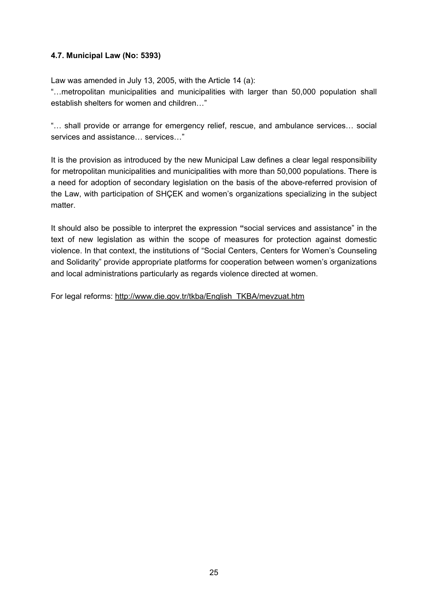## <span id="page-29-0"></span>**4.7. Municipal Law (No: 5393)**

Law was amended in July 13, 2005, with the Article 14 (a):

"…metropolitan municipalities and municipalities with larger than 50,000 population shall establish shelters for women and children…"

"… shall provide or arrange for emergency relief, rescue, and ambulance services… social services and assistance… services…"

It is the provision as introduced by the new Municipal Law defines a clear legal responsibility for metropolitan municipalities and municipalities with more than 50,000 populations. There is a need for adoption of secondary legislation on the basis of the above-referred provision of the Law, with participation of SHÇEK and women's organizations specializing in the subject matter.

It should also be possible to interpret the expression **"**social services and assistance" in the text of new legislation as within the scope of measures for protection against domestic violence. In that context, the institutions of "Social Centers, Centers for Women's Counseling and Solidarity" provide appropriate platforms for cooperation between women's organizations and local administrations particularly as regards violence directed at women.

For legal reforms: [http://www.die.gov.tr/tkba/English\\_TKBA/mevzuat.htm](http://www.die.gov.tr/tkba/English_TKBA/mevzuat.htm)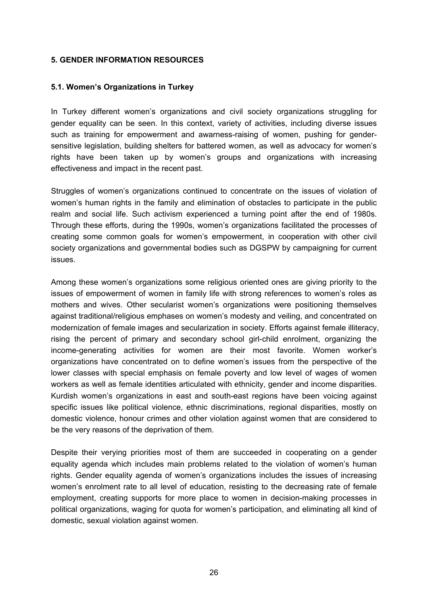#### <span id="page-30-0"></span>**5. GENDER INFORMATION RESOURCES**

#### **5.1. Women's Organizations in Turkey**

In Turkey different women's organizations and civil society organizations struggling for gender equality can be seen. In this context, variety of activities, including diverse issues such as training for empowerment and awarness-raising of women, pushing for gendersensitive legislation, building shelters for battered women, as well as advocacy for women's rights have been taken up by women's groups and organizations with increasing effectiveness and impact in the recent past.

Struggles of women's organizations continued to concentrate on the issues of violation of women's human rights in the family and elimination of obstacles to participate in the public realm and social life. Such activism experienced a turning point after the end of 1980s. Through these efforts, during the 1990s, women's organizations facilitated the processes of creating some common goals for women's empowerment, in cooperation with other civil society organizations and governmental bodies such as DGSPW by campaigning for current issues.

Among these women's organizations some religious oriented ones are giving priority to the issues of empowerment of women in family life with strong references to women's roles as mothers and wives. Other secularist women's organizations were positioning themselves against traditional/religious emphases on women's modesty and veiling, and concentrated on modernization of female images and secularization in society. Efforts against female illiteracy, rising the percent of primary and secondary school girl-child enrolment, organizing the income-generating activities for women are their most favorite. Women worker's organizations have concentrated on to define women's issues from the perspective of the lower classes with special emphasis on female poverty and low level of wages of women workers as well as female identities articulated with ethnicity, gender and income disparities. Kurdish women's organizations in east and south-east regions have been voicing against specific issues like political violence, ethnic discriminations, regional disparities, mostly on domestic violence, honour crimes and other violation against women that are considered to be the very reasons of the deprivation of them.

Despite their verying priorities most of them are succeeded in cooperating on a gender equality agenda which includes main problems related to the violation of women's human rights. Gender equality agenda of women's organizations includes the issues of increasing women's enrolment rate to all level of education, resisting to the decreasing rate of female employment, creating supports for more place to women in decision-making processes in political organizations, waging for quota for women's participation, and eliminating all kind of domestic, sexual violation against women.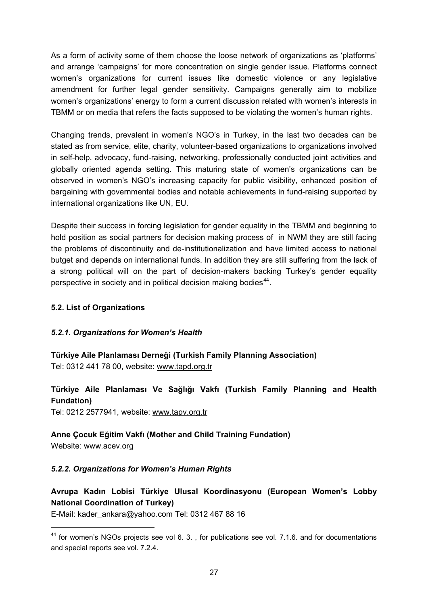<span id="page-31-0"></span>As a form of activity some of them choose the loose network of organizations as 'platforms' and arrange 'campaigns' for more concentration on single gender issue. Platforms connect women's organizations for current issues like domestic violence or any legislative amendment for further legal gender sensitivity. Campaigns generally aim to mobilize women's organizations' energy to form a current discussion related with women's interests in TBMM or on media that refers the facts supposed to be violating the women's human rights.

Changing trends, prevalent in women's NGO's in Turkey, in the last two decades can be stated as from service, elite, charity, volunteer-based organizations to organizations involved in self-help, advocacy, fund-raising, networking, professionally conducted joint activities and globally oriented agenda setting. This maturing state of women's organizations can be observed in women's NGO's increasing capacity for public visibility, enhanced position of bargaining with governmental bodies and notable achievements in fund-raising supported by international organizations like UN, EU.

Despite their success in forcing legislation for gender equality in the TBMM and beginning to hold position as social partners for decision making process of in NWM they are still facing the problems of discontinuity and de-institutionalization and have limited access to national butget and depends on international funds. In addition they are still suffering from the lack of a strong political will on the part of decision-makers backing Turkey's gender equality perspective in society and in political decision making bodies<sup>[44](#page-31-1)</sup>.

## **5.2. List of Organizations**

-

## *5.2.1. Organizations for Women's Health*

**Türkiye Aile Planlaması Derneği (Turkish Family Planning Association)**  Tel: 0312 441 78 00, website: [www.tapd.org.tr](http://www.tapd.org.tr/)

# **Türkiye Aile Planlaması Ve Sağlığı Vakfı (Turkish Family Planning and Health Fundation)**

Tel: 0212 2577941, website: [www.tapv.org.tr](http://www.tapv.org.tr/) 

## **Anne Çocuk Eğitim Vakfı (Mother and Child Training Fundation)**  Website: [www.acev.org](http://www.acev.org/)

## *5.2.2. Organizations for Women's Human Rights*

# **Avrupa Kadın Lobisi Türkiye Ulusal Koordinasyonu (European Women's Lobby National Coordination of Turkey)**

E-Mail: [kader\\_ankara@yahoo.com](mailto:kader_ankara@yahoo.com) Tel: 0312 467 88 16

<span id="page-31-1"></span> $44$  for women's NGOs projects see vol 6. 3., for publications see vol. 7.1.6. and for documentations and special reports see vol. 7.2.4.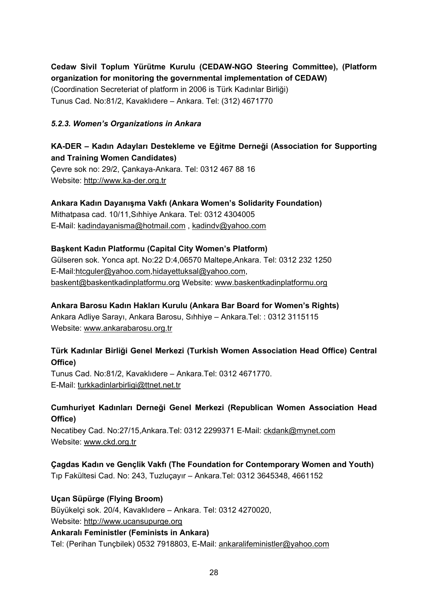<span id="page-32-0"></span>**Cedaw Sivil Toplum Yürütme Kurulu (CEDAW-NGO Steering Committee), (Platform organization for monitoring the governmental implementation of CEDAW)** (Coordination Secreteriat of platform in 2006 is Türk Kadınlar Birliği)

Tunus Cad. No:81/2, Kavaklıdere – Ankara. Tel: (312) 4671770

## *5.2.3. Women's Organizations in Ankara*

# **KA-DER – Kadın Adayları Destekleme ve Eğitme Derneği (Association for Supporting and Training Women Candidates)**

Çevre sok no: 29/2, Çankaya-Ankara. Tel: 0312 467 88 16 Website: [http://www.ka-der.org.tr](http://www.ka-der.org.tr/)

# **Ankara Kadın Dayanışma Vakfı (Ankara Women's Solidarity Foundation)**

Mithatpasa cad. 10/11,Sıhhiye Ankara. Tel: 0312 4304005 E-Mail: [kadindayanisma@hotmail.com](mailto:kadindayanisma@hotmail.com) , [kadindv@yahoo.com](mailto:kadindv@yahoo.com)

## **Başkent Kadın Platformu (Capital City Women's Platform)**

Gülseren sok. Yonca apt. No:22 D:4,06570 Maltepe,Ankara. Tel: 0312 232 1250 E-Mail[:htcguler@yahoo.com](mailto:htcguler@yahoo.com)[,hidayettuksal@yahoo.com](mailto:hidayettuksal@yahoo.com), [baskent@baskentkadinplatformu.org](mailto:baskent@baskentkadinplatformu.org) Website: [www.baskentkadinplatformu.org](http://www.baskentkadinplatformu.org/) 

#### **Ankara Barosu Kadın Hakları Kurulu (Ankara Bar Board for Women's Rights)**

Ankara Adliye Sarayı, Ankara Barosu, Sıhhiye – Ankara.Tel: : 0312 3115115 Website: [www.ankarabarosu.org.tr](http://www.ankarabarosu.org.tr/) 

## **Türk Kadınlar Birliği Genel Merkezi (Turkish Women Association Head Office) Central Office)**

Tunus Cad. No:81/2, Kavaklıdere – Ankara.Tel: 0312 4671770. E-Mail: [turkkadinlarbirligi@ttnet.net.tr](mailto:turkkadinlarbirligi@ttnet.net.tr)

# **Cumhuriyet Kadınları Derneği Genel Merkezi (Republican Women Association Head Office)**

Necatibey Cad. No:27/15,Ankara.Tel: 0312 2299371 E-Mail: [ckdank@mynet.com](mailto:ckdank@mynet.com) Website: [www.ckd.org.tr](http://www.ckd.org.tr/)

# **Çagdas Kadın ve Gençlik Vakfı (The Foundation for Contemporary Women and Youth)**

Tıp Fakültesi Cad. No: 243, Tuzluçayır – Ankara.Tel: 0312 3645348, 4661152

## **Uçan Süpürge (Flying Broom)**

Büyükelçi sok. 20/4, Kavaklıdere – Ankara. Tel: 0312 4270020, Website: [http://www.ucansupurge.org](http://www.ucansupurge.org/)  **Ankaralı Feministler (Feminists in Ankara)**  Tel: (Perihan Tunçbilek) 0532 7918803, E-Mail: [ankaralifeministler@yahoo.com](mailto:ankaralifeministler@yahoo.com)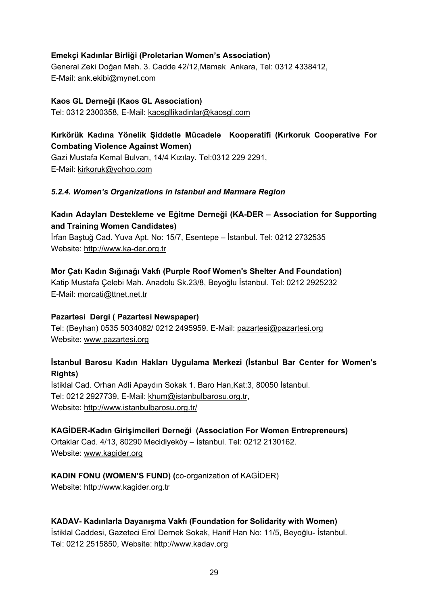## <span id="page-33-0"></span>**Emekçi Kadınlar Birliği (Proletarian Women's Association)**

General Zeki Doğan Mah. 3. Cadde 42/12,Mamak Ankara, Tel: 0312 4338412, E-Mail: [ank.ekibi@mynet.com](mailto:ank.ekibi@mynet.com) 

#### **Kaos GL Derneği (Kaos GL Association)**

Tel: 0312 2300358, E-Mail: [kaosgllikadinlar@kaosgl.com](mailto:kaosgllikadinlar@kaosgl.com)

# **Kırkörük Kadına Yönelik Şiddetle Mücadele Kooperatifi (Kırkoruk Cooperative For Combating Violence Against Women)**

Gazi Mustafa Kemal Bulvarı, 14/4 Kızılay. Tel:0312 229 2291, E-Mail: [kirkoruk@yohoo.com](mailto:kirkoruk@yohoo.com)

#### *5.2.4. Women's Organizations in Istanbul and Marmara Region*

# **Kadın Adayları Destekleme ve Eğitme Derneği (KA-DER – Association for Supporting and Training Women Candidates)**

İrfan Baştuğ Cad. Yuva Apt. No: 15/7, Esentepe – İstanbul. Tel: 0212 2732535 Website: [http://www.ka-der.org.tr](http://www.ka-der.org.tr/)

# **Mor Çatı Kadın Sığınağı Vakfı (Purple Roof Women's Shelter And Foundation)**

Katip Mustafa Çelebi Mah. Anadolu Sk.23/8, Beyoğlu İstanbul. Tel: 0212 2925232 E-Mail: [morcati@ttnet.net.tr](mailto:morcati@ttnet.net.tr)

#### **Pazartesi Dergi ( Pazartesi Newspaper)**

Tel: (Beyhan) 0535 5034082/ 0212 2495959. E-Mail: [pazartesi@pazartesi.org](mailto:pazartesi@pazartesi.org) Website: [www.pazartesi.org](http://www.pazartesi.org/)

## **İstanbul Barosu Kadın Hakları Uygulama Merkezi (İstanbul Bar Center for Women's Rights)**

İstiklal Cad. Orhan Adli Apaydın Sokak 1. Baro Han,Kat:3, 80050 İstanbul. Tel: 0212 2927739, E-Mail: [khum@istanbulbarosu.org.tr](mailto:khum@istanbulbarosu.org.tr), Website: <http://www.istanbulbarosu.org.tr/>

#### **KAGİDER-Kadın Girişimcileri Derneği (Association For Women Entrepreneurs)**

Ortaklar Cad. 4/13, 80290 Mecidiyeköy – İstanbul. Tel: 0212 2130162. Website: [www.kagider.org](http://www.kagider.org/) 

# **KADIN FONU (WOMEN'S FUND) (**co-organization of KAGİDER)

Website: [http://www.kagider.org.tr](http://www.kagider.org.tr/)

## **KADAV- Kadınlarla Dayanışma Vakfı (Foundation for Solidarity with Women)**

İstiklal Caddesi, Gazeteci Erol Dernek Sokak, Hanif Han No: 11/5, Beyoğlu- İstanbul. Tel: 0212 2515850, Website: [http://www.kadav.org](http://www.kadav.org/)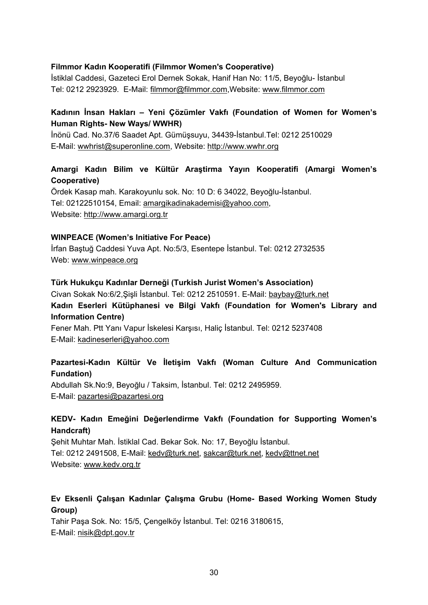## **Filmmor Kadın Kooperatifi (Filmmor Women's Cooperative)**

İstiklal Caddesi, Gazeteci Erol Dernek Sokak, Hanif Han No: 11/5, Beyoğlu- İstanbul Tel: 0212 2923929. E-Mail: [filmmor@filmmor.com](mailto:filmmor@filmmor.com),Website: [www.filmmor.com](http://www.filmmor.com/) 

# **Kadının İnsan Hakları – Yeni Çözümler Vakfı (Foundation of Women for Women's Human Rights- New Ways/ WWHR)**

İnönü Cad. No.37/6 Saadet Apt. Gümüşsuyu, 34439-İstanbul.Tel: 0212 2510029 E-Mail: [wwhrist@superonline.com,](mailto:wwhrist@superonline.com) Website: [http://www.wwhr.org](http://www.wwhr.org/) 

## **Amargi Kadın Bilim ve Kültür Araştirma Yayın Kooperatifi (Amargi Women's Cooperative)**

Ördek Kasap mah. Karakoyunlu sok. No: 10 D: 6 34022, Beyoğlu-İstanbul. Tel: 02122510154, Email: [amargikadinakademisi@yahoo.com,](mailto:amargikadinakademisi@yahoo.com) Website: [http://www.amargi.org.tr](http://www.amargi.org.tr/)

#### **WINPEACE (Women's Initiative For Peace)**

İrfan Baştuğ Caddesi Yuva Apt. No:5/3, Esentepe İstanbul. Tel: 0212 2732535 Web: [www.winpeace.org](http://www.winpeace.org/)

#### **Türk Hukukçu Kadınlar Derneği (Turkish Jurist Women's Association)**

Civan Sokak No:6/2,Şişli İstanbul. Tel: 0212 2510591. E-Mail: [baybay@turk.net](mailto:baybay@turk.net) **Kadın Eserleri Kütüphanesi ve Bilgi Vakfı (Foundation for Women's Library and Information Centre)** 

Fener Mah. Ptt Yanı Vapur İskelesi Karşısı, Haliç İstanbul. Tel: 0212 5237408 E-Mail: [kadineserleri@yahoo.com](mailto:kadineserleri@yahoo.com) 

# **Pazartesi-Kadın Kültür Ve İletişim Vakfı (Woman Culture And Communication Fundation)**

Abdullah Sk.No:9, Beyoğlu / Taksim, İstanbul. Tel: 0212 2495959. E-Mail: [pazartesi@pazartesi.org](mailto:pazartesi@pazartesi.org)

# **KEDV- Kadın Emeğini Değerlendirme Vakfı (Foundation for Supporting Women's Handcraft)**

Şehit Muhtar Mah. İstiklal Cad. Bekar Sok. No: 17, Beyoğlu İstanbul. Tel: 0212 2491508, E-Mail: [kedv@turk.net](mailto:kedv@turk.net), [sakcar@turk.net,](mailto:sakcar@turk.net) [kedv@ttnet.net](mailto:kedv@ttnet.net) Website: [www.kedv.org.tr](http://www.kedv.org.tr/)

# **Ev Eksenli Çalışan Kadınlar Çalışma Grubu (Home- Based Working Women Study Group)**

Tahir Paşa Sok. No: 15/5, Çengelköy İstanbul. Tel: 0216 3180615, E-Mail: [nisik@dpt.gov.tr](mailto:nisik@dpt.gov.tr)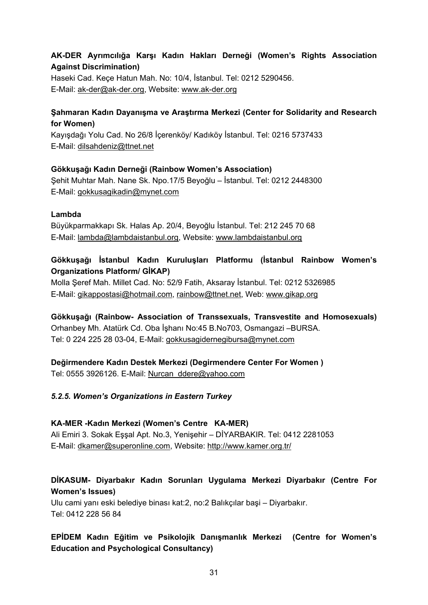# <span id="page-35-0"></span>**AK-DER Ayrımcılığa Karşı Kadın Hakları Derneği (Women's Rights Association Against Discrimination)**

Haseki Cad. Keçe Hatun Mah. No: 10/4, İstanbul. Tel: 0212 5290456. E-Mail: [ak-der@ak-der.org,](mailto:ak-der@ak-der.org) Website: [www.ak-der.org](http://www.ak-der.org/) 

# **Şahmaran Kadın Dayanışma ve Araştırma Merkezi (Center for Solidarity and Research for Women)**

Kayışdağı Yolu Cad. No 26/8 İçerenköy/ Kadıköy İstanbul. Tel: 0216 5737433 E-Mail: [dilsahdeniz@ttnet.net](mailto:dilsahdeniz@ttnet.net)

# **Gökkuşağı Kadın Derneği (Rainbow Women's Association)**

Şehit Muhtar Mah. Nane Sk. Npo.17/5 Beyoğlu – İstanbul. Tel: 0212 2448300 E-Mail: [gokkusagikadin@mynet.com](mailto:gokkusagikadin@mynet.com)

## **Lambda**

Büyükparmakkapı Sk. Halas Ap. 20/4, Beyoğlu İstanbul. Tel: 212 245 70 68 E-Mail: [lambda@lambdaistanbul.org](mailto:lambda@lambdaistanbul.org), Website: [www.lambdaistanbul.org](http://www.lambdaistanbul.org/)

# **Gökkuşağı İstanbul Kadın Kuruluşları Platformu (İstanbul Rainbow Women's Organizations Platform/ GİKAP)**

Molla Şeref Mah. Millet Cad. No: 52/9 Fatih, Aksaray İstanbul. Tel: 0212 5326985 E-Mail: [gikappostasi@hotmail.com,](mailto:gikappostasi@hotmail.com) [rainbow@ttnet.net](mailto:rainbow@ttnet.net), Web: [www.gikap.org](http://www.gikap.org/)

**Gökkuşağı (Rainbow- Association of Transsexuals, Transvestite and Homosexuals)** Orhanbey Mh. Atatürk Cd. Oba İşhanı No:45 B.No703, Osmangazi –BURSA. Tel: 0 224 225 28 03-04, E-Mail: [gokkusagidernegibursa@mynet.com](mailto:gokkusagidernegibursa@mynet.com) 

## **Değirmendere Kadın Destek Merkezi (Degirmendere Center For Women )**

Tel: 0555 3926126. E-Mail: [Nurcan\\_ddere@yahoo.com](mailto:Nurcan_ddere@yahoo.com) 

## *5.2.5. Women's Organizations in Eastern Turkey*

## **KA-MER -Kadın Merkezi (Women's Centre KA-MER)**

Ali Emiri 3. Sokak Eşşal Apt. No.3, Yenişehir – DİYARBAKIR. Tel: 0412 2281053 E-Mail: [dkamer@superonline.com,](mailto:dkamer@superonline.com) Website: <http://www.kamer.org.tr/>

# **DİKASUM- Diyarbakır Kadın Sorunları Uygulama Merkezi Diyarbakır (Centre For Women's Issues)**

Ulu cami yanı eski belediye binası kat:2, no:2 Balıkçılar başi – Diyarbakır. Tel: 0412 228 56 84

# **EPİDEM Kadın Eğitim ve Psikolojik Danışmanlık Merkezi (Centre for Women's Education and Psychological Consultancy)**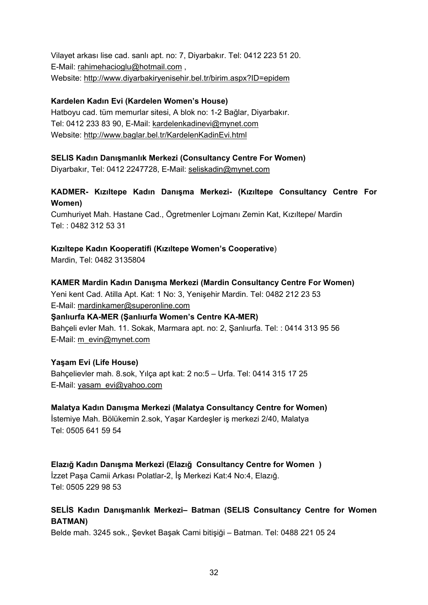Vilayet arkası lise cad. sanlı apt. no: 7, Diyarbakır. Tel: 0412 223 51 20. E-Mail: [rahimehacioglu@hotmail.com](mailto:rahimehacioglu@hotmail.com) , Website: <http://www.diyarbakiryenisehir.bel.tr/birim.aspx?ID=epidem>

#### **Kardelen Kadın Evi (Kardelen Women's House)**

Hatboyu cad. tüm memurlar sitesi, A blok no: 1-2 Bağlar, Diyarbakır. Tel: 0412 233 83 90, E-Mail: [kardelenkadinevi@mynet.com](mailto:kardelenkadinevi@mynet.com)  Website: <http://www.baglar.bel.tr/KardelenKadinEvi.html>

### **SELIS Kadın Danışmanlık Merkezi (Consultancy Centre For Women)**

Diyarbakır, Tel: 0412 2247728, E-Mail: [seliskadin@mynet.com](mailto:seliskadin@mynet.com) 

# **KADMER- Kızıltepe Kadın Danışma Merkezi- (Kızıltepe Consultancy Centre For Women)**

Cumhuriyet Mah. Hastane Cad., Ögretmenler Lojmanı Zemin Kat, Kızıltepe/ Mardin Tel: : 0482 312 53 31

# **Kızıltepe Kadın Kooperatifi (Kızıltepe Women's Cooperative**)

Mardin, Tel: 0482 3135804

### **KAMER Mardin Kadın Danışma Merkezi (Mardin Consultancy Centre For Women)**

Yeni kent Cad. Atilla Apt. Kat: 1 No: 3, Yenişehir Mardin. Tel: 0482 212 23 53 E-Mail: [mardinkamer@superonline.com](mailto:mardinkamer@superonline.com)

### **Şanlıurfa KA-MER (Şanlıurfa Women's Centre KA-MER)**

Bahçeli evler Mah. 11. Sokak, Marmara apt. no: 2, Şanlıurfa. Tel: : 0414 313 95 56 E-Mail: [m\\_evin@mynet.com](mailto:m_evin@mynet.com) 

### **Yaşam Evi (Life House)**

Bahçelievler mah. 8.sok, Yılça apt kat: 2 no:5 – Urfa. Tel: 0414 315 17 25 E-Mail: [yasam\\_evi@yahoo.com](mailto:yasam_evi@yahoo.com)

### **Malatya Kadın Danışma Merkezi (Malatya Consultancy Centre for Women)**

İstemiye Mah. Bölükemin 2.sok, Yaşar Kardeşler iş merkezi 2/40, Malatya Tel: 0505 641 59 54

### **Elazığ Kadın Danışma Merkezi (Elazığ Consultancy Centre for Women )**

İzzet Paşa Camii Arkası Polatlar-2, İş Merkezi Kat:4 No:4, Elazığ. Tel: 0505 229 98 53

# **SELİS Kadın Danışmanlık Merkezi– Batman (SELIS Consultancy Centre for Women BATMAN)**

Belde mah. 3245 sok., Şevket Başak Cami bitişiği – Batman. Tel: 0488 221 05 24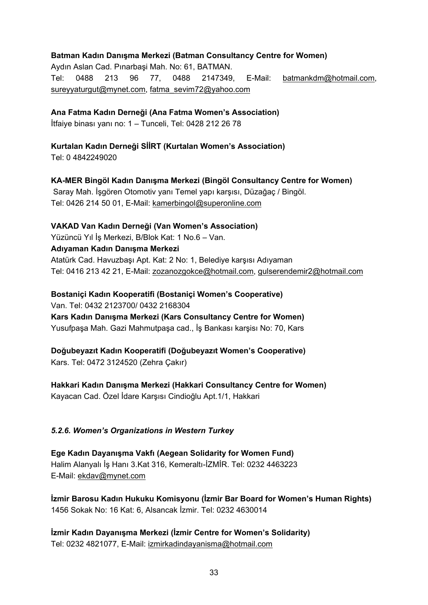### **Batman Kadın Danışma Merkezi (Batman Consultancy Centre for Women)**

Aydın Aslan Cad. Pınarbaşi Mah. No: 61, BATMAN. Tel: 0488 213 96 77, 0488 2147349, E-Mail: [batmankdm@hotmail.com](mailto:batmankdm@hotmail.com), [sureyyaturgut@mynet.com,](mailto:sureyyaturgut@mynet.com) [fatma\\_sevim72@yahoo.com](mailto:fatma_sevim72@yahoo.com)

### **Ana Fatma Kadın Derneği (Ana Fatma Women's Association)**  İtfaiye binası yanı no: 1 – Tunceli, Tel: 0428 212 26 78

#### **Kurtalan Kadın Derneği SİİRT (Kurtalan Women's Association)**  Tel: 0 4842249020

**KA-MER Bingöl Kadın Danışma Merkezi (Bingöl Consultancy Centre for Women)**  Saray Mah. İşgören Otomotiv yanı Temel yapı karşısı, Düzağaç / Bingöl. Tel: 0426 214 50 01, E-Mail: [kamerbingol@superonline.com](mailto:kamerbingol@superonline.com) 

### **VAKAD Van Kadın Derneği (Van Women's Association)**

Yüzüncü Yıl İş Merkezi, B/Blok Kat: 1 No.6 – Van.

### **Adıyaman Kadın Danışma Merkezi**

Atatürk Cad. Havuzbaşı Apt. Kat: 2 No: 1, Belediye karşısı Adıyaman Tel: 0416 213 42 21, E-Mail: [zozanozgokce@hotmail.com,](mailto:zozanozgokce@hotmail.com) [gulserendemir2@hotmail.com](mailto:gulserendemir2@hotmail.com)

**Bostaniçi Kadın Kooperatifi (Bostaniçi Women's Cooperative)** 

Van. Tel: 0432 2123700/ 0432 2168304

**Kars Kadın Danışma Merkezi (Kars Consultancy Centre for Women)**  Yusufpasa Mah. Gazi Mahmutpasa cad., İs Bankası karsisı No: 70, Kars

**Doğubeyazıt Kadın Kooperatifi (Doğubeyazıt Women's Cooperative)**  Kars. Tel: 0472 3124520 (Zehra Çakır)

**Hakkari Kadın Danışma Merkezi (Hakkari Consultancy Centre for Women)**  Kayacan Cad. Özel İdare Karşısı Cindioğlu Apt.1/1, Hakkari

# *5.2.6. Women's Organizations in Western Turkey*

**Ege Kadın Dayanışma Vakfı (Aegean Solidarity for Women Fund)**  Halim Alanyalı İş Hanı 3.Kat 316, Kemeraltı-İZMİR. Tel: 0232 4463223 E-Mail: [ekdav@mynet.com](mailto:ekdav@mynet.com)

**İzmir Barosu Kadın Hukuku Komisyonu (İzmir Bar Board for Women's Human Rights)**  1456 Sokak No: 16 Kat: 6, Alsancak İzmir. Tel: 0232 4630014

**İzmir Kadın Dayanışma Merkezi (İzmir Centre for Women's Solidarity)**  Tel: 0232 4821077, E-Mail: [izmirkadindayanisma@hotmail.com](mailto:izmirkadindayanisma@hotmail.com)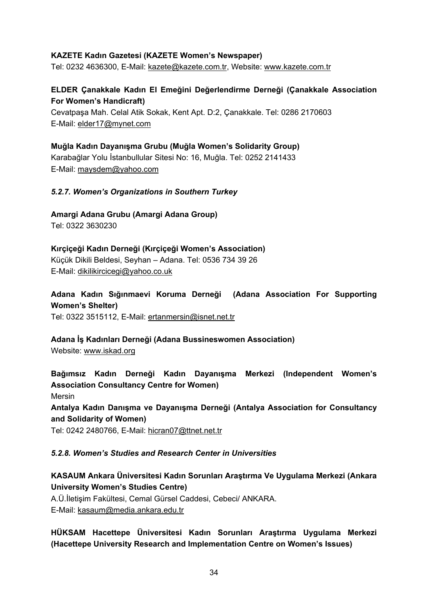#### **KAZETE Kadın Gazetesi (KAZETE Women's Newspaper)**

Tel: 0232 4636300, E-Mail: [kazete@kazete.com.tr,](mailto:kazete@kazete.com.tr) Website: [www.kazete.com.tr](http://www.kazete.com.tr/) 

# **ELDER Çanakkale Kadın El Emeğini Değerlendirme Derneği (Çanakkale Association For Women's Handicraft)**

Cevatpaşa Mah. Celal Atik Sokak, Kent Apt. D:2, Çanakkale. Tel: 0286 2170603 E-Mail: [elder17@mynet.com](mailto:elder17@mynet.com) 

**Muğla Kadın Dayanışma Grubu (Muğla Women's Solidarity Group)**  Karabağlar Yolu İstanbullular Sitesi No: 16, Muğla. Tel: 0252 2141433 E-Mail: [maysdem@yahoo.com](mailto:maysdem@yahoo.com) 

### *5.2.7. Women's Organizations in Southern Turkey*

**Amargi Adana Grubu (Amargi Adana Group)** 

Tel: 0322 3630230

**Kırçiçeği Kadın Derneği (Kırçiçeği Women's Association)**  Küçük Dikili Beldesi, Seyhan – Adana. Tel: 0536 734 39 26 E-Mail: [dikilikircicegi@yahoo.co.uk](mailto:dikilikircicegi@yahoo.co.uk) 

# **Adana Kadın Sığınmaevi Koruma Derneği (Adana Association For Supporting Women's Shelter)**

Tel: 0322 3515112, E-Mail: [ertanmersin@isnet.net.tr](mailto:ertanmersin@isnet.net.tr) 

**Adana İş Kadınları Derneği (Adana Bussineswomen Association)**  Website: [www.iskad.org](http://www.iskad.org/)

**Bağımsız Kadın Derneği Kadın Dayanışma Merkezi (Independent Women's Association Consultancy Centre for Women)**  Mersin **Antalya Kadın Danışma ve Dayanışma Derneği (Antalya Association for Consultancy and Solidarity of Women)**  Tel: 0242 2480766, E-Mail: [hicran07@ttnet.net.tr](mailto:hicran07@ttnet.net.tr)

### *5.2.8. Women's Studies and Research Center in Universities*

# **KASAUM Ankara Üniversitesi Kadın Sorunları Araştırma Ve Uygulama Merkezi (Ankara University Women's Studies Centre)**

A.Ü.İletişim Fakültesi, Cemal Gürsel Caddesi, Cebeci/ ANKARA. E-Mail: [kasaum@media.ankara.edu.tr](mailto:kasaum@media.ankara.edu.tr)

**HÜKSAM Hacettepe Üniversitesi Kadın Sorunları Araştırma Uygulama Merkezi (Hacettepe University Research and Implementation Centre on Women's Issues)**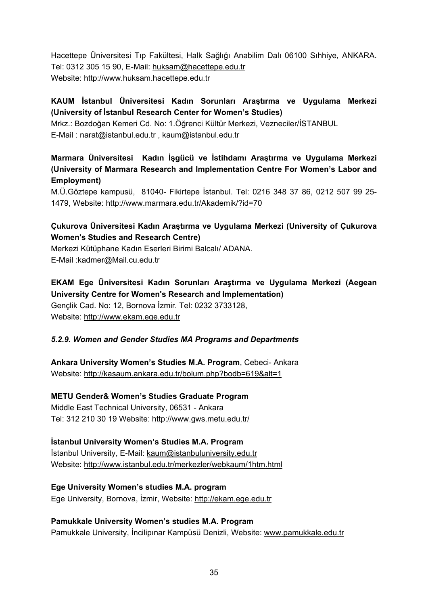Hacettepe Üniversitesi Tıp Fakültesi, Halk Sağlığı Anabilim Dalı 06100 Sıhhiye, ANKARA. Tel: 0312 305 15 90, E-Mail: [huksam@hacettepe.edu.tr](mailto:huksam@hacettepe.edu.tr) Website: [http://www.huksam.hacettepe.edu.tr](http://www.huksam.hacettepe.edu.tr/)

# **KAUM İstanbul Üniversitesi Kadın Sorunları Araştırma ve Uygulama Merkezi (University of İstanbul Research Center for Women's Studies)**

Mrkz.: Bozdoğan Kemeri Cd. No: 1.Öğrenci Kültür Merkezi, Vezneciler/İSTANBUL E-Mail : [narat@istanbul.edu.tr](mailto:narat@istanbul.edu.tr) , [kaum@istanbul.edu.tr](mailto:kaum@istanbul.edu.tr) 

**Marmara Üniversitesi Kadın İşgücü ve İstihdamı Araştırma ve Uygulama Merkezi (University of Marmara Research and Implementation Centre For Women's Labor and Employment)** 

M.Ü.Göztepe kampusü, 81040- Fikirtepe İstanbul. Tel: 0216 348 37 86, 0212 507 99 25- 1479, Website:<http://www.marmara.edu.tr/Akademik/?id=70>

# **Çukurova Üniversitesi Kadın Araştırma ve Uygulama Merkezi (University of Çukurova Women's Studies and Research Centre)**

Merkezi Kütüphane Kadın Eserleri Birimi Balcalı/ ADANA. E-Mail [:kadmer@Mail.cu.edu.tr](mailto:kadmer@mail.cu.edu.tr)

# **EKAM Ege Üniversitesi Kadın Sorunları Araştırma ve Uygulama Merkezi (Aegean University Centre for Women's Research and Implementation)**

Gençlik Cad. No: 12, Bornova İzmir. Tel: 0232 3733128, Website: [http://www.ekam.ege.edu.tr](http://www.ekam.ege.edu.tr/) 

# *5.2.9. Women and Gender Studies MA Programs and Departments*

**Ankara University Women's Studies M.A. Program**, Cebeci- Ankara Website: <http://kasaum.ankara.edu.tr/bolum.php?bodb=619&alt=1>

**METU Gender& Women's Studies Graduate Program**  Middle East Technical University, 06531 - Ankara Tel: 312 210 30 19 Website: <http://www.gws.metu.edu.tr/>

**İstanbul University Women's Studies M.A. Program**  İstanbul University, E-Mail: [kaum@istanbuluniversity.edu.tr](mailto:kaum@istanbuluniversity.edu.tr)  Website: <http://www.istanbul.edu.tr/merkezler/webkaum/1htm.html>

**Ege University Women's studies M.A. program**  Ege University, Bornova, İzmir, Website: [http://ekam.ege.edu.tr](http://ekam.ege.edu.tr/) 

**Pamukkale University Women's studies M.A. Program**  Pamukkale University, İncilipınar Kampüsü Denizli, Website: [www.pamukkale.edu.tr](http://www.pamukkale.edu.tr/)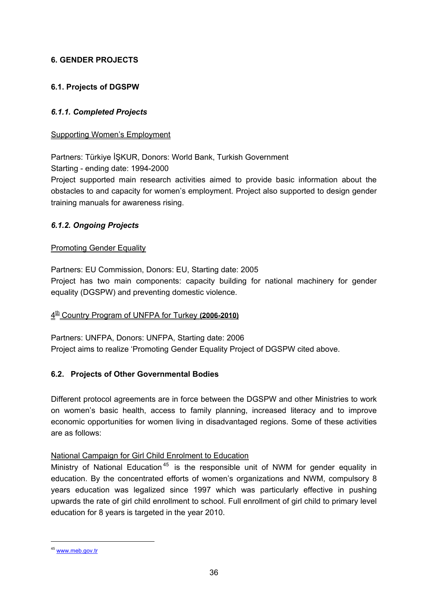### **6. GENDER PROJECTS**

# **6.1. Projects of DGSPW**

### *6.1.1. Completed Projects*

### Supporting Women's Employment

Partners: Türkiye İŞKUR, Donors: World Bank, Turkish Government

Starting - ending date: 1994-2000

Project supported main research activities aimed to provide basic information about the obstacles to and capacity for women's employment. Project also supported to design gender training manuals for awareness rising.

### *6.1.2. Ongoing Projects*

### Promoting Gender Equality

Partners: EU Commission, Donors: EU, Starting date: 2005 Project has two main components: capacity building for national machinery for gender equality (DGSPW) and preventing domestic violence.

### 4th Country Program of UNFPA for Turkey **(2006-2010)**

Partners: UNFPA, Donors: UNFPA, Starting date: 2006 Project aims to realize 'Promoting Gender Equality Project of DGSPW cited above.

# **6.2. Projects of Other Governmental Bodies**

Different protocol agreements are in force between the DGSPW and other Ministries to work on women's basic health, access to family planning, increased literacy and to improve economic opportunities for women living in disadvantaged regions. Some of these activities are as follows:

### National Campaign for Girl Child Enrolment to Education

Ministry of National Education<sup>[45](#page-40-0)</sup> is the responsible unit of NWM for gender equality in education. By the concentrated efforts of women's organizations and NWM, compulsory 8 years education was legalized since 1997 which was particularly effective in pushing upwards the rate of girl child enrollment to school. Full enrollment of girl child to primary level education for 8 years is targeted in the year 2010.

<span id="page-40-0"></span><sup>45</sup> [www.meb.gov.tr](http://www.meb.gov.tr/)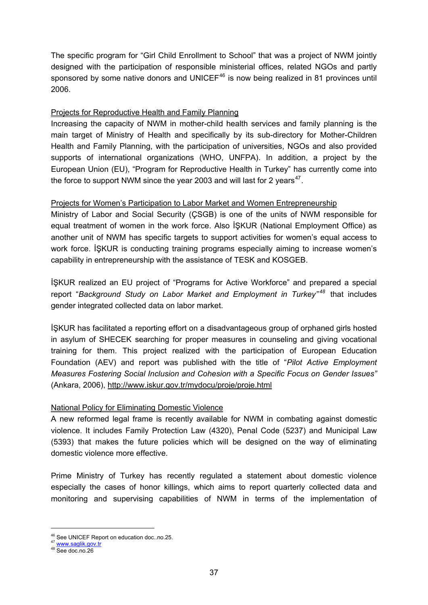The specific program for "Girl Child Enrollment to School" that was a project of NWM jointly designed with the participation of responsible ministerial offices, related NGOs and partly sponsored by some native donors and UNICEF $46$  is now being realized in 81 provinces until 2006.

#### Projects for Reproductive Health and Family Planning

Increasing the capacity of NWM in mother-child health services and family planning is the main target of Ministry of Health and specifically by its sub-directory for Mother-Children Health and Family Planning, with the participation of universities, NGOs and also provided supports of international organizations (WHO, UNFPA). In addition, a project by the European Union (EU), "Program for Reproductive Health in Turkey" has currently come into the force to support NWM since the year 2003 and will last for 2 years<sup>[47](#page-41-1)</sup>.

#### Projects for Women's Participation to Labor Market and Women Entrepreneurship

Ministry of Labor and Social Security (ÇSGB) is one of the units of NWM responsible for equal treatment of women in the work force. Also ISKUR (National Employment Office) as another unit of NWM has specific targets to support activities for women's equal access to work force. İŞKUR is conducting training programs especially aiming to increase women's capability in entrepreneurship with the assistance of TESK and KOSGEB.

İŞKUR realized an EU project of "Programs for Active Workforce" and prepared a special report "Background Study on Labor Market and Employment in Turkey<sup>"[48](#page-41-2)</sup> that includes gender integrated collected data on labor market.

İŞKUR has facilitated a reporting effort on a disadvantageous group of orphaned girls hosted in asylum of SHECEK searching for proper measures in counseling and giving vocational training for them. This project realized with the participation of European Education Foundation (AEV) and report was published with the title of "*Pilot Active Employment Measures Fostering Social Inclusion and Cohesion with a Specific Focus on Gender Issues"*  (Ankara, 2006), <http://www.iskur.gov.tr/mydocu/proje/proje.html>

### National Policy for Eliminating Domestic Violence

A new reformed legal frame is recently available for NWM in combating against domestic violence. It includes Family Protection Law (4320), Penal Code (5237) and Municipal Law (5393) that makes the future policies which will be designed on the way of eliminating domestic violence more effective.

Prime Ministry of Turkey has recently regulated a statement about domestic violence especially the cases of honor killings, which aims to report quarterly collected data and monitoring and supervising capabilities of NWM in terms of the implementation of

<span id="page-41-1"></span><span id="page-41-0"></span><sup>&</sup>lt;sup>46</sup> See UNICEF Report on education doc..no.25.<br> $\frac{47}{48}$  [www.saglik.gov.tr](http://www.saglik.gov.tr/)<br> $\frac{48}{48}$  See doc.no.26

<span id="page-41-2"></span>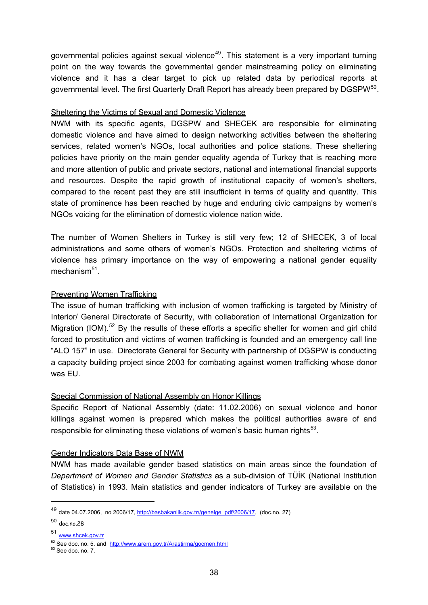governmental policies against sexual violence<sup>[49](#page-42-0)</sup>. This statement is a very important turning point on the way towards the governmental gender mainstreaming policy on eliminating violence and it has a clear target to pick up related data by periodical reports at governmental level. The first Quarterly Draft Report has already been prepared by DGSPW<sup>[50](#page-42-1)</sup>.

#### Sheltering the Victims of Sexual and Domestic Violence

NWM with its specific agents, DGSPW and SHECEK are responsible for eliminating domestic violence and have aimed to design networking activities between the sheltering services, related women's NGOs, local authorities and police stations. These sheltering policies have priority on the main gender equality agenda of Turkey that is reaching more and more attention of public and private sectors, national and international financial supports and resources. Despite the rapid growth of institutional capacity of women's shelters, compared to the recent past they are still insufficient in terms of quality and quantity. This state of prominence has been reached by huge and enduring civic campaigns by women's NGOs voicing for the elimination of domestic violence nation wide.

The number of Women Shelters in Turkey is still very few; 12 of SHECEK, 3 of local administrations and some others of women's NGOs. Protection and sheltering victims of violence has primary importance on the way of empowering a national gender equality mechanism $51$ 

### Preventing Women Trafficking

The issue of human trafficking with inclusion of women trafficking is targeted by Ministry of Interior/ General Directorate of Security, with collaboration of International Organization for Migration (IOM).<sup>[52](#page-42-3)</sup> By the results of these efforts a specific shelter for women and girl child forced to prostitution and victims of women trafficking is founded and an emergency call line "ALO 157" in use. Directorate General for Security with partnership of DGSPW is conducting a capacity building project since 2003 for combating against women trafficking whose donor was EU.

### Special Commission of National Assembly on Honor Killings

Specific Report of National Assembly (date: 11.02.2006) on sexual violence and honor killings against women is prepared which makes the political authorities aware of and responsible for eliminating these violations of women's basic human rights<sup>[53](#page-42-4)</sup>.

### Gender Indicators Data Base of NWM

NWM has made available gender based statistics on main areas since the foundation of *Department of Women and Gender Statistics* as a sub-division of TÜİK (National Institution of Statistics) in 1993. Main statistics and gender indicators of Turkey are available on the

<span id="page-42-0"></span><sup>49</sup> date 04.07.2006, no 2006/17, [http://basbakanlik.gov.tr//genelge\\_pdf/2006/17,](http://basbakanlik.gov.tr//genelge_pdf/2006/17) (doc.no. 27)

<span id="page-42-1"></span><sup>50</sup> doc.no.28

<span id="page-42-2"></span><sup>51</sup> [www.shcek.gov.tr](http://www.shcek.gov.tr/)

<span id="page-42-3"></span> $52$  See doc. no. 5. and <http://www.arem.gov.tr/Arastirma/gocmen.html><br> $53$  See doc. no. 7.

<span id="page-42-4"></span>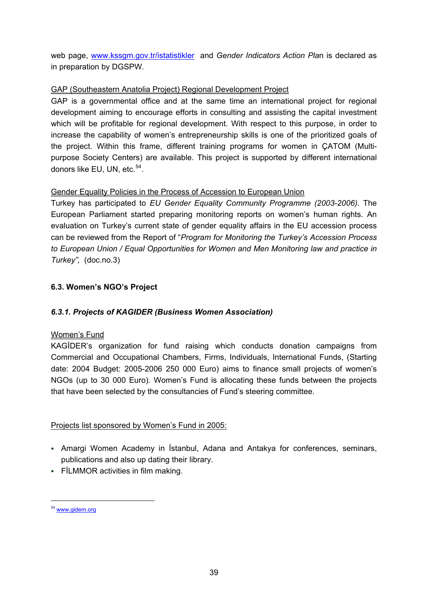web page, [www.kssgm.gov.tr/istatistikler](http://www.kssgm.gov.tr/istatistikler) and *Gender Indicators Action Pla*n is declared as in preparation by DGSPW.

# GAP (Southeastern Anatolia Project) Regional Development Project

GAP is a governmental office and at the same time an international project for regional development aiming to encourage efforts in consulting and assisting the capital investment which will be profitable for regional development. With respect to this purpose, in order to increase the capability of women's entrepreneurship skills is one of the prioritized goals of the project. Within this frame, different training programs for women in ÇATOM (Multipurpose Society Centers) are available. This project is supported by different international donors like EU, UN, etc.<sup>[54](#page-43-0)</sup>.

# Gender Equality Policies in the Process of Accession to European Union

Turkey has participated to *EU Gender Equality Community Programme (2003-2006).* The European Parliament started preparing monitoring reports on women's human rights. An evaluation on Turkey's current state of gender equality affairs in the EU accession process can be reviewed from the Report of "*Program for Monitoring the Turkey's Accession Process to European Union / Equal Opportunities for Women and Men Monitoring law and practice in Turkey",* (doc.no.3)

# **6.3. Women's NGO's Project**

# *6.3.1. Projects of KAGIDER (Business Women Association)*

# Women's Fund

KAGİDER's organization for fund raising which conducts donation campaigns from Commercial and Occupational Chambers, Firms, Individuals, International Funds, (Starting date: 2004 Budget: 2005-2006 250 000 Euro) aims to finance small projects of women's NGOs (up to 30 000 Euro). Women's Fund is allocating these funds between the projects that have been selected by the consultancies of Fund's steering committee.

# Projects list sponsored by Women's Fund in 2005:

- Amargi Women Academy in İstanbul, Adana and Antakya for conferences, seminars, publications and also up dating their library.
- FİLMMOR activities in film making.

 $\overline{a}$ 

<span id="page-43-0"></span><sup>&</sup>lt;sup>54</sup> [www.gidem.org](http://www.gidem.org/)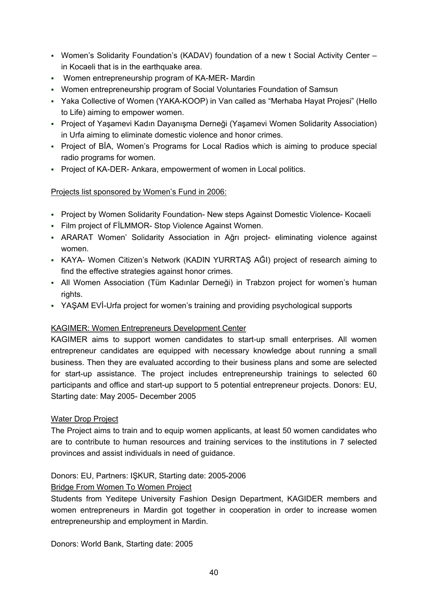- Women's Solidarity Foundation's (KADAV) foundation of a new t Social Activity Center in Kocaeli that is in the earthquake area.
- Women entrepreneurship program of KA-MER- Mardin
- Women entrepreneurship program of Social Voluntaries Foundation of Samsun
- Yaka Collective of Women (YAKA-KOOP) in Van called as "Merhaba Hayat Projesi" (Hello to Life) aiming to empower women.
- Project of Yaşamevi Kadın Dayanışma Derneği (Yaşamevi Women Solidarity Association) in Urfa aiming to eliminate domestic violence and honor crimes.
- Project of BİA, Women's Programs for Local Radios which is aiming to produce special radio programs for women.
- Project of KA-DER- Ankara, empowerment of women in Local politics.

# Projects list sponsored by Women's Fund in 2006:

- Project by Women Solidarity Foundation- New steps Against Domestic Violence- Kocaeli
- Film project of FİLMMOR- Stop Violence Against Women.
- ARARAT Women' Solidarity Association in Ağrı project- eliminating violence against women.
- KAYA- Women Citizen's Network (KADIN YURRTAŞ AĞI) project of research aiming to find the effective strategies against honor crimes.
- All Women Association (Tüm Kadınlar Derneği) in Trabzon project for women's human rights.
- YAŞAM EVİ-Urfa project for women's training and providing psychological supports

# KAGIMER: Women Entrepreneurs Development Center

KAGIMER aims to support women candidates to start-up small enterprises. All women entrepreneur candidates are equipped with necessary knowledge about running a small business. Then they are evaluated according to their business plans and some are selected for start-up assistance. The project includes entrepreneurship trainings to selected 60 participants and office and start-up support to 5 potential entrepreneur projects. Donors: EU, Starting date: May 2005- December 2005

# **Water Drop Project**

The Project aims to train and to equip women applicants, at least 50 women candidates who are to contribute to human resources and training services to the institutions in 7 selected provinces and assist individuals in need of guidance.

# Donors: EU, Partners: IŞKUR, Starting date: 2005-2006

# Bridge From Women To Women Project

Students from Yeditepe University Fashion Design Department, KAGIDER members and women entrepreneurs in Mardin got together in cooperation in order to increase women entrepreneurship and employment in Mardin.

Donors: World Bank, Starting date: 2005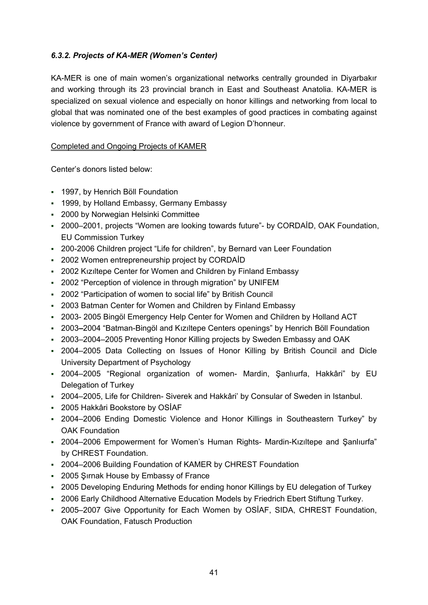### *6.3.2. Projects of KA-MER (Women's Center)*

KA-MER is one of main women's organizational networks centrally grounded in Diyarbakır and working through its 23 provincial branch in East and Southeast Anatolia. KA-MER is specialized on sexual violence and especially on honor killings and networking from local to global that was nominated one of the best examples of good practices in combating against violence by government of France with award of Legion D'honneur.

#### Completed and Ongoing Projects of KAMER

Center's donors listed below:

- 1997, by Henrich Böll Foundation
- <sup>•</sup> 1999, by Holland Embassy, Germany Embassy
- 2000 by Norwegian Helsinki Committee
- 2000–2001, projects "Women are looking towards future"- by CORDAİD, OAK Foundation, EU Commission Turkey
- 200-2006 Children project "Life for children", by Bernard van Leer Foundation
- 2002 Women entrepreneurship project by CORDAİD
- 2002 Kızıltepe Center for Women and Children by Finland Embassy
- 2002 "Perception of violence in through migration" by UNIFEM
- 2002 "Participation of women to social life" by British Council
- 2003 Batman Center for Women and Children by Finland Embassy
- 2003- 2005 Bingöl Emergency Help Center for Women and Children by Holland ACT
- 2003**–**2004 "Batman-Bingöl and Kızıltepe Centers openings" by Henrich Böll Foundation
- 2003–2004–2005 Preventing Honor Killing projects by Sweden Embassy and OAK
- 2004–2005 Data Collecting on Issues of Honor Killing by British Council and Dicle University Department of Psychology
- 2004–2005 "Regional organization of women- Mardin, Şanlıurfa, Hakkâri" by EU Delegation of Turkey
- 2004–2005, Life for Children- Siverek and Hakkâri' by Consular of Sweden in Istanbul.
- 2005 Hakkâri Bookstore by OSİAF
- 2004–2006 Ending Domestic Violence and Honor Killings in Southeastern Turkey" by OAK Foundation
- 2004–2006 Empowerment for Women's Human Rights- Mardin-Kızıltepe and Şanlıurfa" by CHREST Foundation.
- 2004–2006 Building Foundation of KAMER by CHREST Foundation
- 2005 Şırnak House by Embassy of France
- 2005 Developing Enduring Methods for ending honor Killings by EU delegation of Turkey
- 2006 Early Childhood Alternative Education Models by Friedrich Ebert Stiftung Turkey.
- 2005–2007 Give Opportunity for Each Women by OSİAF, SIDA, CHREST Foundation, OAK Foundation, Fatusch Production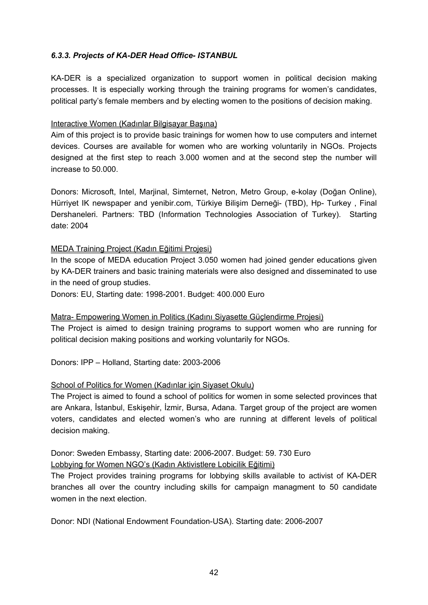### *6.3.3. Projects of KA-DER Head Office- ISTANBUL*

KA-DER is a specialized organization to support women in political decision making processes. It is especially working through the training programs for women's candidates, political party's female members and by electing women to the positions of decision making.

#### Interactive Women (Kadınlar Bilgisayar Başına)

Aim of this project is to provide basic trainings for women how to use computers and internet devices. Courses are available for women who are working voluntarily in NGOs. Projects designed at the first step to reach 3.000 women and at the second step the number will increase to 50.000.

Donors: Microsoft, Intel, Marjinal, Simternet, Netron, Metro Group, e-kolay (Doğan Online), Hürriyet IK newspaper and yenibir.com, Türkiye Bilişim Derneği- (TBD), Hp- Turkey , Final Dershaneleri. Partners: TBD (Information Technologies Association of Turkey). Starting date: 2004

#### MEDA Training Project (Kadın Eğitimi Projesi)

In the scope of MEDA education Project 3.050 women had joined gender educations given by KA-DER trainers and basic training materials were also designed and disseminated to use in the need of group studies.

Donors: EU, Starting date: 1998-2001. Budget: 400.000 Euro

#### Matra- Empowering Women in Politics (Kadını Siyasette Güçlendirme Projesi)

The Project is aimed to design training programs to support women who are running for political decision making positions and working voluntarily for NGOs.

Donors: IPP – Holland, Starting date: 2003-2006

#### School of Politics for Women (Kadınlar için Siyaset Okulu)

The Project is aimed to found a school of politics for women in some selected provinces that are Ankara, İstanbul, Eskişehir, İzmir, Bursa, Adana. Target group of the project are women voters, candidates and elected women's who are running at different levels of political decision making.

Donor: Sweden Embassy, Starting date: 2006-2007. Budget: 59. 730 Euro Lobbying for Women NGO's (Kadın Aktivistlere Lobicilik Eğitimi)

The Project provides training programs for lobbying skills available to activist of KA-DER branches all over the country including skills for campaign managment to 50 candidate women in the next election.

Donor: NDI (National Endowment Foundation-USA). Starting date: 2006-2007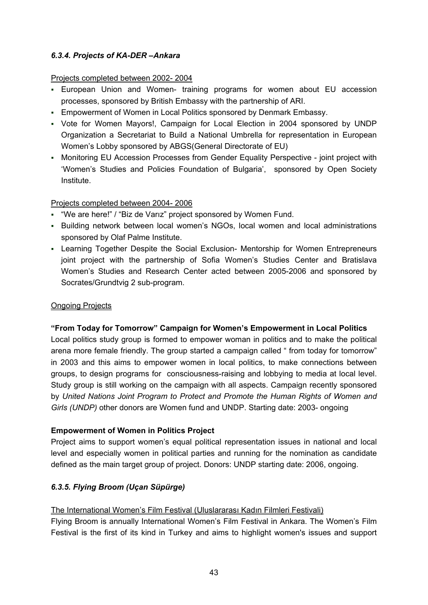### *6.3.4. Projects of KA-DER –Ankara*

#### Projects completed between 2002- 2004

- European Union and Women- training programs for women about EU accession processes, sponsored by British Embassy with the partnership of ARI.
- Empowerment of Women in Local Politics sponsored by Denmark Embassy.
- Vote for Women Mayors!, Campaign for Local Election in 2004 sponsored by UNDP Organization a Secretariat to Build a National Umbrella for representation in European Women's Lobby sponsored by ABGS(General Directorate of EU)
- Monitoring EU Accession Processes from Gender Equality Perspective joint project with 'Women's Studies and Policies Foundation of Bulgaria', sponsored by Open Society Institute.

#### Projects completed between 2004- 2006

- "We are here!" / "Biz de Varız" project sponsored by Women Fund.
- Building network between local women's NGOs, local women and local administrations sponsored by Olaf Palme Institute.
- Learning Together Despite the Social Exclusion- Mentorship for Women Entrepreneurs joint project with the partnership of Sofia Women's Studies Center and Bratislava Women's Studies and Research Center acted between 2005-2006 and sponsored by Socrates/Grundtvig 2 sub-program.

### **Ongoing Projects**

### **"From Today for Tomorrow" Campaign for Women's Empowerment in Local Politics**

Local politics study group is formed to empower woman in politics and to make the political arena more female friendly. The group started a campaign called " from today for tomorrow" in 2003 and this aims to empower women in local politics, to make connections between groups, to design programs for consciousness-raising and lobbying to media at local level. Study group is still working on the campaign with all aspects. Campaign recently sponsored by *United Nations Joint Program to Protect and Promote the Human Rights of Women and Girls (UNDP)* other donors are Women fund and UNDP. Starting date: 2003- ongoing

### **Empowerment of Women in Politics Project**

Project aims to support women's equal political representation issues in national and local level and especially women in political parties and running for the nomination as candidate defined as the main target group of project. Donors: UNDP starting date: 2006, ongoing.

### *6.3.5. Flying Broom (Uçan Süpürge)*

### The International Women's Film Festival (Uluslararası Kadın Filmleri Festivali)

Flying Broom is annually International Women's Film Festival in Ankara. The Women's Film Festival is the first of its kind in Turkey and aims to highlight women's issues and support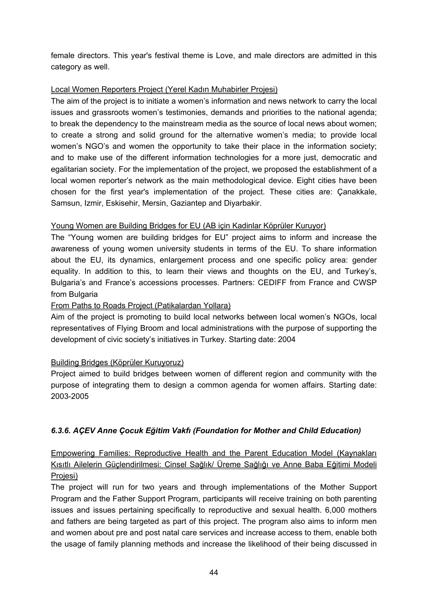female directors. This year's festival theme is Love, and male directors are admitted in this category as well.

### Local Women Reporters Project (Yerel Kadın Muhabirler Projesi)

The aim of the project is to initiate a women's information and news network to carry the local issues and grassroots women's testimonies, demands and priorities to the national agenda; to break the dependency to the mainstream media as the source of local news about women; to create a strong and solid ground for the alternative women's media; to provide local women's NGO's and women the opportunity to take their place in the information society; and to make use of the different information technologies for a more just, democratic and egalitarian society. For the implementation of the project, we proposed the establishment of a local women reporter's network as the main methodological device. Eight cities have been chosen for the first year's implementation of the project. These cities are: Çanakkale, Samsun, Izmir, Eskisehir, Mersin, Gaziantep and Diyarbakir.

### Young Women are Building Bridges for EU (AB için Kadinlar Köprüler Kuruyor)

The "Young women are building bridges for EU" project aims to inform and increase the awareness of young women university students in terms of the EU. To share information about the EU, its dynamics, enlargement process and one specific policy area: gender equality. In addition to this, to learn their views and thoughts on the EU, and Turkey's, Bulgaria's and France's accessions processes. Partners: CEDIFF from France and CWSP from Bulgaria

### From Paths to Roads Project (Patikalardan Yollara)

Aim of the project is promoting to build local networks between local women's NGOs, local representatives of Flying Broom and local administrations with the purpose of supporting the development of civic society's initiatives in Turkey. Starting date: 2004

# Building Bridges (Köprüler Kuruyoruz)

Project aimed to build bridges between women of different region and community with the purpose of integrating them to design a common agenda for women affairs. Starting date: 2003-2005

# *6.3.6. AÇEV Anne Çocuk Eğitim Vakfı (Foundation for Mother and Child Education)*

Empowering Families: Reproductive Health and the Parent Education Model (Kaynakları Kısıtlı Ailelerin Güçlendirilmesi: Cinsel Sağlık/ Üreme Sağlığı ve Anne Baba Eğitimi Modeli Projesi)

The project will run for two years and through implementations of the Mother Support Program and the Father Support Program, participants will receive training on both parenting issues and issues pertaining specifically to reproductive and sexual health. 6,000 mothers and fathers are being targeted as part of this project. The program also aims to inform men and women about pre and post natal care services and increase access to them, enable both the usage of family planning methods and increase the likelihood of their being discussed in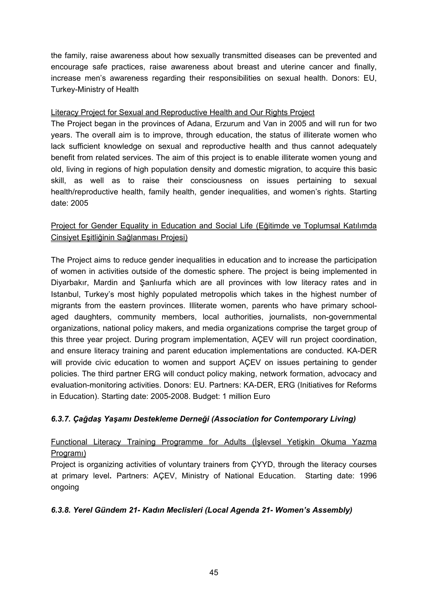the family, raise awareness about how sexually transmitted diseases can be prevented and encourage safe practices, raise awareness about breast and uterine cancer and finally, increase men's awareness regarding their responsibilities on sexual health. Donors: EU, Turkey-Ministry of Health

### Literacy Project for Sexual and Reproductive Health and Our Rights Project

The Project began in the provinces of Adana, Erzurum and Van in 2005 and will run for two years. The overall aim is to improve, through education, the status of illiterate women who lack sufficient knowledge on sexual and reproductive health and thus cannot adequately benefit from related services. The aim of this project is to enable illiterate women young and old, living in regions of high population density and domestic migration, to acquire this basic skill, as well as to raise their consciousness on issues pertaining to sexual health/reproductive health, family health, gender inequalities, and women's rights. Starting date: 2005

# Project for Gender Equality in Education and Social Life (Eğitimde ve Toplumsal Katılımda Cinsiyet Eşitliğinin Sağlanması Projesi)

The Project aims to reduce gender inequalities in education and to increase the participation of women in activities outside of the domestic sphere. The project is being implemented in Diyarbakır, Mardin and Şanlıurfa which are all provinces with low literacy rates and in Istanbul, Turkey's most highly populated metropolis which takes in the highest number of migrants from the eastern provinces. Illiterate women, parents who have primary schoolaged daughters, community members, local authorities, journalists, non-governmental organizations, national policy makers, and media organizations comprise the target group of this three year project. During program implementation, AÇEV will run project coordination, and ensure literacy training and parent education implementations are conducted. KA-DER will provide civic education to women and support AÇEV on issues pertaining to gender policies. The third partner ERG will conduct policy making, network formation, advocacy and evaluation-monitoring activities. Donors: EU. Partners: KA-DER, ERG (Initiatives for Reforms in Education). Starting date: 2005-2008. Budget: 1 million Euro

# *6.3.7. Çağdaş Yaşamı Destekleme Derneği (Association for Contemporary Living)*

# Functional Literacy Training Programme for Adults (İşlevsel Yetişkin Okuma Yazma Programı)

Project is organizing activities of voluntary trainers from ÇYYD, through the literacy courses at primary level**.** Partners: AÇEV, Ministry of National Education. Starting date: 1996 ongoing

# *6.3.8. Yerel Gündem 21- Kadın Meclisleri (Local Agenda 21- Women's Assembly)*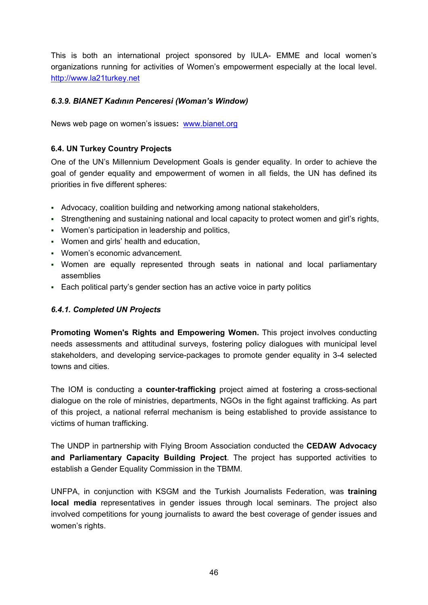This is both an international project sponsored by IULA- EMME and local women's organizations running for activities of Women's empowerment especially at the local level. [http://www.la21turkey.net](http://www.la21turkey.net/)

### *6.3.9. BIANET Kadının Penceresi (Woman's Window)*

News web page on women's issues**:** [www.bianet.org](http://www.bianet.org/)

### **6.4. UN Turkey Country Projects**

One of the UN's Millennium Development Goals is gender equality. In order to achieve the goal of gender equality and empowerment of women in all fields, the UN has defined its priorities in five different spheres:

- Advocacy, coalition building and networking among national stakeholders,
- Strengthening and sustaining national and local capacity to protect women and girl's rights,
- Women's participation in leadership and politics,
- Women and girls' health and education,
- Women's economic advancement.
- Women are equally represented through seats in national and local parliamentary assemblies
- Each political party's gender section has an active voice in party politics

# *6.4.1. Completed UN Projects*

**Promoting Women's Rights and Empowering Women.** This project involves conducting needs assessments and attitudinal surveys, fostering policy dialogues with municipal level stakeholders, and developing service-packages to promote gender equality in 3-4 selected towns and cities.

The IOM is conducting a **counter-trafficking** project aimed at fostering a cross-sectional dialogue on the role of ministries, departments, NGOs in the fight against trafficking. As part of this project, a national referral mechanism is being established to provide assistance to victims of human trafficking.

The UNDP in partnership with Flying Broom Association conducted the **CEDAW Advocacy and Parliamentary Capacity Building Project**. The project has supported activities to establish a Gender Equality Commission in the TBMM.

UNFPA, in conjunction with KSGM and the Turkish Journalists Federation, was **training local media** representatives in gender issues through local seminars. The project also involved competitions for young journalists to award the best coverage of gender issues and women's rights.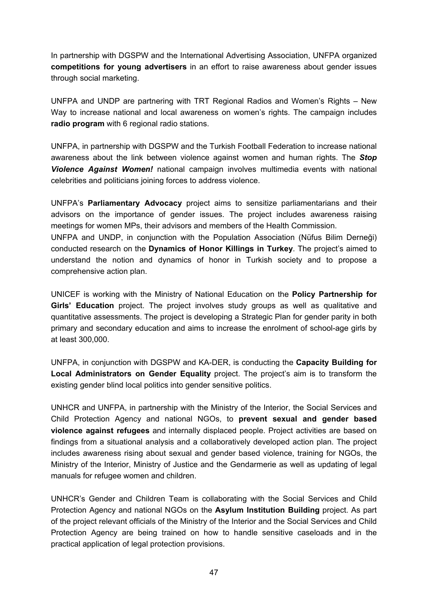In partnership with DGSPW and the International Advertising Association, UNFPA organized **competitions for young advertisers** in an effort to raise awareness about gender issues through social marketing.

UNFPA and UNDP are partnering with TRT Regional Radios and Women's Rights – New Way to increase national and local awareness on women's rights. The campaign includes **radio program** with 6 regional radio stations.

UNFPA, in partnership with DGSPW and the Turkish Football Federation to increase national awareness about the link between violence against women and human rights. The *Stop Violence Against Women!* national campaign involves multimedia events with national celebrities and politicians joining forces to address violence.

UNFPA's **Parliamentary Advocacy** project aims to sensitize parliamentarians and their advisors on the importance of gender issues. The project includes awareness raising meetings for women MPs, their advisors and members of the Health Commission.

UNFPA and UNDP, in conjunction with the Population Association (Nüfus Bilim Derneği) conducted research on the **Dynamics of Honor Killings in Turkey**. The project's aimed to understand the notion and dynamics of honor in Turkish society and to propose a comprehensive action plan.

UNICEF is working with the Ministry of National Education on the **Policy Partnership for Girls' Education** project. The project involves study groups as well as qualitative and quantitative assessments. The project is developing a Strategic Plan for gender parity in both primary and secondary education and aims to increase the enrolment of school-age girls by at least 300,000.

UNFPA, in conjunction with DGSPW and KA-DER, is conducting the **Capacity Building for Local Administrators on Gender Equality** project. The project's aim is to transform the existing gender blind local politics into gender sensitive politics.

UNHCR and UNFPA, in partnership with the Ministry of the Interior, the Social Services and Child Protection Agency and national NGOs, to **prevent sexual and gender based violence against refugees** and internally displaced people. Project activities are based on findings from a situational analysis and a collaboratively developed action plan. The project includes awareness rising about sexual and gender based violence, training for NGOs, the Ministry of the Interior, Ministry of Justice and the Gendarmerie as well as updating of legal manuals for refugee women and children.

UNHCR's Gender and Children Team is collaborating with the Social Services and Child Protection Agency and national NGOs on the **Asylum Institution Building** project. As part of the project relevant officials of the Ministry of the Interior and the Social Services and Child Protection Agency are being trained on how to handle sensitive caseloads and in the practical application of legal protection provisions.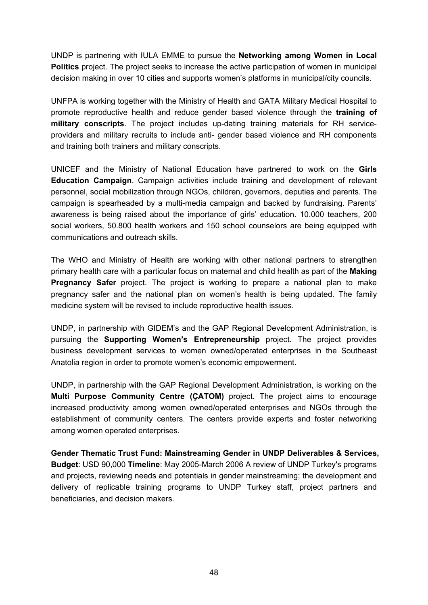UNDP is partnering with IULA EMME to pursue the **Networking among Women in Local Politics** project. The project seeks to increase the active participation of women in municipal decision making in over 10 cities and supports women's platforms in municipal/city councils.

UNFPA is working together with the Ministry of Health and GATA Military Medical Hospital to promote reproductive health and reduce gender based violence through the **training of military conscripts**. The project includes up-dating training materials for RH serviceproviders and military recruits to include anti- gender based violence and RH components and training both trainers and military conscripts.

UNICEF and the Ministry of National Education have partnered to work on the **Girls Education Campaign**. Campaign activities include training and development of relevant personnel, social mobilization through NGOs, children, governors, deputies and parents. The campaign is spearheaded by a multi-media campaign and backed by fundraising. Parents' awareness is being raised about the importance of girls' education. 10.000 teachers, 200 social workers, 50.800 health workers and 150 school counselors are being equipped with communications and outreach skills.

The WHO and Ministry of Health are working with other national partners to strengthen primary health care with a particular focus on maternal and child health as part of the **Making Pregnancy Safer** project. The project is working to prepare a national plan to make pregnancy safer and the national plan on women's health is being updated. The family medicine system will be revised to include reproductive health issues.

UNDP, in partnership with GIDEM's and the GAP Regional Development Administration, is pursuing the **Supporting Women's Entrepreneurship** project. The project provides business development services to women owned/operated enterprises in the Southeast Anatolia region in order to promote women's economic empowerment.

UNDP, in partnership with the GAP Regional Development Administration, is working on the **Multi Purpose Community Centre (ÇATOM)** project. The project aims to encourage increased productivity among women owned/operated enterprises and NGOs through the establishment of community centers. The centers provide experts and foster networking among women operated enterprises.

**Gender Thematic Trust Fund: Mainstreaming Gender in UNDP Deliverables & Services, Budget**: USD 90,000 **Timeline**: May 2005-March 2006 A review of UNDP Turkey's programs and projects, reviewing needs and potentials in gender mainstreaming; the development and delivery of replicable training programs to UNDP Turkey staff, project partners and beneficiaries, and decision makers.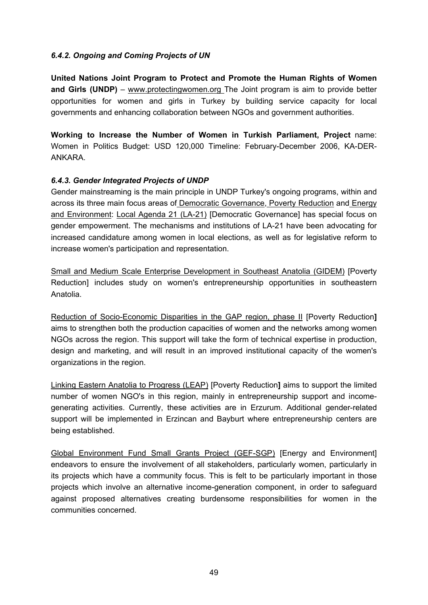### *6.4.2. Ongoing and Coming Projects of UN*

**United Nations Joint Program to Protect and Promote the Human Rights of Women and Girls (UNDP)** – [www.protectingwomen.org](http://www.protectingwomen.org/) The Joint program is aim to provide better opportunities for women and girls in Turkey by building service capacity for local governments and enhancing collaboration between NGOs and government authorities.

**Working to Increase the Number of Women in Turkish Parliament, Project** name: Women in Politics Budget: USD 120,000 Timeline: February-December 2006, KA-DER-ANKARA.

### *6.4.3. Gender Integrated Projects of UNDP*

Gender mainstreaming is the main principle in UNDP Turkey's ongoing programs, within and across its three main focus areas o[f Democratic Governance](http://www.undp.org.tr/Gozlem2.aspx?WebSayfaNo=88)[, Poverty Reduction](http://www.undp.org.tr/WebEditor/default.aspx?WebSayfaKey=86) an[d Energy](http://www.undp.org.tr/Gozlem2.aspx?WebSayfaNo=93)  [and Environment](http://www.undp.org.tr/Gozlem2.aspx?WebSayfaNo=93): [Local Agenda 21 \(LA-21\)](http://www.undp.org.tr/Gozlem2.aspx?WebSayfaNo=22) [Democratic Governance] has special focus on gender empowerment. The mechanisms and institutions of LA-21 have been advocating for increased candidature among women in local elections, as well as for legislative reform to increase women's participation and representation.

[Small and Medium Scale Enterprise Development in Southeast Anatolia \(GIDEM\)](http://www.undp.org.tr/Gozlem2.aspx?WebSayfaNo=30) [Poverty Reduction] includes study on women's entrepreneurship opportunities in southeastern Anatolia.

[Reduction of Socio-Economic Disparities in the GAP region, phase II](http://www.undp.org.tr/WebEditor/default.aspx?WebSayfaKey=86) [Poverty Reduction**]** aims to strengthen both the production capacities of women and the networks among women NGOs across the region. This support will take the form of technical expertise in production, design and marketing, and will result in an improved institutional capacity of the women's organizations in the region.

[Linking Eastern Anatolia to Progress \(LEAP\)](http://www.undp.org.tr/Gozlem2.aspx?WebSayfaNo=27) [Poverty Reduction**]** aims to support the limited number of women NGO's in this region, mainly in entrepreneurship support and incomegenerating activities. Currently, these activities are in Erzurum. Additional gender-related support will be implemented in Erzincan and Bayburt where entrepreneurship centers are being established.

[Global Environment Fund Small Grants Project \(GEF-SGP\)](http://www.undp.org.tr/WebEditor/default.aspx?WebSayfaKey=86) [Energy and Environment] endeavors to ensure the involvement of all stakeholders, particularly women, particularly in its projects which have a community focus. This is felt to be particularly important in those projects which involve an alternative income-generation component, in order to safeguard against proposed alternatives creating burdensome responsibilities for women in the communities concerned.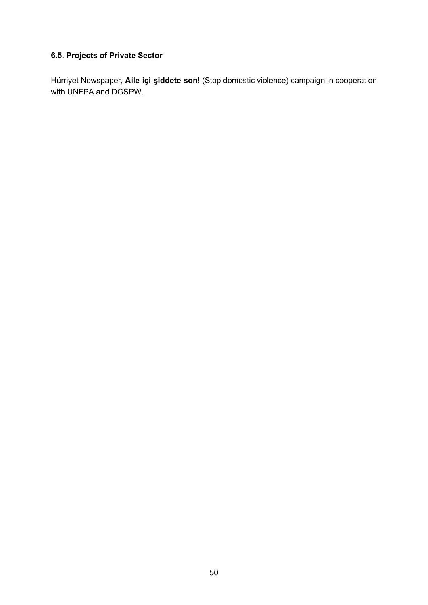# **6.5. Projects of Private Sector**

Hürriyet Newspaper, **Aile içi şiddete son**! (Stop domestic violence) campaign in cooperation with UNFPA and DGSPW.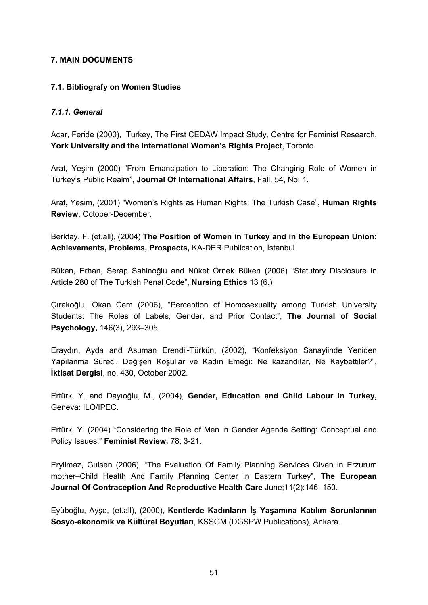#### **7. MAIN DOCUMENTS**

### **7.1. Bibliografy on Women Studies**

### *7.1.1. General*

Acar, Feride (2000), Turkey, The First CEDAW Impact Study*,* Centre for Feminist Research, **York University and the International Women's Rights Project**, Toronto.

Arat, Yeşim (2000) "From Emancipation to Liberation: The Changing Role of Women in Turkey's Public Realm", **Journal Of International Affairs**, Fall, 54, No: 1.

Arat, Yesim, (2001) "Women's Rights as Human Rights: The Turkish Case", **Human Rights Review**, October-December.

Berktay, F. (et.all), (2004) **The Position of Women in Turkey and in the European Union: Achievements, Problems, Prospects,** KA-DER Publication, İstanbul.

Büken, Erhan, Serap Sahinoğlu and Nüket Örnek Büken (2006) "Statutory Disclosure in Article 280 of The Turkish Penal Code", **Nursing Ethics** 13 (6.)

Çırakoğlu, Okan Cem (2006), "Perception of Homosexuality among Turkish University Students: The Roles of Labels, Gender, and Prior Contact", **The Journal of Social Psychology,** 146(3), 293–305.

Eraydın, Ayda and Asuman Erendil-Türkün, (2002), "Konfeksiyon Sanayiinde Yeniden Yapılanma Süreci, Değişen Koşullar ve Kadın Emeği: Ne kazandılar, Ne Kaybettiler?", **İktisat Dergisi**, no. 430, October 2002.

Ertürk, Y. and Dayıoğlu, M., (2004), **Gender, Education and Child Labour in Turkey,** Geneva: ILO/IPEC.

Ertürk, Y. (2004) "Considering the Role of Men in Gender Agenda Setting: Conceptual and Policy Issues," **Feminist Review,** 78: 3-21.

Eryilmaz, Gulsen (2006), "The Evaluation Of Family Planning Services Given in Erzurum mother–Child Health And Family Planning Center in Eastern Turkey", **The European Journal Of Contraception And Reproductive Health Care** June;11(2):146–150.

Eyüboğlu, Ayşe, (et.all), (2000), **Kentlerde Kadınların İş Yaşamına Katılım Sorunlarının Sosyo-ekonomik ve Kültürel Boyutları**, KSSGM (DGSPW Publications), Ankara.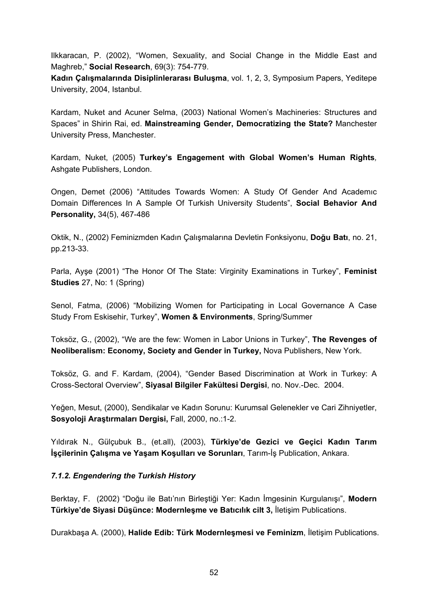Ilkkaracan, P. (2002), "Women, Sexuality, and Social Change in the Middle East and Maghreb," **Social Research**, 69(3): 754-779.

**Kadın Çalışmalarında Disiplinlerarası Buluşma**, vol. 1, 2, 3, Symposium Papers, Yeditepe University, 2004, Istanbul.

Kardam, Nuket and Acuner Selma, (2003) National Women's Machineries: Structures and Spaces" in Shirin Rai, ed. **Mainstreaming Gender, Democratizing the State?** Manchester University Press, Manchester.

Kardam, Nuket, (2005) **Turkey's Engagement with Global Women's Human Rights***,* Ashgate Publishers, London.

Ongen, Demet (2006) "Attitudes Towards Women: A Study Of Gender And Academıc Domain Differences In A Sample Of Turkish University Students", **Social Behavior And Personality,** 34(5), 467-486

Oktik, N., (2002) Feminizmden Kadın Çalışmalarına Devletin Fonksiyonu, **Doğu Batı**, no. 21, pp.213-33.

Parla, Ayşe (2001) "The Honor Of The State: Virginity Examinations in Turkey", **Feminist Studies** 27, No: 1 (Spring)

Senol, Fatma, (2006) "Mobilizing Women for Participating in Local Governance A Case Study From Eskisehir, Turkey", **Women & Environments**, Spring/Summer

Toksöz, G., (2002), "We are the few: Women in Labor Unions in Turkey", **The Revenges of Neoliberalism: Economy, Society and Gender in Turkey,** Nova Publishers, New York.

Toksöz, G. and F. Kardam, (2004), "Gender Based Discrimination at Work in Turkey: A Cross-Sectoral Overview", **Siyasal Bilgiler Fakültesi Dergisi**, no. Nov.-Dec. 2004.

Yeğen, Mesut, (2000), Sendikalar ve Kadın Sorunu: Kurumsal Gelenekler ve Cari Zihniyetler, **Sosyoloji Araştırmaları Dergisi,** Fall, 2000, no.:1-2.

Yıldırak N., Gülçubuk B., (et.all), (2003), **Türkiye'de Gezici ve Geçici Kadın Tarım İşçilerinin Çalışma ve Yaşam Koşulları ve Sorunları**, Tarım-İş Publication, Ankara.

### *7.1.2. Engendering the Turkish History*

Berktay, F. (2002) "Doğu ile Batı'nın Birleştiği Yer: Kadın İmgesinin Kurgulanışı", **Modern Türkiye'de Siyasi Düşünce: Modernleşme ve Batıcılık cilt 3,** İletişim Publications.

Durakbaşa A. (2000), **Halide Edib: Türk Modernleşmesi ve Feminizm**, İletişim Publications.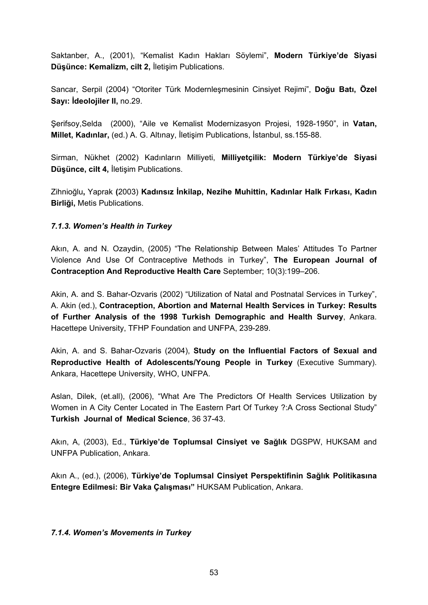Saktanber, A., (2001), "Kemalist Kadın Hakları Söylemi", **Modern Türkiye'de Siyasi Düşünce: Kemalizm, cilt 2,** İletişim Publications.

Sancar, Serpil (2004) "Otoriter Türk Modernleşmesinin Cinsiyet Rejimi", **Doğu Batı, Özel Sayı: İdeolojiler II,** no.29.

Şerifsoy,Selda (2000), "Aile ve Kemalist Modernizasyon Projesi, 1928-1950", in **Vatan, Millet, Kadınlar,** (ed.) A. G. Altınay, İletişim Publications, İstanbul, ss.155-88.

Sirman, Nükhet (2002) Kadınların Milliyeti, **Milliyetçilik: Modern Türkiye'de Siyasi Düşünce, cilt 4,** İletişim Publications.

Zihnioğlu**,** Yaprak **(**2003) **Kadınsız İnkilap, Nezihe Muhittin, Kadınlar Halk Fırkası, Kadın Birliği,** Metis Publications.

### *7.1.3. Women's Health in Turkey*

Akın, A. and N. Ozaydin, (2005) "The Relationship Between Males' Attitudes To Partner Violence And Use Of Contraceptive Methods in Turkey", **The European Journal of Contraception And Reproductive Health Care** September; 10(3):199–206.

Akin, A. and S. Bahar-Ozvaris (2002) "Utilization of Natal and Postnatal Services in Turkey", A. Akin (ed.), **Contraception, Abortion and Maternal Health Services in Turkey: Results of Further Analysis of the 1998 Turkish Demographic and Health Survey**, Ankara. Hacettepe University, TFHP Foundation and UNFPA, 239-289.

Akin, A. and S. Bahar-Ozvaris (2004), **Study on the Influential Factors of Sexual and Reproductive Health of Adolescents/Young People in Turkey** (Executive Summary). Ankara, Hacettepe University, WHO, UNFPA.

Aslan, Dilek, (et.all), (2006), "What Are The Predictors Of Health Services Utilization by Women in A City Center Located in The Eastern Part Of Turkey ?:A Cross Sectional Study" **Turkish Journal of Medical Science**, 36 37-43.

Akın, A, (2003), Ed., **Türkiye'de Toplumsal Cinsiyet ve Sağlık** DGSPW, HUKSAM and UNFPA Publication, Ankara.

Akın A., (ed.), (2006), **Türkiye'de Toplumsal Cinsiyet Perspektifinin Sağlık Politikasına Entegre Edilmesi: Bir Vaka Çalışması"** HUKSAM Publication, Ankara.

#### *7.1.4. Women's Movements in Turkey*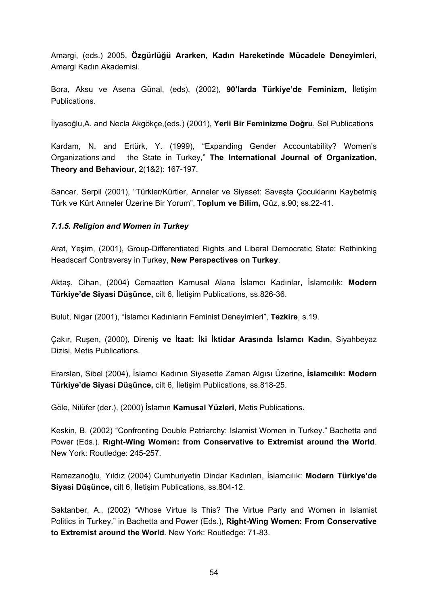Amargi, (eds.) 2005, **Özgürlüğü Ararken, Kadın Hareketinde Mücadele Deneyimleri**, Amargi Kadın Akademisi.

Bora, Aksu ve Asena Günal, (eds), (2002), **90'larda Türkiye'de Feminizm**, İletişim Publications.

İlyasoğlu,A. and Necla Akgökçe,(eds.) (2001), **Yerli Bir Feminizme Doğru**, Sel Publications

Kardam, N. and Ertürk, Y. (1999), "Expanding Gender Accountability? Women's Organizations and the State in Turkey," **The International Journal of Organization, Theory and Behaviour**, 2(1&2): 167-197.

Sancar, Serpil (2001), "Türkler/Kürtler, Anneler ve Siyaset: Savaşta Çocuklarını Kaybetmiş Türk ve Kürt Anneler Üzerine Bir Yorum", **Toplum ve Bilim,** Güz, s.90; ss.22-41.

#### *7.1.5. Religion and Women in Turkey*

Arat, Yeşim, (2001), Group-Differentiated Rights and Liberal Democratic State: Rethinking Headscarf Contraversy in Turkey, **New Perspectives on Turkey**.

Aktaş, Cihan, (2004) Cemaatten Kamusal Alana İslamcı Kadınlar, İslamcılık: **Modern Türkiye'de Siyasi Düşünce,** cilt 6, İletişim Publications, ss.826-36.

Bulut, Nigar (2001), "İslamcı Kadınların Feminist Deneyimleri", **Tezkire**, s.19.

Çakır, Ruşen, (2000), Direniş **ve İtaat: İki İktidar Arasında İslamcı Kadın**, Siyahbeyaz Dizisi, Metis Publications.

Erarslan, Sibel (2004), İslamcı Kadının Siyasette Zaman Algısı Üzerine, **İslamcılık: Modern Türkiye'de Siyasi Düşünce,** cilt 6, İletişim Publications, ss.818-25.

Göle, Nilüfer (der.), (2000) İslamın **Kamusal Yüzleri**, Metis Publications.

Keskin, B. (2002) "Confronting Double Patriarchy: Islamist Women in Turkey." Bachetta and Power (Eds.). **Rıght-Wing Women: from Conservative to Extremist around the World**. New York: Routledge: 245-257.

Ramazanoğlu, Yıldız (2004) Cumhuriyetin Dindar Kadınları, İslamcılık: **Modern Türkiye'de Siyasi Düşünce,** cilt 6, İletişim Publications, ss.804-12.

Saktanber, A., (2002) "Whose Virtue Is This? The Virtue Party and Women in Islamist Politics in Turkey." in Bachetta and Power (Eds.), **Right-Wing Women: From Conservative to Extremist around the World**. New York: Routledge: 71-83.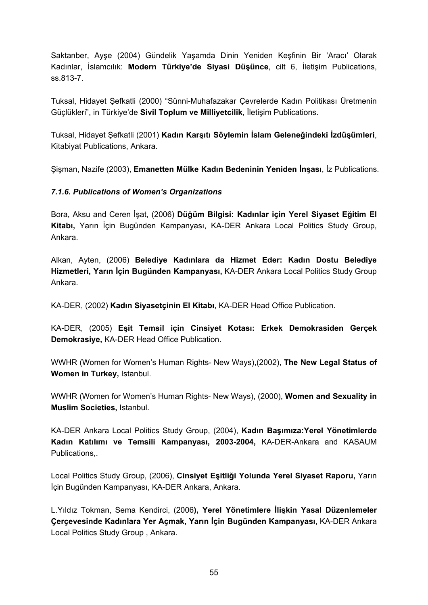Saktanber, Ayşe (2004) Gündelik Yaşamda Dinin Yeniden Keşfinin Bir 'Aracı' Olarak Kadınlar, İslamcılık: **Modern Türkiye'de Siyasi Düşünce**, cilt 6, İletişim Publications, ss.813-7.

Tuksal, Hidayet Şefkatli (2000) "Sünni-Muhafazakar Çevrelerde Kadın Politikası Üretmenin Güçlükleri", in Türkiye'de **Sivil Toplum ve Milliyetcilik**, İletişim Publications.

Tuksal, Hidayet Şefkatli (2001) **Kadın Karşıtı Söylemin İslam Geleneğindeki İzdüşümleri**, Kitabiyat Publications, Ankara.

Şişman, Nazife (2003), **Emanetten Mülke Kadın Bedeninin Yeniden İnşas**ı, İz Publications.

#### *7.1.6. Publications of Women's Organizations*

Bora, Aksu and Ceren İşat, (2006) **Düğüm Bilgisi: Kadınlar için Yerel Siyaset Eğitim El Kitabı,** Yarın İçin Bugünden Kampanyası, KA-DER Ankara Local Politics Study Group, Ankara.

Alkan, Ayten, (2006) **Belediye Kadınlara da Hizmet Eder: Kadın Dostu Belediye Hizmetleri, Yarın İçin Bugünden Kampanyası,** KA-DER Ankara Local Politics Study Group Ankara.

KA-DER, (2002) **Kadın Siyasetçinin El Kitabı**, KA-DER Head Office Publication.

KA-DER, (2005) **Eşit Temsil için Cinsiyet Kotası: Erkek Demokrasiden Gerçek Demokrasiye,** KA-DER Head Office Publication.

WWHR (Women for Women's Human Rights- New Ways),(2002), **The New Legal Status of Women in Turkey,** Istanbul.

WWHR (Women for Women's Human Rights- New Ways), (2000), **Women and Sexuality in Muslim Societies,** Istanbul.

KA-DER Ankara Local Politics Study Group, (2004), **Kadın Başımıza:Yerel Yönetimlerde Kadın Katılımı ve Temsili Kampanyası, 2003-2004,** KA-DER-Ankara and KASAUM Publications,.

Local Politics Study Group, (2006), **Cinsiyet Eşitliği Yolunda Yerel Siyaset Raporu,** Yarın İçin Bugünden Kampanyası, KA-DER Ankara, Ankara.

L.Yıldız Tokman, Sema Kendirci, (2006**), Yerel Yönetimlere İlişkin Yasal Düzenlemeler Çerçevesinde Kadınlara Yer Açmak, Yarın İçin Bugünden Kampanyası**, KA-DER Ankara Local Politics Study Group , Ankara.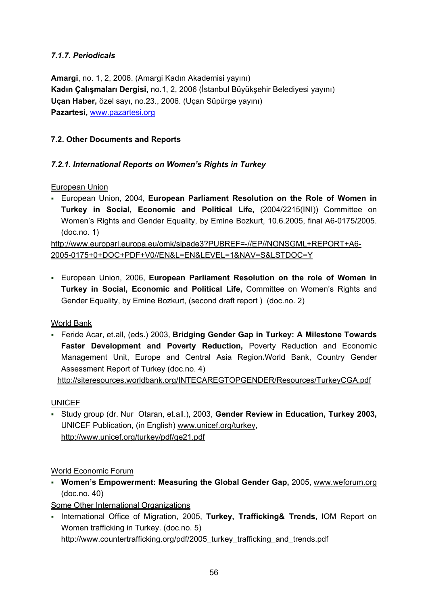# *7.1.7. Periodicals*

**Amargi**, no. 1, 2, 2006. (Amargi Kadın Akademisi yayını) **Kadın Çalışmaları Dergisi,** no.1, 2, 2006 (İstanbul Büyükşehir Belediyesi yayını) **Uçan Haber,** özel sayı, no.23., 2006. (Uçan Süpürge yayını) **Pazartesi,** [www.pazartesi.org](http://www.pazartesi.org/)

### **7.2. Other Documents and Reports**

### *7.2.1. International Reports on Women's Rights in Turkey*

European Union

 European Union, 2004, **European Parliament Resolution on the Role of Women in Turkey in Social, Economic and Political Life,** (2004/2215(INI)) Committee on Women's Rights and Gender Equality, by Emine Bozkurt, 10.6.2005, final A6-0175/2005. (doc.no. 1)

[http://www.europarl.europa.eu/omk/sipade3?PUBREF=-//EP//NONSGML+REPORT+A6-](http://www.europarl.europa.eu/omk/sipade3?PUBREF=-//EP//NONSGML+REPORT+A6-2005-0175+0+DOC+PDF+V0//EN&L=EN&LEVEL=1&NAV=S&LSTDOC=Y) [2005-0175+0+DOC+PDF+V0//EN&L=EN&LEVEL=1&NAV=S&LSTDOC=Y](http://www.europarl.europa.eu/omk/sipade3?PUBREF=-//EP//NONSGML+REPORT+A6-2005-0175+0+DOC+PDF+V0//EN&L=EN&LEVEL=1&NAV=S&LSTDOC=Y)

 European Union, 2006, **European Parliament Resolution on the role of Women in Turkey in Social, Economic and Political Life,** Committee on Women's Rights and Gender Equality, by Emine Bozkurt, (second draft report ) (doc.no. 2)

World Bank

 Feride Acar, et.all, (eds.) 2003, **Bridging Gender Gap in Turkey: A Milestone Towards Faster Development and Poverty Reduction,** Poverty Reduction and Economic Management Unit, Europe and Central Asia Region**.**World Bank, Country Gender Assessment Report of Turkey (doc.no. 4)

<http://siteresources.worldbank.org/INTECAREGTOPGENDER/Resources/TurkeyCGA.pdf>

### UNICEF

 Study group (dr. Nur Otaran, et.all.), 2003, **Gender Review in Education, Turkey 2003,**  UNICEF Publication, (in English) [www.unicef.org/turkey](http://www.unicef.org/turkey), <http://www.unicef.org/turkey/pdf/ge21.pdf>

### World Economic Forum

 **Women's Empowerment: Measuring the Global Gender Gap,** 2005, [www.weforum.org](http://www.weforum.org/) (doc.no. 40)

Some Other International Organizations

 International Office of Migration, 2005, **Turkey, Trafficking& Trends**, IOM Report on Women trafficking in Turkey. (doc.no. 5) http://www.countertrafficking.org/pdf/2005\_turkey\_trafficking\_and\_trends.pdf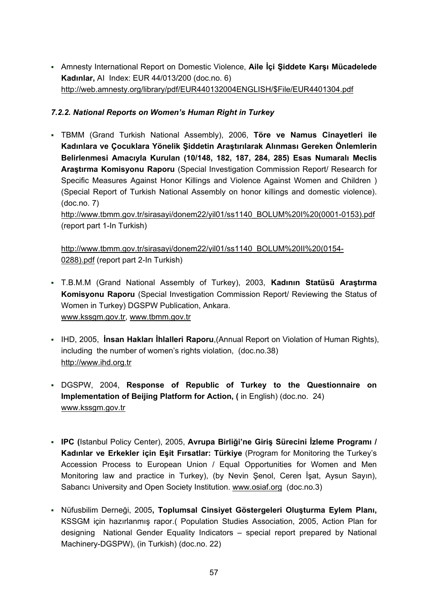Amnesty International Report on Domestic Violence, **Aile İçi Şiddete Karşı Mücadelede Kadınlar,** AI Index: EUR 44/013/200 (doc.no. 6) [http://web.amnesty.org/library/pdf/EUR440132004ENGLISH/\\$File/EUR4401304.pdf](http://web.amnesty.org/library/pdf/EUR440132004ENGLISH/$File/EUR4401304.pdf) 

### *7.2.2. National Reports on Women's Human Right in Turkey*

 TBMM (Grand Turkish National Assembly), 2006, **Töre ve Namus Cinayetleri ile Kadınlara ve Çocuklara Yönelik Şiddetin Araştırılarak Alınması Gereken Önlemlerin Belirlenmesi Amacıyla Kurulan (10/148, 182, 187, 284, 285) Esas Numaralı Meclis Araştırma Komisyonu Raporu** (Special Investigation Commission Report/ Research for Specific Measures Against Honor Killings and Violence Against Women and Children ) (Special Report of Turkish National Assembly on honor killings and domestic violence). (doc.no. 7)

[http://www.tbmm.gov.tr/sirasayi/donem22/yil01/ss1140\\_BOLUM%20I%20\(0001-0153\).pdf](http://www.tbmm.gov.tr/sirasayi/donem22/yil01/ss1140_BOLUM%20I%20(0001-0153).pdf)  (report part 1-In Turkish)

[http://www.tbmm.gov.tr/sirasayi/donem22/yil01/ss1140\\_BOLUM%20II%20\(0154-](http://www.tbmm.gov.tr/sirasayi/donem22/yil01/ss1140_BOLUM%20II%20(0154-0288).pdf) [0288\).pdf](http://www.tbmm.gov.tr/sirasayi/donem22/yil01/ss1140_BOLUM%20II%20(0154-0288).pdf) (report part 2-In Turkish)

- T.B.M.M (Grand National Assembly of Turkey), 2003, **Kadının Statüsü Araştırma Komisyonu Raporu** (Special Investigation Commission Report/ Reviewing the Status of Women in Turkey) DGSPW Publication, Ankara. [www.kssgm.gov.tr](http://www.kssgm.gov.tr/), [www.tbmm.gov.tr](http://www.tbmm.gov.tr/)
- IHD, 2005, **İnsan Hakları İhlalleri Raporu**,(Annual Report on Violation of Human Rights), including the number of women's rights violation, (doc.no.38) [http://www.ihd.org.tr](http://www.ihd.org.tr/)
- DGSPW, 2004, **Response of Republic of Turkey to the Questionnaire on Implementation of Beijing Platform for Action, (** in English) (doc.no. 24) [www.kssgm.gov.tr](http://www.kssgm.gov.tr/)
- **IPC (**Istanbul Policy Center), 2005, **Avrupa Birliği'ne Giriş Sürecini İzleme Programı / Kadınlar ve Erkekler için Eşit Fırsatlar: Türkiye** (Program for Monitoring the Turkey's Accession Process to European Union / Equal Opportunities for Women and Men Monitoring law and practice in Turkey), (by Nevin Şenol, Ceren İşat, Aysun Sayın), Sabancı University and Open Society Institution. [www.osiaf.org](http://www.osiaf.org/) (doc.no.3)
- Nüfusbilim Derneği, 2005**, Toplumsal Cinsiyet Göstergeleri Oluşturma Eylem Planı,**  KSSGM için hazırlanmış rapor.( Population Studies Association, 2005, Action Plan for designing National Gender Equality Indicators – special report prepared by National Machinery-DGSPW), (in Turkish) (doc.no. 22)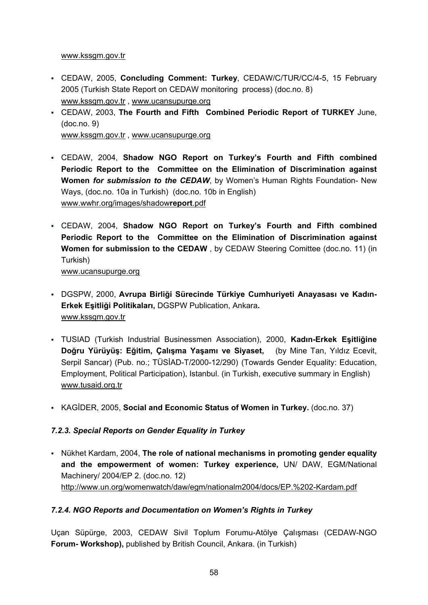[www.kssgm.gov.tr](http://www.kssgm.gov.tr/)

- CEDAW, 2005, **Concluding Comment: Turkey**, CEDAW/C/TUR/CC/4-5, 15 February 2005 (Turkish State Report on CEDAW monitoring process) (doc.no. 8) [www.kssgm.gov.tr](http://www.kssgm.gov.tr/) , [www.ucansupurge.org](http://www.ucansupurge.org/)
- CEDAW, 2003, **The Fourth and Fifth Combined Periodic Report of TURKEY** June, (doc.no. 9)

[www.kssgm.gov.tr](http://www.kssgm.gov.tr/) , [www.ucansupurge.org](http://www.ucansupurge.org/)

- CEDAW, 2004, **Shadow NGO Report on Turkey's Fourth and Fifth combined Periodic Report to the Committee on the Elimination of Discrimination against Women** *for submission to the CEDAW*, by Women's Human Rights Foundation- New Ways, (doc.no. 10a in Turkish) (doc.no. 10b in English) [www.wwhr.org/images/shadow](http://www.wwhr.org/images/shadowreport.pdf)**report**.pdf
- CEDAW, 2004, **Shadow NGO Report on Turkey's Fourth and Fifth combined Periodic Report to the Committee on the Elimination of Discrimination against Women for submission to the CEDAW**, by CEDAW Steering Comittee (doc.no. 11) (in Turkish) [www.ucansupurge.org](http://www.ucansupurge.org/)
- DGSPW, 2000, **Avrupa Birliği Sürecinde Türkiye Cumhuriyeti Anayasası ve Kadın-Erkek Eşitliği Politikaları,** DGSPW Publication, Ankara**.** [www.kssgm.gov.tr](http://www.kssgm.gov.tr/)
- TUSIAD (Turkish Industrial Businessmen Association), 2000, **Kadın-Erkek Eşitliğine Doğru Yürüyüş: Eğitim, Çalışma Yaşamı ve Siyaset,** (by Mine Tan, Yıldız Ecevit, Serpil Sancar) (Pub. no.; TÜSİAD-T/2000-12/290) (Towards Gender Equality: Education, Employment, Political Participation), Istanbul. (in Turkish, executive summary in English) [www.tusaid.org.tr](http://www.tusaid.org.tr/)
- KAGİDER, 2005, **Social and Economic Status of Women in Turkey.** (doc.no. 37)

# *7.2.3. Special Reports on Gender Equality in Turkey*

 Nükhet Kardam, 2004, **The role of national mechanisms in promoting gender equality and the empowerment of women: Turkey experience,** UN/ DAW, EGM/National Machinery/ 2004/EP 2. (doc.no. 12) <http://www.un.org/womenwatch/daw/egm/nationalm2004/docs/EP.%202-Kardam.pdf>

# *7.2.4. NGO Reports and Documentation on Women's Rights in Turkey*

Uçan Süpürge, 2003, CEDAW Sivil Toplum Forumu-Atölye Çalışması (CEDAW-NGO **Forum- Workshop),** published by British Council, Ankara. (in Turkish)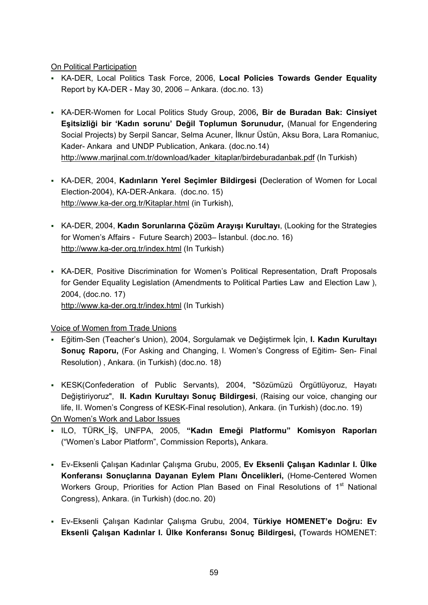On Political Participation

- KA-DER, Local Politics Task Force, 2006, **Local Policies Towards Gender Equality** Report by KA-DER - May 30, 2006 – Ankara. (doc.no. 13)
- KA-DER-Women for Local Politics Study Group, 2006**, Bir de Buradan Bak: Cinsiyet Eşitsizliği bir 'Kadın sorunu' Değil Toplumun Sorunudur,** (Manual for Engendering Social Projects) by Serpil Sancar, Selma Acuner, İlknur Üstün, Aksu Bora, Lara Romaniuc, Kader- Ankara and UNDP Publication, Ankara. (doc.no.14) [http://www.marjinal.com.tr/download/kader\\_kitaplar/birdeburadanbak.pdf](http://www.marjinal.com.tr/download/kader_kitaplar/birdeburadanbak.pdf) (In Turkish)
- KA-DER, 2004, **Kadınların Yerel Seçimler Bildirgesi (**Decleration of Women for Local Election-2004), KA-DER-Ankara. (doc.no. 15) <http://www.ka-der.org.tr/Kitaplar.html>(in Turkish),
- KA-DER, 2004, **Kadın Sorunlarına Çözüm Arayışı Kurultayı**, (Looking for the Strategies for Women's Affairs - Future Search) 2003– İstanbul. (doc.no. 16) <http://www.ka-der.org.tr/index.html>(In Turkish)
- KA-DER, Positive Discrimination for Women's Political Representation, Draft Proposals for Gender Equality Legislation (Amendments to Political Parties Law and Election Law ), 2004, (doc.no. 17) <http://www.ka-der.org.tr/index.html>(In Turkish)

Voice of Women from Trade Unions

- Eğitim-Sen (Teacher's Union), 2004, Sorgulamak ve Değiştirmek İçin, **I. Kadın Kurultayı Sonuç Raporu,** (For Asking and Changing, I. Women's Congress of Eğitim- Sen- Final Resolution) , Ankara. (in Turkish) (doc.no. 18)
- KESK(Confederation of Public Servants), 2004, "Sözümüzü Örgütlüyoruz, Hayatı Değiştiriyoruz", **II. Kadın Kurultayı Sonuç Bildirgesi**, (Raising our voice, changing our life, II. Women's Congress of KESK-Final resolution), Ankara. (in Turkish) (doc.no. 19) On Women's Work and Labor Issues
- ILO, TÜRK\_İŞ, UNFPA, 2005, **"Kadın Emeği Platformu" Komisyon Raporları** ("Women's Labor Platform", Commission Reports)**,** Ankara.
- Ev-Eksenli Çalışan Kadınlar Çalışma Grubu, 2005, **Ev Eksenli Çalışan Kadınlar I. Ülke Konferansı Sonuçlarına Dayanan Eylem Planı Öncelikleri,** (Home-Centered Women Workers Group, Priorities for Action Plan Based on Final Resolutions of 1<sup>st</sup> National Congress), Ankara. (in Turkish) (doc.no. 20)
- Ev-Eksenli Çalışan Kadınlar Çalışma Grubu, 2004, **Türkiye HOMENET'e Doğru: Ev Eksenli Çalışan Kadınlar I. Ülke Konferansı Sonuç Bildirgesi, (**Towards HOMENET: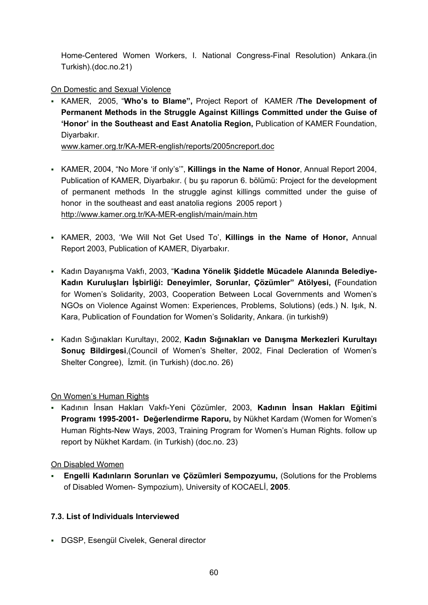Home-Centered Women Workers, I. National Congress-Final Resolution) Ankara.(in Turkish).(doc.no.21)

On Domestic and Sexual Violence

 KAMER, 2005, "**Who's to Blame",** Project Report of KAMER /**The Development of Permanent Methods in the Struggle Against Killings Committed under the Guise of 'Honor' in the Southeast and East Anatolia Region,** Publication of KAMER Foundation, Diyarbakır.

[www.kamer.org.tr/KA-MER-english/reports/2005ncreport.doc](http://www.kamer.org.tr/KA-MER-english/reports/2005ncreport.doc) 

- KAMER, 2004, "No More 'if only's'", **Killings in the Name of Honor**, Annual Report 2004, Publication of KAMER, Diyarbakır. ( bu şu raporun 6. bölümü: Project for the development of permanent methods In the struggle aginst killings committed under the guise of honor in the southeast and east anatolia regions 2005 report) <http://www.kamer.org.tr/KA-MER-english/main/main.htm>
- KAMER, 2003, 'We Will Not Get Used To', **Killings in the Name of Honor,** Annual Report 2003, Publication of KAMER, Diyarbakır.
- Kadın Dayanışma Vakfı, 2003, "**Kadına Yönelik Şiddetle Mücadele Alanında Belediye-Kadın Kuruluşları İşbirliği: Deneyimler, Sorunlar, Çözümler" Atölyesi, (**Foundation for Women's Solidarity, 2003, Cooperation Between Local Governments and Women's NGOs on Violence Against Women: Experiences, Problems, Solutions) (eds.) N. Işık, N. Kara, Publication of Foundation for Women's Solidarity, Ankara. (in turkish9)
- Kadın Sığınakları Kurultayı, 2002, **Kadın Sığınakları ve Danışma Merkezleri Kurultayı Sonuç Bildirgesi**,(Council of Women's Shelter, 2002, Final Decleration of Women's Shelter Congree), İzmit. (in Turkish) (doc.no. 26)

# On Women's Human Rights

 Kadının İnsan Hakları Vakfı-Yeni Çözümler, 2003, **Kadının İnsan Hakları Eğitimi Programı 1995-2001- Değerlendirme Raporu,** by Nükhet Kardam (Women for Women's Human Rights-New Ways, 2003, Training Program for Women's Human Rights. follow up report by Nükhet Kardam. (in Turkish) (doc.no. 23)

# On Disabled Women

 **Engelli Kadınların Sorunları ve Çözümleri Sempozyumu,** (Solutions for the Problems of Disabled Women- Sympozium), University of KOCAELİ, **2005**.

# **7.3. List of Individuals Interviewed**

DGSP, Esengül Civelek, General director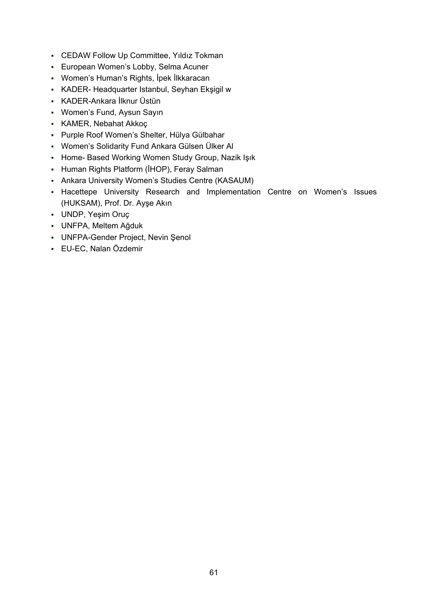- CEDAW Follow Up Committee, Yıldız Tokman
- European Women's Lobby, Selma Acuner
- Women's Human's Rights, İpek İlkkaracan
- KADER- Headquarter Istanbul, Seyhan Ekşigil w
- KADER-Ankara İlknur Üstün
- Women's Fund, Aysun Sayın
- KAMER, Nebahat Akkoç
- Purple Roof Women's Shelter, Hülya Gülbahar
- Women's Solidarity Fund Ankara Gülsen Ülker Al
- Home- Based Working Women Study Group, Nazik Işık
- Human Rights Platform (İHOP), Feray Salman
- Ankara University Women's Studies Centre (KASAUM)
- Hacettepe University Research and Implementation Centre on Women's Issues (HUKSAM), Prof. Dr. Ayşe Akın
- UNDP, Yeşim Oruç
- UNFPA, Meltem Ağduk
- UNFPA-Gender Project, Nevin Şenol
- EU-EC, Nalan Özdemir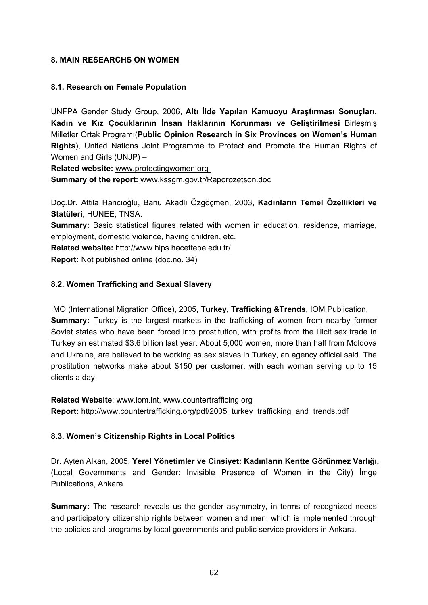#### **8. MAIN RESEARCHS ON WOMEN**

#### **8.1. Research on Female Population**

UNFPA Gender Study Group, 2006, **Altı İlde Yapılan Kamuoyu Araştırması Sonuçları, Kadın ve Kız Çocuklarının İnsan Haklarının Korunması ve Geliştirilmesi** Birleşmiş Milletler Ortak Programı(**Public Opinion Research in Six Provinces on Women's Human Rights**), United Nations Joint Programme to Protect and Promote the Human Rights of Women and Girls (UNJP) –

**Related website:** [www.protectingwomen.org](http://www.protectingwomen.org/) 

**Summary of the report:** [www.kssgm.gov.tr/Raporozetson.doc](http://www.kssgm.gov.tr/Raporozetson.doc)

Doç.Dr. Attila Hancıoğlu, Banu Akadlı Özgöçmen, 2003, **Kadınların Temel Özellikleri ve Statüleri**, HUNEE, TNSA.

**Summary:** Basic statistical figures related with women in education, residence, marriage, employment, domestic violence, having children, etc.

**Related website:** <http://www.hips.hacettepe.edu.tr/>

**Report:** Not published online (doc.no. 34)

#### **8.2. Women Trafficking and Sexual Slavery**

IMO (International Migration Office), 2005, **Turkey, Trafficking &Trends**, IOM Publication, **Summary:** Turkey is the largest markets in the trafficking of women from nearby former Soviet states who have been forced into prostitution, with profits from the illicit sex trade in Turkey an estimated \$3.6 billion last year. About 5,000 women, more than half from Moldova and Ukraine, are believed to be working as sex slaves in Turkey, an agency official said. The prostitution networks make about \$150 per customer, with each woman serving up to 15 clients a day.

**Related Website**: [www.iom.int](http://www.iom.int/), [www.countertrafficing.org](http://www.countertrafficing.org/) **Report:** [http://www.countertrafficking.org/pdf/2005\\_turkey\\_trafficking\\_and\\_trends.pdf](http://www.countertrafficking.org/pdf/2005_turkey_trafficking_and_trends.pdf)

#### **8.3. Women's Citizenship Rights in Local Politics**

Dr. Ayten Alkan, 2005, **Yerel Yönetimler ve Cinsiyet: Kadınların Kentte Görünmez Varlığı,** (Local Governments and Gender: Invisible Presence of Women in the City) İmge Publications, Ankara.

**Summary:** The research reveals us the gender asymmetry, in terms of recognized needs and participatory citizenship rights between women and men, which is implemented through the policies and programs by local governments and public service providers in Ankara.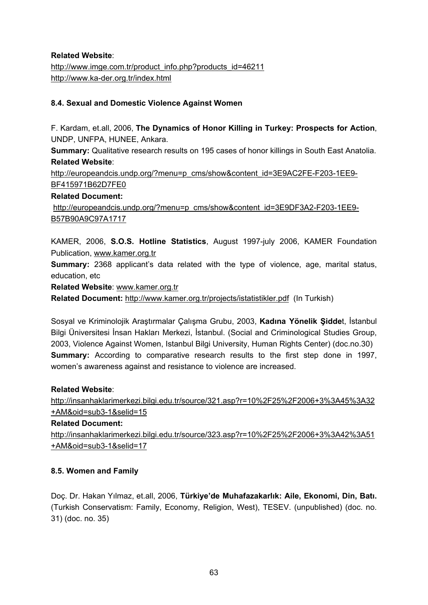**Related Website**: http://www.imge.com.tr/product\_info.php?products\_id=46211 <http://www.ka-der.org.tr/index.html>

### **8.4. Sexual and Domestic Violence Against Women**

F. Kardam, et.all, 2006, **The Dynamics of Honor Killing in Turkey: Prospects for Action**, UNDP, UNFPA, HUNEE, Ankara.

**Summary:** Qualitative research results on 195 cases of honor killings in South East Anatolia. **Related Website**:

[http://europeandcis.undp.org/?menu=p\\_cms/show&content\\_id=3E9AC2FE-F203-1EE9-](http://europeandcis.undp.org/?menu=p_cms/show&content_id=3E9AC2FE-F203-1EE9-BF415971B62D7FE0) [BF415971B62D7FE0](http://europeandcis.undp.org/?menu=p_cms/show&content_id=3E9AC2FE-F203-1EE9-BF415971B62D7FE0)

#### **Related Document:**

[http://europeandcis.undp.org/?menu=p\\_cms/show&content\\_id=3E9DF3A2-F203-1EE9-](http://europeandcis.undp.org/?menu=p_cms/show&content_id=3E9DF3A2-F203-1EE9-B57B90A9C97A1717) [B57B90A9C97A1717](http://europeandcis.undp.org/?menu=p_cms/show&content_id=3E9DF3A2-F203-1EE9-B57B90A9C97A1717)

KAMER, 2006, **S.O.S. Hotline Statistics**, August 1997-july 2006, KAMER Foundation Publication, [www.kamer.org.tr](http://www.kamer.org.tr/)

**Summary:** 2368 applicant's data related with the type of violence, age, marital status, education, etc

**Related Website**: [www.kamer.org.tr](http://www.kamer.org.tr/)

**Related Document:** <http://www.kamer.org.tr/projects/istatistikler.pdf> (In Turkish)

Sosyal ve Kriminolojik Araştırmalar Çalışma Grubu, 2003, **Kadına Yönelik Şidde**t, İstanbul Bilgi Üniversitesi İnsan Hakları Merkezi, İstanbul. (Social and Criminological Studies Group, 2003, Violence Against Women, Istanbul Bilgi University, Human Rights Center) (doc.no.30) **Summary:** According to comparative research results to the first step done in 1997, women's awareness against and resistance to violence are increased.

### **Related Website**:

[http://insanhaklarimerkezi.bilgi.edu.tr/source/321.asp?r=10%2F25%2F2006+3%3A45%3A32](http://insanhaklarimerkezi.bilgi.edu.tr/source/321.asp?r=10%2F25%2F2006+3%3A45%3A32+AM&oid=sub3-1&selid=15) [+AM&oid=sub3-1&selid=15](http://insanhaklarimerkezi.bilgi.edu.tr/source/321.asp?r=10%2F25%2F2006+3%3A45%3A32+AM&oid=sub3-1&selid=15) 

**Related Document:** 

[http://insanhaklarimerkezi.bilgi.edu.tr/source/323.asp?r=10%2F25%2F2006+3%3A42%3A51](http://insanhaklarimerkezi.bilgi.edu.tr/source/323.asp?r=10%2F25%2F2006+3%3A42%3A51+AM&oid=sub3-1&selid=17) [+AM&oid=sub3-1&selid=17](http://insanhaklarimerkezi.bilgi.edu.tr/source/323.asp?r=10%2F25%2F2006+3%3A42%3A51+AM&oid=sub3-1&selid=17) 

### **8.5. Women and Family**

Doç. Dr. Hakan Yılmaz, et.all, 2006, **Türkiye'de Muhafazakarlık: Aile, Ekonomi, Din, Batı.**  (Turkish Conservatism: Family, Economy, Religion, West), TESEV. (unpublished) (doc. no. 31) (doc. no. 35)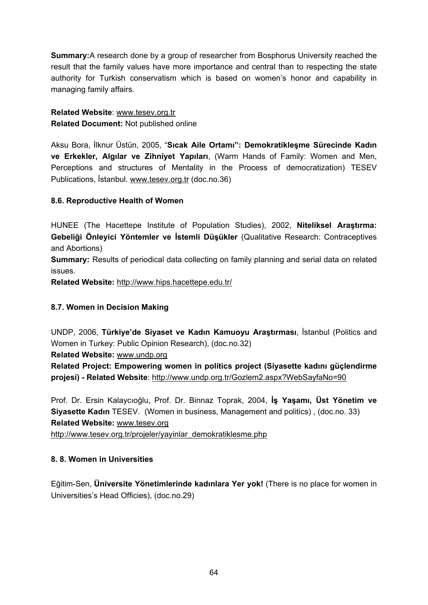**Summary:**A research done by a group of researcher from Bosphorus University reached the result that the family values have more importance and central than to respecting the state authority for Turkish conservatism which is based on women's honor and capability in managing family affairs.

#### **Related Website**: [www.tesev.org.tr](http://www.tesev.org.tr/) **Related Document:** Not published online

Aksu Bora, İlknur Üstün, 2005, "**Sıcak Aile Ortamı": Demokratikleşme Sürecinde Kadın ve Erkekler, Algılar ve Zihniyet Yapıları**, (Warm Hands of Family: Women and Men, Perceptions and structures of Mentality in the Process of democratization) TESEV Publications, İstanbul. [www.tesev.org.tr](http://www.tesev.org.tr/) (doc.no.36)

# **8.6. Reproductive Health of Women**

HUNEE (The Hacettepe Institute of Population Studies), 2002, **Niteliksel Araştırma: Gebeliği Önleyici Yöntemler ve İstemli Düşükler** (Qualitative Research: Contraceptives and Abortions)

**Summary:** Results of periodical data collecting on family planning and serial data on related issues.

**Related Website:** <http://www.hips.hacettepe.edu.tr/>

# **8.7. Women in Decision Making**

UNDP, 2006, **Türkiye'de Siyaset ve Kadın Kamuoyu Araştırması**, İstanbul (Politics and Women in Turkey: Public Opinion Research), (doc.no.32)

**Related Website:** [www.undp.org](http://www.undp.org/)

**Related Project: Empowering women in politics project (Siyasette kadını güçlendirme projesi) - Related Website**: <http://www.undp.org.tr/Gozlem2.aspx?WebSayfaNo=90>

Prof. Dr. Ersin Kalaycıoğlu, Prof. Dr. Binnaz Toprak, 2004, **İş Yaşamı, Üst Yönetim ve Siyasette Kadın** TESEV. (Women in business, Management and politics) , (doc.no. 33) **Related Website:** [www.tesev.org](http://www.tesev.org/)

[http://www.tesev.org.tr/projeler/yayinlar\\_demokratiklesme.php](http://www.tesev.org.tr/projeler/yayinlar_demokratiklesme.php)

# **8. 8. Women in Universities**

Eğitim-Sen, **Üniversite Yönetimlerinde kadınlara Yer yok!** (There is no place for women in Universities's Head Officies), (doc.no.29)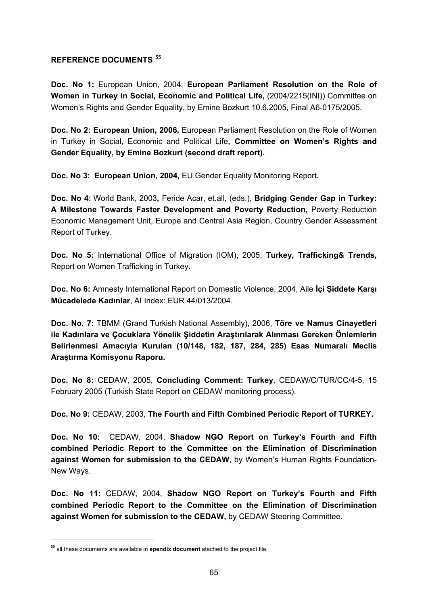#### **REFERENCE DOCUMENTS [55](#page-69-0)**

**Doc. No 1:** European Union, 2004, **European Parliament Resolution on the Role of Women in Turkey in Social, Economic and Political Life,** (2004/2215(INI)) Committee on Women's Rights and Gender Equality, by Emine Bozkurt 10.6.2005, Final A6-0175/2005.

**Doc. No 2: European Union, 2006,** European Parliament Resolution on the Role of Women in Turkey in Social, Economic and Political Life**, Committee on Women's Rights and Gender Equality, by Emine Bozkurt (second draft report).** 

**Doc. No 3: European Union, 2004,** EU Gender Equality Monitoring Report**.** 

**Doc. No 4**: World Bank, 2003**,** Feride Acar, et.all, (eds.), **Bridging Gender Gap in Turkey: A Milestone Towards Faster Development and Poverty Reduction,** Poverty Reduction Economic Management Unit, Europe and Central Asia Region, Country Gender Assessment Report of Turkey.

**Doc. No 5:** International Office of Migration (IOM), 2005, **Turkey, Trafficking& Trends,**  Report on Women Trafficking in Turkey.

**Doc. No 6:** Amnesty International Report on Domestic Violence, 2004, Aile **İçi Şiddete Karşı Mücadelede Kadınlar**, AI Index: EUR 44/013/2004.

**Doc. No. 7:** TBMM (Grand Turkish National Assembly), 2006, **Töre ve Namus Cinayetleri ile Kadınlara ve Çocuklara Yönelik Şiddetin Araştırılarak Alınması Gereken Önlemlerin Belirlenmesi Amacıyla Kurulan (10/148, 182, 187, 284, 285) Esas Numaralı Meclis Araştırma Komisyonu Raporu.** 

**Doc. No 8:** CEDAW, 2005, **Concluding Comment: Turkey**, CEDAW/C/TUR/CC/4-5, 15 February 2005 (Turkish State Report on CEDAW monitoring process).

**Doc. No 9:** CEDAW, 2003, **The Fourth and Fifth Combined Periodic Report of TURKEY.** 

**Doc. No 10:** CEDAW, 2004, **Shadow NGO Report on Turkey's Fourth and Fifth combined Periodic Report to the Committee on the Elimination of Discrimination against Women for submission to the CEDAW**, by Women's Human Rights Foundation-New Ways.

**Doc. No 11:** CEDAW, 2004, **Shadow NGO Report on Turkey's Fourth and Fifth combined Periodic Report to the Committee on the Elimination of Discrimination against Women for submission to the CEDAW,** by CEDAW Steering Committee.

<span id="page-69-0"></span><sup>55</sup> all these documents are available in **apendix document** atached to the project file.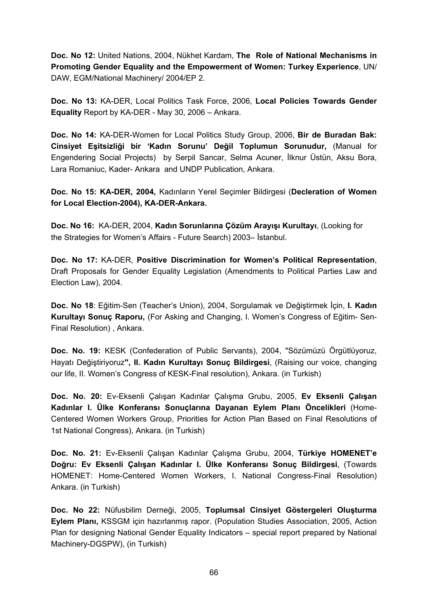**Doc. No 12:** United Nations, 2004, Nükhet Kardam, **The Role of National Mechanisms in Promoting Gender Equality and the Empowerment of Women: Turkey Experience**, UN/ DAW, EGM/National Machinery/ 2004/EP 2.

**Doc. No 13:** KA-DER, Local Politics Task Force, 2006, **Local Policies Towards Gender Equality** Report by KA-DER - May 30, 2006 – Ankara.

**Doc. No 14:** KA-DER-Women for Local Politics Study Group, 2006, **Bir de Buradan Bak: Cinsiyet Eşitsizliği bir 'Kadın Sorunu' Değil Toplumun Sorunudur,** (Manual for Engendering Social Projects) by Serpil Sancar, Selma Acuner, İlknur Üstün, Aksu Bora, Lara Romaniuc, Kader- Ankara and UNDP Publication, Ankara.

**Doc. No 15: KA-DER, 2004,** Kadınların Yerel Seçimler Bildirgesi (**Decleration of Women for Local Election-2004), KA-DER-Ankara.** 

**Doc. No 16:** KA-DER, 2004, **Kadın Sorunlarına Çözüm Arayışı Kurultayı**, (Looking for the Strategies for Women's Affairs - Future Search) 2003– İstanbul.

**Doc. No 17:** KA-DER, **Positive Discrimination for Women's Political Representation**, Draft Proposals for Gender Equality Legislation (Amendments to Political Parties Law and Election Law), 2004.

**Doc. No 18**: Eğitim-Sen (Teacher's Union), 2004, Sorgulamak ve Değiştirmek İçin, **I. Kadın Kurultayı Sonuç Raporu,** (For Asking and Changing, I. Women's Congress of Eğitim- Sen-Final Resolution) , Ankara.

**Doc. No. 19:** KESK (Confederation of Public Servants), 2004, "Sözümüzü Örgütlüyoruz, Hayatı Değiştiriyoruz**", II. Kadın Kurultayı Sonuç Bildirgesi**, (Raising our voice, changing our life, II. Women's Congress of KESK-Final resolution), Ankara. (in Turkish)

**Doc. No. 20:** Ev-Eksenli Çalışan Kadınlar Çalışma Grubu, 2005, **Ev Eksenli Çalışan Kadınlar I. Ülke Konferansı Sonuçlarına Dayanan Eylem Planı Öncelikleri** (Home-Centered Women Workers Group, Priorities for Action Plan Based on Final Resolutions of 1st National Congress), Ankara. (in Turkish)

**Doc. No. 21:** Ev-Eksenli Çalışan Kadınlar Çalışma Grubu, 2004, **Türkiye HOMENET'e Doğru: Ev Eksenli Çalışan Kadınlar I. Ülke Konferansı Sonuç Bildirgesi**, (Towards HOMENET: Home-Centered Women Workers, I. National Congress-Final Resolution) Ankara. (in Turkish)

**Doc. No 22:** Nüfusbilim Derneği, 2005, **Toplumsal Cinsiyet Göstergeleri Oluşturma Eylem Planı,** KSSGM için hazırlanmış rapor. (Population Studies Association, 2005, Action Plan for designing National Gender Equality Indicators – special report prepared by National Machinery-DGSPW), (in Turkish)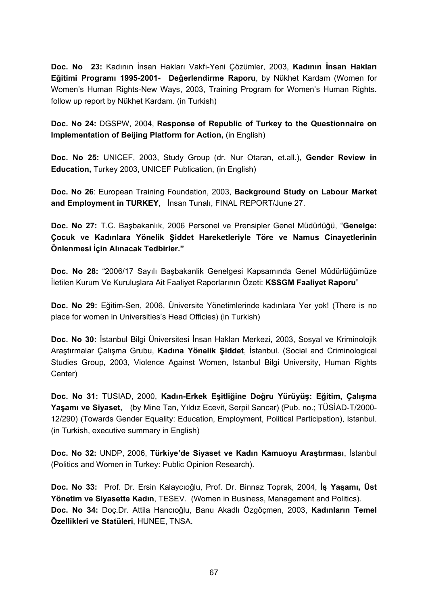**Doc. No 23:** Kadının İnsan Hakları Vakfı-Yeni Çözümler, 2003, **Kadının İnsan Hakları Eğitimi Programı 1995-2001- Değerlendirme Raporu**, by Nükhet Kardam (Women for Women's Human Rights-New Ways, 2003, Training Program for Women's Human Rights. follow up report by Nükhet Kardam. (in Turkish)

**Doc. No 24:** DGSPW, 2004, **Response of Republic of Turkey to the Questionnaire on Implementation of Beijing Platform for Action,** (in English)

**Doc. No 25:** UNICEF, 2003, Study Group (dr. Nur Otaran, et.all.), **Gender Review in Education,** Turkey 2003, UNICEF Publication, (in English)

**Doc. No 26**: European Training Foundation, 2003, **Background Study on Labour Market and Employment in TURKEY**, İnsan Tunalı, FINAL REPORT/June 27.

**Doc. No 27:** T.C. Başbakanlık, 2006 Personel ve Prensipler Genel Müdürlüğü, "**Genelge: Çocuk ve Kadınlara Yönelik Şiddet Hareketleriyle Töre ve Namus Cinayetlerinin Önlenmesi İçin Alınacak Tedbirler."** 

**Doc. No 28:** "2006/17 Sayılı Başbakanlik Genelgesi Kapsamında Genel Müdürlüğümüze İletilen Kurum Ve Kuruluşlara Ait Faaliyet Raporlarının Özeti: **KSSGM Faaliyet Raporu**"

**Doc. No 29:** Eğitim-Sen, 2006, Üniversite Yönetimlerinde kadınlara Yer yok! (There is no place for women in Universities's Head Officies) (in Turkish)

**Doc. No 30:** İstanbul Bilgi Üniversitesi İnsan Hakları Merkezi, 2003, Sosyal ve Kriminolojik Araştırmalar Çalışma Grubu, **Kadına Yönelik Şiddet**, İstanbul. (Social and Criminological Studies Group, 2003, Violence Against Women, Istanbul Bilgi University, Human Rights Center)

**Doc. No 31:** TUSIAD, 2000, **Kadın-Erkek Eşitliğine Doğru Yürüyüş: Eğitim, Çalışma Yaşamı ve Siyaset,** (by Mine Tan, Yıldız Ecevit, Serpil Sancar) (Pub. no.; TÜSİAD-T/2000- 12/290) (Towards Gender Equality: Education, Employment, Political Participation), Istanbul. (in Turkish, executive summary in English)

**Doc. No 32:** UNDP, 2006, **Türkiye'de Siyaset ve Kadın Kamuoyu Araştırması**, İstanbul (Politics and Women in Turkey: Public Opinion Research).

**Doc. No 33:** Prof. Dr. Ersin Kalaycıoğlu, Prof. Dr. Binnaz Toprak, 2004, **İş Yaşamı, Üst Yönetim ve Siyasette Kadın**, TESEV. (Women in Business, Management and Politics). **Doc. No 34:** Doç.Dr. Attila Hancıoğlu, Banu Akadlı Özgöçmen, 2003, **Kadınların Temel Özellikleri ve Statüleri**, HUNEE, TNSA.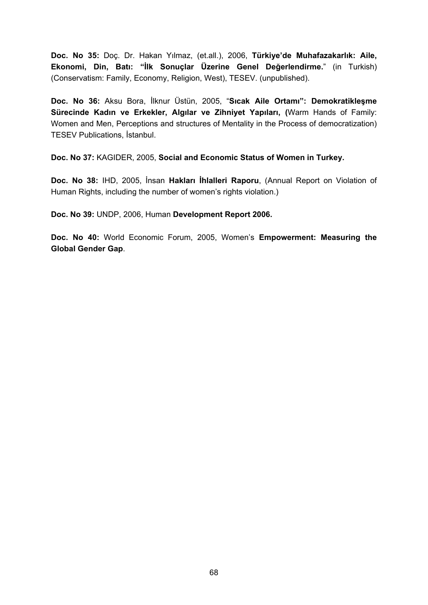**Doc. No 35:** Doç. Dr. Hakan Yılmaz, (et.all.), 2006, **Türkiye'de Muhafazakarlık: Aile, Ekonomi, Din, Batı: "İlk Sonuçlar Üzerine Genel Değerlendirme.**" (in Turkish) (Conservatism: Family, Economy, Religion, West), TESEV. (unpublished).

**Doc. No 36:** Aksu Bora, İlknur Üstün, 2005, "**Sıcak Aile Ortamı": Demokratikleşme Sürecinde Kadın ve Erkekler, Algılar ve Zihniyet Yapıları, (**Warm Hands of Family: Women and Men, Perceptions and structures of Mentality in the Process of democratization) TESEV Publications, İstanbul.

**Doc. No 37:** KAGIDER, 2005, **Social and Economic Status of Women in Turkey.**

**Doc. No 38:** IHD, 2005, İnsan **Hakları İhlalleri Raporu**, (Annual Report on Violation of Human Rights, including the number of women's rights violation.)

**Doc. No 39:** UNDP, 2006, Human **Development Report 2006.** 

**Doc. No 40:** World Economic Forum, 2005, Women's **Empowerment: Measuring the Global Gender Gap**.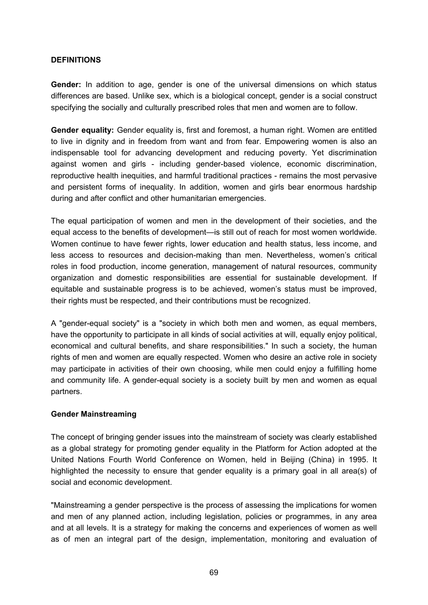### **DEFINITIONS**

**Gender:** In addition to age, gender is one of the universal dimensions on which status differences are based. Unlike sex, which is a biological concept, gender is a [social construct](http://aifs32.aifs.org.au/institute/afrc7/francis.html) specifying the socially and culturally prescribed roles that men and women are to follow.

**Gender equality:** Gender equality is, first and foremost, a [human right](http://www.unfpa.org/rights/index.htm). Women are entitled to live in dignity and in freedom from want and from fear. Empowering women is also an indispensable tool for [advancing development](http://www.unfpa.org/icpd/gender.htm) and reducing poverty. Yet discrimination against women and girls - including [gender-based violence,](http://www.unfpa.org/gender/violence.htm) [economic discrimination](http://www.unfpa.org/gender/empowerment1.htm), [reproductive health inequities,](http://www.unfpa.org/swp/2005/english/ch4/index.htm) and [harmful traditional practices](http://www.unfpa.org/gender/practices.htm) - remains the most pervasive and persistent forms of inequality. In addition, women and girls bear enormous hardship during and after conflict and other [humanitarian emergencies](http://www.unfpa.org/swp/2005/english/ch8/chap8_page4.htm).

The equal participation of women and men in the development of their societies, and the equal access to the benefits of development—is still out of reach for most women worldwide. Women continue to have fewer rights, lower education and health status, less income, and less access to resources and decision-making than men. Nevertheless, women's critical roles in food production, income generation, management of natural resources, community organization and domestic responsibilities are essential for sustainable development. If equitable and sustainable progress is to be achieved, women's status must be improved, their rights must be respected, and their contributions must be recognized.

A "gender-equal society" is a "society in which both men and women, as equal members, have the opportunity to participate in all kinds of social activities at will, equally enjoy political, economical and cultural benefits, and share responsibilities." In such a society, the human rights of men and women are equally respected. Women who desire an active role in society may participate in activities of their own choosing, while men could enjoy a fulfilling home and community life. A gender-equal society is a society built by men and women as equal partners.

# **Gender Mainstreaming**

The concept of bringing gender issues into the mainstream of society was clearly established as a global strategy for promoting gender equality in the Platform for Action adopted at the United Nations Fourth World Conference on Women, held in Beijing (China) in 1995. It highlighted the necessity to ensure that gender equality is a primary goal in all area(s) of social and economic development.

"Mainstreaming a gender perspective is the process of assessing the implications for women and men of any planned action, including legislation, policies or programmes, in any area and at all levels. It is a strategy for making the concerns and experiences of women as well as of men an integral part of the design, implementation, monitoring and evaluation of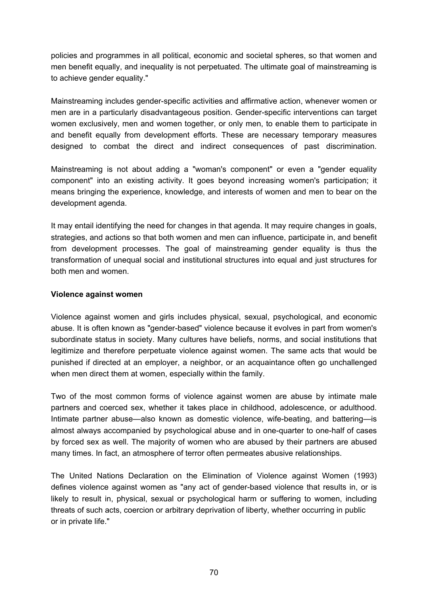policies and programmes in all political, economic and societal spheres, so that women and men benefit equally, and inequality is not perpetuated. The ultimate goal of mainstreaming is to achieve gender equality."

Mainstreaming includes gender-specific activities and affirmative action, whenever women or men are in a particularly disadvantageous position. Gender-specific interventions can target women exclusively, men and women together, or only men, to enable them to participate in and benefit equally from development efforts. These are necessary temporary measures designed to combat the direct and indirect consequences of past discrimination.

Mainstreaming is not about adding a "woman's component" or even a "gender equality component" into an existing activity. It goes beyond increasing women's participation; it means bringing the experience, knowledge, and interests of women and men to bear on the development agenda.

It may entail identifying the need for changes in that agenda. It may require changes in goals, strategies, and actions so that both women and men can influence, participate in, and benefit from development processes. The goal of mainstreaming gender equality is thus the transformation of unequal social and institutional structures into equal and just structures for both men and women.

# **Violence against women**

Violence against women and girls includes physical, sexual, psychological, and economic abuse. It is often known as "gender-based" violence because it evolves in part from women's subordinate status in society. Many cultures have beliefs, norms, and social institutions that legitimize and therefore perpetuate violence against women. The same acts that would be punished if directed at an employer, a neighbor, or an acquaintance often go unchallenged when men direct them at women, especially within the family.

Two of the most common forms of violence against women are abuse by intimate male partners and coerced sex, whether it takes place in childhood, adolescence, or adulthood. Intimate partner abuse—also known as domestic violence, wife-beating, and battering—is almost always accompanied by psychological abuse and in one-quarter to one-half of cases by forced sex as well. The majority of women who are abused by their partners are abused many times. In fact, an atmosphere of terror often permeates abusive relationships.

The United Nations Declaration on the Elimination of Violence against Women (1993) defines violence against women as "any act of gender-based violence that results in, or is likely to result in, physical, sexual or psychological harm or suffering to women, including threats of such acts, coercion or arbitrary deprivation of liberty, whether occurring in public or in private life."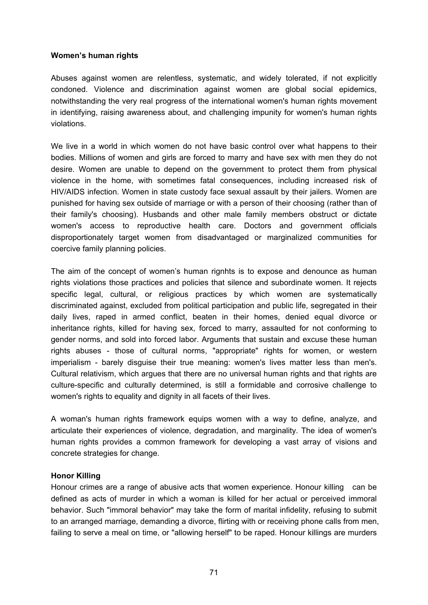### **Women's human rights**

Abuses against women are relentless, systematic, and widely tolerated, if not explicitly condoned. Violence and discrimination against women are global social epidemics, notwithstanding the very real progress of the international women's human rights movement in identifying, raising awareness about, and challenging impunity for women's human rights violations.

We live in a world in which women do not have basic control over what happens to their bodies. Millions of women and girls are forced to marry and have sex with men they do not desire. Women are unable to depend on the government to protect them from physical violence in the home, with sometimes fatal consequences, including increased risk of HIV/AIDS infection. Women in state custody face sexual assault by their jailers. Women are punished for having sex outside of marriage or with a person of their choosing (rather than of their family's choosing). Husbands and other male family members obstruct or dictate women's access to reproductive health care. Doctors and government officials disproportionately target women from disadvantaged or marginalized communities for coercive family planning policies.

The aim of the concept of women's human rignhts is to expose and denounce as human rights violations those practices and policies that silence and subordinate women. It rejects specific legal, cultural, or religious practices by which women are systematically discriminated against, excluded from political participation and public life, segregated in their daily lives, raped in armed conflict, beaten in their homes, denied equal divorce or inheritance rights, killed for having sex, forced to marry, assaulted for not conforming to gender norms, and sold into forced labor. Arguments that sustain and excuse these human rights abuses - those of cultural norms, "appropriate" rights for women, or western imperialism - barely disguise their true meaning: women's lives matter less than men's. Cultural relativism, which argues that there are no universal human rights and that rights are culture-specific and culturally determined, is still a formidable and corrosive challenge to women's rights to equality and dignity in all facets of their lives.

A woman's human rights framework equips women with a way to define, analyze, and articulate their experiences of violence, degradation, and marginality. The idea of women's human rights provides a common framework for developing a vast array of visions and concrete strategies for change.

# **Honor Killing**

Honour crimes are a range of abusive acts that women experience. Honour killing can be defined as acts of murder in which a woman is killed for her actual or perceived immoral behavior. Such "immoral behavior" may take the form of marital infidelity, refusing to submit to an arranged marriage, demanding a divorce, flirting with or receiving phone calls from men, failing to serve a meal on time, or "allowing herself" to be raped. Honour killings are murders